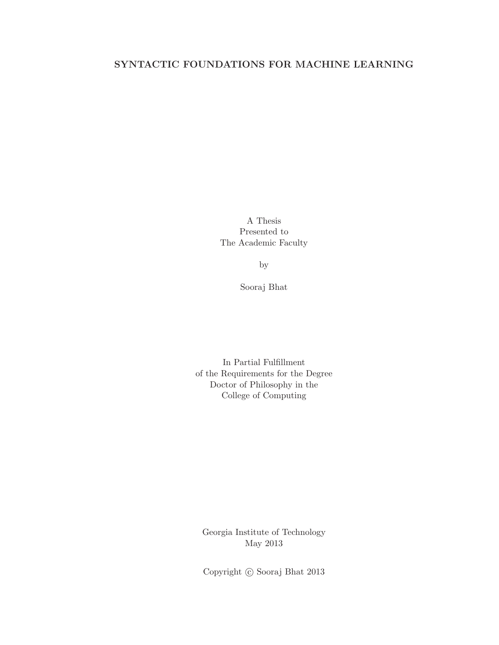# SYNTACTIC FOUNDATIONS FOR MACHINE LEARNING

A Thesis Presented to The Academic Faculty

by

Sooraj Bhat

In Partial Fulfillment of the Requirements for the Degree Doctor of Philosophy in the College of Computing

Georgia Institute of Technology May 2013

Copyright  $\copyright$  Sooraj Bhat 2013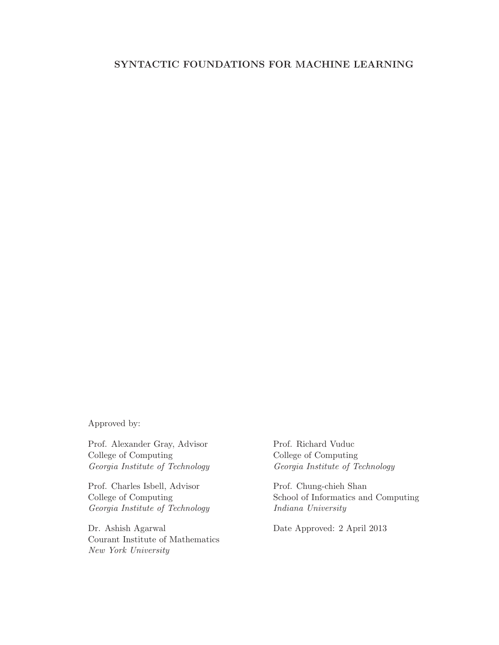Approved by:

Prof. Alexander Gray, Advisor College of Computing Georgia Institute of Technology

Prof. Charles Isbell, Advisor College of Computing Georgia Institute of Technology

Dr. Ashish Agarwal Courant Institute of Mathematics New York University

Prof. Richard Vuduc College of Computing Georgia Institute of Technology

Prof. Chung-chieh Shan School of Informatics and Computing Indiana University

Date Approved: 2 April 2013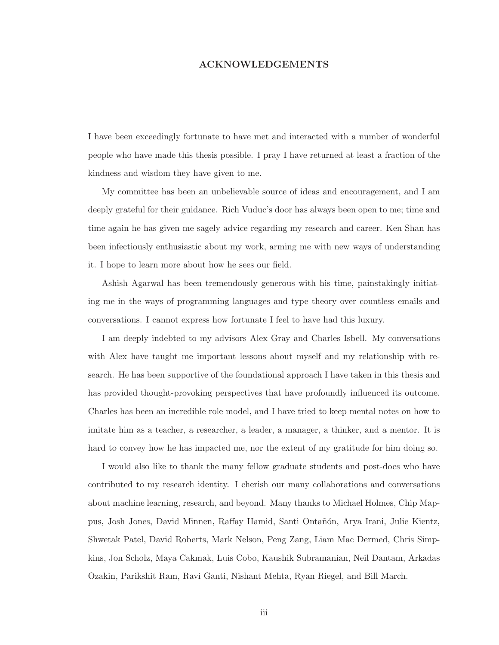# ACKNOWLEDGEMENTS

I have been exceedingly fortunate to have met and interacted with a number of wonderful people who have made this thesis possible. I pray I have returned at least a fraction of the kindness and wisdom they have given to me.

My committee has been an unbelievable source of ideas and encouragement, and I am deeply grateful for their guidance. Rich Vuduc's door has always been open to me; time and time again he has given me sagely advice regarding my research and career. Ken Shan has been infectiously enthusiastic about my work, arming me with new ways of understanding it. I hope to learn more about how he sees our field.

Ashish Agarwal has been tremendously generous with his time, painstakingly initiating me in the ways of programming languages and type theory over countless emails and conversations. I cannot express how fortunate I feel to have had this luxury.

I am deeply indebted to my advisors Alex Gray and Charles Isbell. My conversations with Alex have taught me important lessons about myself and my relationship with research. He has been supportive of the foundational approach I have taken in this thesis and has provided thought-provoking perspectives that have profoundly influenced its outcome. Charles has been an incredible role model, and I have tried to keep mental notes on how to imitate him as a teacher, a researcher, a leader, a manager, a thinker, and a mentor. It is hard to convey how he has impacted me, nor the extent of my gratitude for him doing so.

I would also like to thank the many fellow graduate students and post-docs who have contributed to my research identity. I cherish our many collaborations and conversations about machine learning, research, and beyond. Many thanks to Michael Holmes, Chip Mappus, Josh Jones, David Minnen, Raffay Hamid, Santi Ontañón, Arya Irani, Julie Kientz, Shwetak Patel, David Roberts, Mark Nelson, Peng Zang, Liam Mac Dermed, Chris Simpkins, Jon Scholz, Maya Cakmak, Luis Cobo, Kaushik Subramanian, Neil Dantam, Arkadas Ozakin, Parikshit Ram, Ravi Ganti, Nishant Mehta, Ryan Riegel, and Bill March.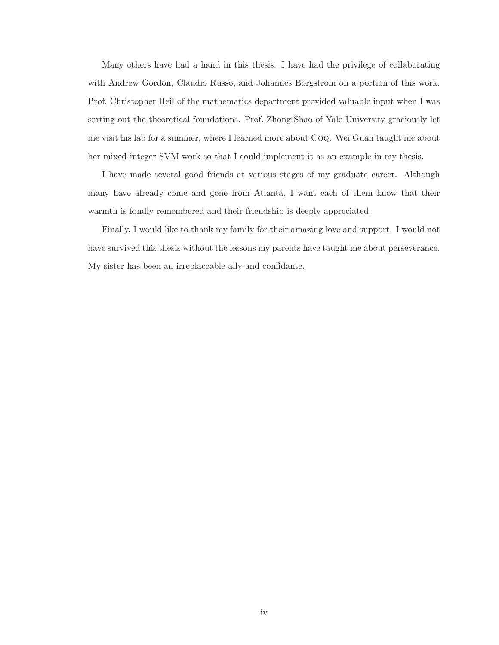Many others have had a hand in this thesis. I have had the privilege of collaborating with Andrew Gordon, Claudio Russo, and Johannes Borgström on a portion of this work. Prof. Christopher Heil of the mathematics department provided valuable input when I was sorting out the theoretical foundations. Prof. Zhong Shao of Yale University graciously let me visit his lab for a summer, where I learned more about Coq. Wei Guan taught me about her mixed-integer SVM work so that I could implement it as an example in my thesis.

I have made several good friends at various stages of my graduate career. Although many have already come and gone from Atlanta, I want each of them know that their warmth is fondly remembered and their friendship is deeply appreciated.

Finally, I would like to thank my family for their amazing love and support. I would not have survived this thesis without the lessons my parents have taught me about perseverance. My sister has been an irreplaceable ally and confidante.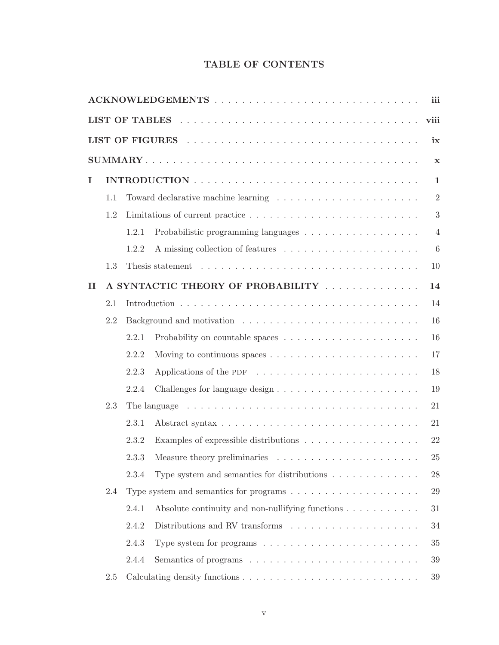# TABLE OF CONTENTS

| iii         |     |       |                                                                                          |  |
|-------------|-----|-------|------------------------------------------------------------------------------------------|--|
| viii        |     |       |                                                                                          |  |
| ix          |     |       |                                                                                          |  |
| $\mathbf x$ |     |       |                                                                                          |  |
| T.          |     |       | $\mathbf{1}$                                                                             |  |
|             | 1.1 |       | $\overline{2}$                                                                           |  |
|             | 1.2 |       | 3                                                                                        |  |
|             |     | 1.2.1 | $\overline{4}$                                                                           |  |
|             |     | 1.2.2 | A missing collection of features $\dots \dots \dots \dots \dots \dots \dots \dots$<br>6  |  |
|             | 1.3 |       | 10                                                                                       |  |
| П           |     |       | A SYNTACTIC THEORY OF PROBABILITY<br>14                                                  |  |
|             | 2.1 |       | 14                                                                                       |  |
|             | 2.2 |       | 16                                                                                       |  |
|             |     | 2.2.1 | 16                                                                                       |  |
|             |     | 2.2.2 | 17                                                                                       |  |
|             |     | 2.2.3 | 18                                                                                       |  |
|             |     | 2.2.4 | 19                                                                                       |  |
|             | 2.3 |       | 21                                                                                       |  |
|             |     | 2.3.1 | 21                                                                                       |  |
|             |     | 2.3.2 | 22                                                                                       |  |
|             |     | 2.3.3 | 25                                                                                       |  |
|             |     | 2.3.4 | Type system and semantics for distributions $\dots \dots \dots \dots$<br>28              |  |
|             | 2.4 |       | Type system and semantics for programs $\dots \dots \dots \dots \dots \dots \dots$<br>29 |  |
|             |     | 2.4.1 | Absolute continuity and non-nullifying functions $\dots \dots \dots$<br>31               |  |
|             |     | 2.4.2 | Distributions and RV transforms $\ldots \ldots \ldots \ldots \ldots \ldots$<br>34        |  |
|             |     | 2.4.3 | Type system for programs $\dots \dots \dots \dots \dots \dots \dots \dots$<br>35         |  |
|             |     | 2.4.4 | 39                                                                                       |  |
|             | 2.5 |       | 39                                                                                       |  |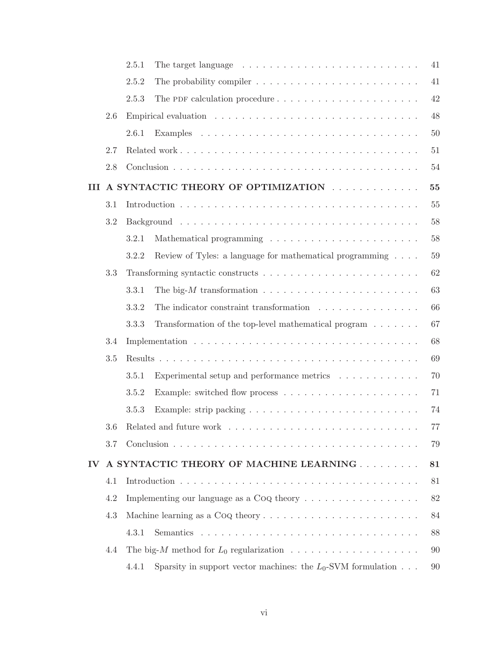|     |         | 2.5.1 | The target language $\ldots \ldots \ldots \ldots \ldots \ldots \ldots \ldots$   | 41         |
|-----|---------|-------|---------------------------------------------------------------------------------|------------|
|     |         | 2.5.2 |                                                                                 | 41         |
|     |         | 2.5.3 | The PDF calculation procedure                                                   | $42\,$     |
|     | 2.6     |       |                                                                                 | 48         |
|     |         | 2.6.1 |                                                                                 | 50         |
|     | 2.7     |       |                                                                                 | 51         |
|     | 2.8     |       |                                                                                 | 54         |
|     |         |       | III A SYNTACTIC THEORY OF OPTIMIZATION                                          | ${\bf 55}$ |
|     | 3.1     |       |                                                                                 | $55\,$     |
|     | 3.2     |       |                                                                                 | $58\,$     |
|     |         | 3.2.1 |                                                                                 | $58\,$     |
|     |         | 3.2.2 | Review of Tyles: a language for mathematical programming $\ldots$ .             | $59\,$     |
|     | $3.3\,$ |       |                                                                                 | 62         |
|     |         | 3.3.1 |                                                                                 | 63         |
|     |         | 3.3.2 | The indicator constraint transformation $\ldots \ldots \ldots \ldots \ldots$    | 66         |
|     |         | 3.3.3 | Transformation of the top-level mathematical program $\dots \dots$              | 67         |
|     | 3.4     |       |                                                                                 | 68         |
|     | 3.5     |       |                                                                                 | 69         |
|     |         | 3.5.1 | Experimental setup and performance metrics $\ldots \ldots \ldots \ldots$        | 70         |
|     |         | 3.5.2 |                                                                                 | 71         |
|     |         | 3.5.3 |                                                                                 | 74         |
|     |         |       |                                                                                 | 77         |
|     | 3.7     |       |                                                                                 | 79         |
| IV. |         |       | A SYNTACTIC THEORY OF MACHINE LEARNING                                          | 81         |
|     | 4.1     |       |                                                                                 | 81         |
|     | 4.2     |       | Implementing our language as a CoQ theory $\dots \dots \dots \dots \dots \dots$ | 82         |
|     | 4.3     |       |                                                                                 | 84         |
|     |         | 4.3.1 |                                                                                 | 88         |
|     | 4.4     | 90    |                                                                                 |            |
|     |         | 4.4.1 | Sparsity in support vector machines: the $L_0$ -SVM formulation                 | 90         |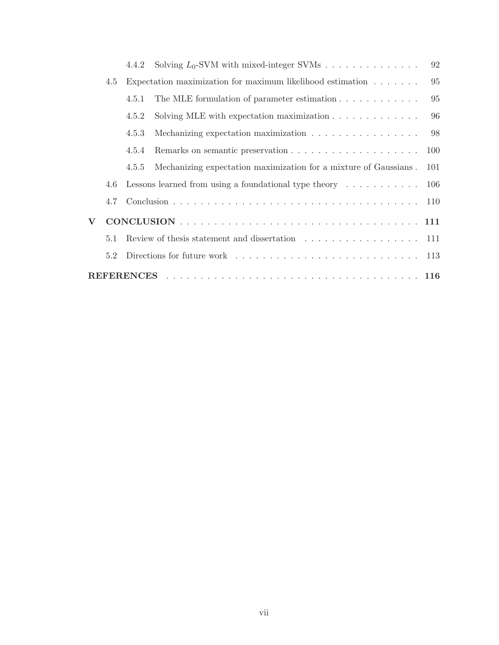|             |     | 4.4.2                                                                            | Solving $L_0$ -SVM with mixed-integer SVMs                                   | 92  |  |
|-------------|-----|----------------------------------------------------------------------------------|------------------------------------------------------------------------------|-----|--|
| 4.5         |     |                                                                                  | Expectation maximization for maximum likelihood estimation $\ldots \ldots$ . | 95  |  |
|             |     | 4.5.1                                                                            | The MLE formulation of parameter estimation                                  | 95  |  |
|             |     | 4.5.2                                                                            | Solving MLE with expectation maximization $\ldots \ldots \ldots \ldots$      | 96  |  |
|             |     | 4.5.3                                                                            | Mechanizing expectation maximization                                         | 98  |  |
|             |     | 4.5.4                                                                            |                                                                              | 100 |  |
|             |     | 4.5.5                                                                            | Mechanizing expectation maximization for a mixture of Gaussians.             | 101 |  |
|             | 4.6 | Lessons learned from using a foundational type theory $\dots \dots \dots$<br>106 |                                                                              |     |  |
|             | 4.7 | 110                                                                              |                                                                              |     |  |
| $\mathbf V$ |     |                                                                                  |                                                                              |     |  |
|             | 5.1 |                                                                                  |                                                                              |     |  |
|             | 5.2 |                                                                                  |                                                                              |     |  |
|             |     |                                                                                  |                                                                              |     |  |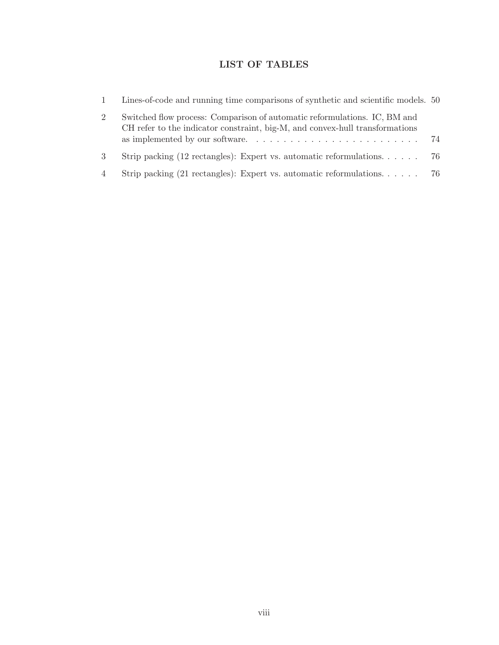# LIST OF TABLES

| $\mathbf{1}$   | Lines-of-code and running time comparisons of synthetic and scientific models. 50                                                                         |     |
|----------------|-----------------------------------------------------------------------------------------------------------------------------------------------------------|-----|
| 2              | Switched flow process: Comparison of automatic reformulations. IC, BM and<br>CH refer to the indicator constraint, big-M, and convex-hull transformations |     |
|                |                                                                                                                                                           | -74 |
| 3              |                                                                                                                                                           |     |
| $\overline{4}$ |                                                                                                                                                           |     |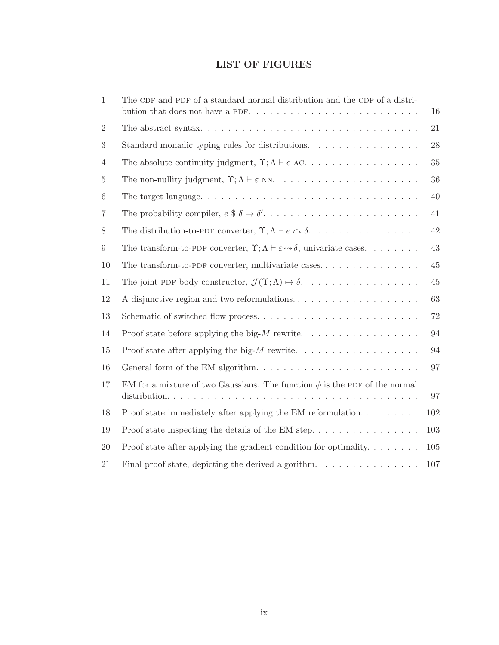# LIST OF FIGURES

| $\mathbf{1}$     | The CDF and PDF of a standard normal distribution and the CDF of a distri-                                    | 16     |
|------------------|---------------------------------------------------------------------------------------------------------------|--------|
| $\boldsymbol{2}$ | The abstract syntax. $\ldots \ldots \ldots \ldots \ldots \ldots \ldots \ldots \ldots \ldots \ldots$           | 21     |
| 3                | Standard monadic typing rules for distributions.                                                              | 28     |
| 4                | The absolute continuity judgment, $\Upsilon$ ; $\Lambda \vdash e$ AC.                                         | $35\,$ |
| $\overline{5}$   |                                                                                                               | 36     |
| 6                | The target language. $\ldots \ldots \ldots \ldots \ldots \ldots \ldots \ldots \ldots \ldots$                  | 40     |
| 7                |                                                                                                               | 41     |
| 8                |                                                                                                               | 42     |
| 9                | The transform-to-PDF converter, $\Upsilon$ ; $\Lambda \vdash \varepsilon \leadsto \delta$ , univariate cases. | 43     |
| 10               |                                                                                                               | 45     |
| 11               | The joint PDF body constructor, $\mathcal{J}(\Upsilon;\Lambda) \mapsto \delta$ .                              | 45     |
| 12               | A disjunctive region and two reformulations                                                                   | 63     |
| 13               |                                                                                                               | 72     |
| 14               |                                                                                                               | 94     |
| 15               | Proof state after applying the big- $M$ rewrite.                                                              | 94     |
| 16               |                                                                                                               | 97     |
| 17               | EM for a mixture of two Gaussians. The function $\phi$ is the PDF of the normal                               | 97     |
| 18               | Proof state immediately after applying the EM reformulation.                                                  | 102    |
| 19               | Proof state inspecting the details of the EM step. $\dots \dots \dots \dots \dots$                            | 103    |
| 20               | Proof state after applying the gradient condition for optimality. $\dots \dots$                               | 105    |
| 21               | Final proof state, depicting the derived algorithm. $\ldots \ldots \ldots \ldots \ldots$                      | 107    |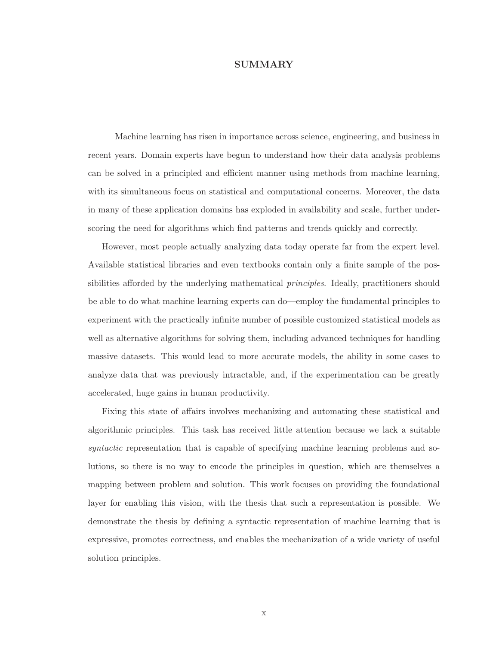# SUMMARY

Machine learning has risen in importance across science, engineering, and business in recent years. Domain experts have begun to understand how their data analysis problems can be solved in a principled and efficient manner using methods from machine learning, with its simultaneous focus on statistical and computational concerns. Moreover, the data in many of these application domains has exploded in availability and scale, further underscoring the need for algorithms which find patterns and trends quickly and correctly.

However, most people actually analyzing data today operate far from the expert level. Available statistical libraries and even textbooks contain only a finite sample of the possibilities afforded by the underlying mathematical principles. Ideally, practitioners should be able to do what machine learning experts can do—employ the fundamental principles to experiment with the practically infinite number of possible customized statistical models as well as alternative algorithms for solving them, including advanced techniques for handling massive datasets. This would lead to more accurate models, the ability in some cases to analyze data that was previously intractable, and, if the experimentation can be greatly accelerated, huge gains in human productivity.

Fixing this state of affairs involves mechanizing and automating these statistical and algorithmic principles. This task has received little attention because we lack a suitable syntactic representation that is capable of specifying machine learning problems and solutions, so there is no way to encode the principles in question, which are themselves a mapping between problem and solution. This work focuses on providing the foundational layer for enabling this vision, with the thesis that such a representation is possible. We demonstrate the thesis by defining a syntactic representation of machine learning that is expressive, promotes correctness, and enables the mechanization of a wide variety of useful solution principles.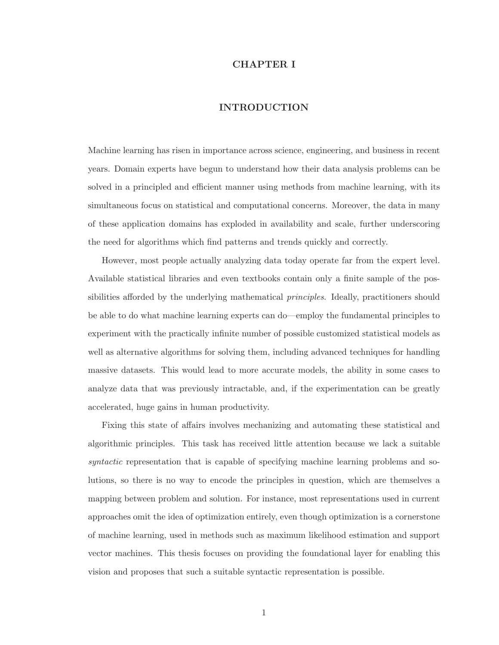# CHAPTER I

# INTRODUCTION

Machine learning has risen in importance across science, engineering, and business in recent years. Domain experts have begun to understand how their data analysis problems can be solved in a principled and efficient manner using methods from machine learning, with its simultaneous focus on statistical and computational concerns. Moreover, the data in many of these application domains has exploded in availability and scale, further underscoring the need for algorithms which find patterns and trends quickly and correctly.

However, most people actually analyzing data today operate far from the expert level. Available statistical libraries and even textbooks contain only a finite sample of the possibilities afforded by the underlying mathematical *principles*. Ideally, practitioners should be able to do what machine learning experts can do—employ the fundamental principles to experiment with the practically infinite number of possible customized statistical models as well as alternative algorithms for solving them, including advanced techniques for handling massive datasets. This would lead to more accurate models, the ability in some cases to analyze data that was previously intractable, and, if the experimentation can be greatly accelerated, huge gains in human productivity.

Fixing this state of affairs involves mechanizing and automating these statistical and algorithmic principles. This task has received little attention because we lack a suitable syntactic representation that is capable of specifying machine learning problems and solutions, so there is no way to encode the principles in question, which are themselves a mapping between problem and solution. For instance, most representations used in current approaches omit the idea of optimization entirely, even though optimization is a cornerstone of machine learning, used in methods such as maximum likelihood estimation and support vector machines. This thesis focuses on providing the foundational layer for enabling this vision and proposes that such a suitable syntactic representation is possible.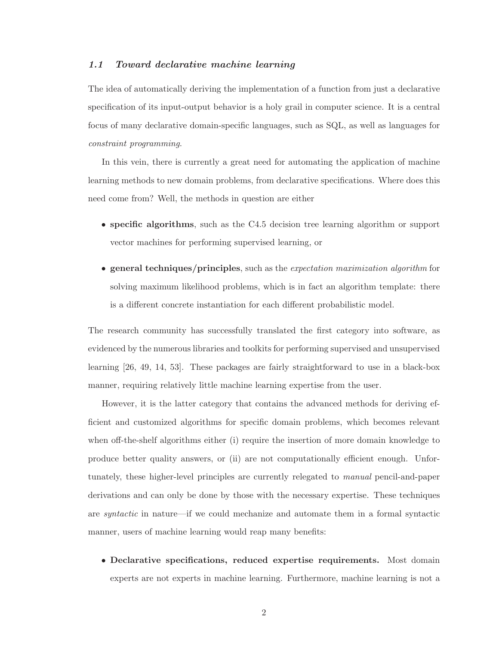## *1.1 Toward declarative machine learning*

The idea of automatically deriving the implementation of a function from just a declarative specification of its input-output behavior is a holy grail in computer science. It is a central focus of many declarative domain-specific languages, such as SQL, as well as languages for constraint programming.

In this vein, there is currently a great need for automating the application of machine learning methods to new domain problems, from declarative specifications. Where does this need come from? Well, the methods in question are either

- specific algorithms, such as the C4.5 decision tree learning algorithm or support vector machines for performing supervised learning, or
- general techniques/principles, such as the *expectation maximization algorithm* for solving maximum likelihood problems, which is in fact an algorithm template: there is a different concrete instantiation for each different probabilistic model.

The research community has successfully translated the first category into software, as evidenced by the numerous libraries and toolkits for performing supervised and unsupervised learning [26, 49, 14, 53]. These packages are fairly straightforward to use in a black-box manner, requiring relatively little machine learning expertise from the user.

However, it is the latter category that contains the advanced methods for deriving efficient and customized algorithms for specific domain problems, which becomes relevant when off-the-shelf algorithms either (i) require the insertion of more domain knowledge to produce better quality answers, or (ii) are not computationally efficient enough. Unfortunately, these higher-level principles are currently relegated to manual pencil-and-paper derivations and can only be done by those with the necessary expertise. These techniques are syntactic in nature—if we could mechanize and automate them in a formal syntactic manner, users of machine learning would reap many benefits:

• Declarative specifications, reduced expertise requirements. Most domain experts are not experts in machine learning. Furthermore, machine learning is not a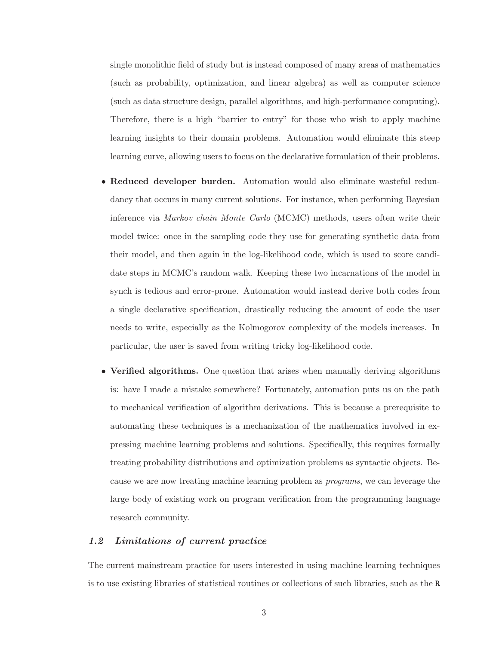single monolithic field of study but is instead composed of many areas of mathematics (such as probability, optimization, and linear algebra) as well as computer science (such as data structure design, parallel algorithms, and high-performance computing). Therefore, there is a high "barrier to entry" for those who wish to apply machine learning insights to their domain problems. Automation would eliminate this steep learning curve, allowing users to focus on the declarative formulation of their problems.

- Reduced developer burden. Automation would also eliminate wasteful redundancy that occurs in many current solutions. For instance, when performing Bayesian inference via Markov chain Monte Carlo (MCMC) methods, users often write their model twice: once in the sampling code they use for generating synthetic data from their model, and then again in the log-likelihood code, which is used to score candidate steps in MCMC's random walk. Keeping these two incarnations of the model in synch is tedious and error-prone. Automation would instead derive both codes from a single declarative specification, drastically reducing the amount of code the user needs to write, especially as the Kolmogorov complexity of the models increases. In particular, the user is saved from writing tricky log-likelihood code.
- Verified algorithms. One question that arises when manually deriving algorithms is: have I made a mistake somewhere? Fortunately, automation puts us on the path to mechanical verification of algorithm derivations. This is because a prerequisite to automating these techniques is a mechanization of the mathematics involved in expressing machine learning problems and solutions. Specifically, this requires formally treating probability distributions and optimization problems as syntactic objects. Because we are now treating machine learning problem as programs, we can leverage the large body of existing work on program verification from the programming language research community.

## *1.2 Limitations of current practice*

The current mainstream practice for users interested in using machine learning techniques is to use existing libraries of statistical routines or collections of such libraries, such as the R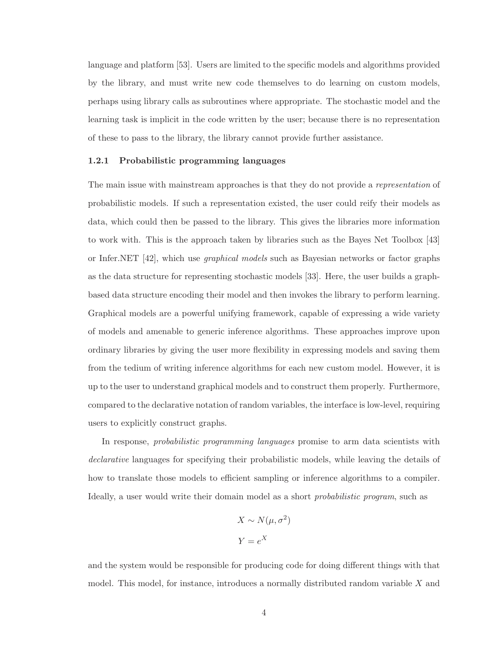language and platform [53]. Users are limited to the specific models and algorithms provided by the library, and must write new code themselves to do learning on custom models, perhaps using library calls as subroutines where appropriate. The stochastic model and the learning task is implicit in the code written by the user; because there is no representation of these to pass to the library, the library cannot provide further assistance.

#### 1.2.1 Probabilistic programming languages

The main issue with mainstream approaches is that they do not provide a *representation* of probabilistic models. If such a representation existed, the user could reify their models as data, which could then be passed to the library. This gives the libraries more information to work with. This is the approach taken by libraries such as the Bayes Net Toolbox [43] or Infer.NET [42], which use graphical models such as Bayesian networks or factor graphs as the data structure for representing stochastic models [33]. Here, the user builds a graphbased data structure encoding their model and then invokes the library to perform learning. Graphical models are a powerful unifying framework, capable of expressing a wide variety of models and amenable to generic inference algorithms. These approaches improve upon ordinary libraries by giving the user more flexibility in expressing models and saving them from the tedium of writing inference algorithms for each new custom model. However, it is up to the user to understand graphical models and to construct them properly. Furthermore, compared to the declarative notation of random variables, the interface is low-level, requiring users to explicitly construct graphs.

In response, probabilistic programming languages promise to arm data scientists with declarative languages for specifying their probabilistic models, while leaving the details of how to translate those models to efficient sampling or inference algorithms to a compiler. Ideally, a user would write their domain model as a short *probabilistic program*, such as

$$
X \sim N(\mu, \sigma^2)
$$

$$
Y = e^X
$$

and the system would be responsible for producing code for doing different things with that model. This model, for instance, introduces a normally distributed random variable  $X$  and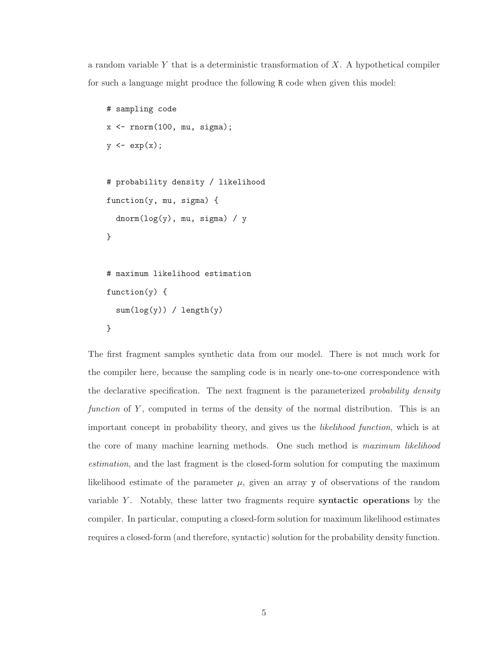a random variable Y that is a deterministic transformation of  $X$ . A hypothetical compiler for such a language might produce the following R code when given this model:

```
# sampling code
x \leftarrow \text{rnorm}(100, \text{mu}, \text{sigma});
y \leftarrow \exp(x);
# probability density / likelihood
function(y, mu, sigma) {
  dnorm(log(y), mu, sigma) / y
}
# maximum likelihood estimation
function(y) {
  sum(log(y)) / length(y)
}
```
The first fragment samples synthetic data from our model. There is not much work for the compiler here, because the sampling code is in nearly one-to-one correspondence with the declarative specification. The next fragment is the parameterized *probability density* function of  $Y$ , computed in terms of the density of the normal distribution. This is an important concept in probability theory, and gives us the likelihood function, which is at the core of many machine learning methods. One such method is maximum likelihood estimation, and the last fragment is the closed-form solution for computing the maximum likelihood estimate of the parameter  $\mu$ , given an array y of observations of the random variable  $Y$ . Notably, these latter two fragments require syntactic operations by the compiler. In particular, computing a closed-form solution for maximum likelihood estimates requires a closed-form (and therefore, syntactic) solution for the probability density function.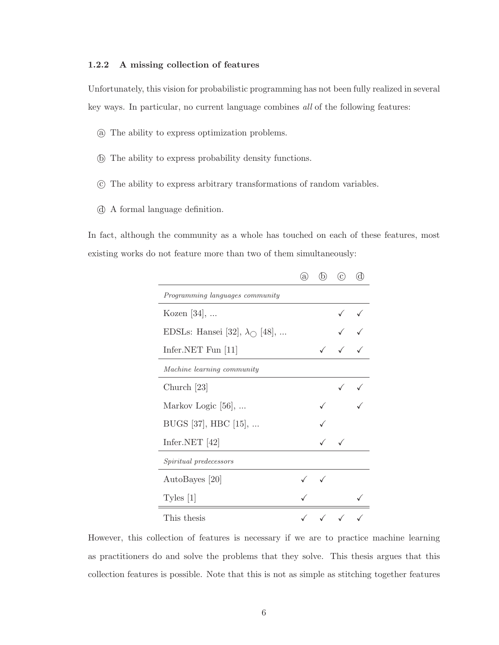# 1.2.2 A missing collection of features

Unfortunately, this vision for probabilistic programming has not been fully realized in several key ways. In particular, no current language combines all of the following features:

- a The ability to express optimization problems.
- b The ability to express probability density functions.
- c The ability to express arbitrary transformations of random variables.
- d A formal language definition.

In fact, although the community as a whole has touched on each of these features, most existing works do not feature more than two of them simultaneously:

|                                                | ΄a | ď            | $\rm (c)$ | ď            |
|------------------------------------------------|----|--------------|-----------|--------------|
| Programming languages community                |    |              |           |              |
| Kozen [34],                                    |    |              |           | $\checkmark$ |
| EDSLs: Hansei [32], $\lambda_{\bigcirc}$ [48], |    |              |           |              |
| Infer.NET Fun $[11]$                           |    |              |           |              |
| <i>Machine learning community</i>              |    |              |           |              |
| Church $[23]$                                  |    |              |           |              |
| Markov Logic [56],                             |    |              |           |              |
| BUGS [37], HBC [15],                           |    |              |           |              |
| Infer.NET $[42]$                               |    |              |           |              |
| <i>Spiritual predecessors</i>                  |    |              |           |              |
| AutoBayes [20]                                 |    | $\checkmark$ |           |              |
| Tyles $[1]$                                    |    |              |           |              |
| This thesis                                    |    |              |           |              |

However, this collection of features is necessary if we are to practice machine learning as practitioners do and solve the problems that they solve. This thesis argues that this collection features is possible. Note that this is not as simple as stitching together features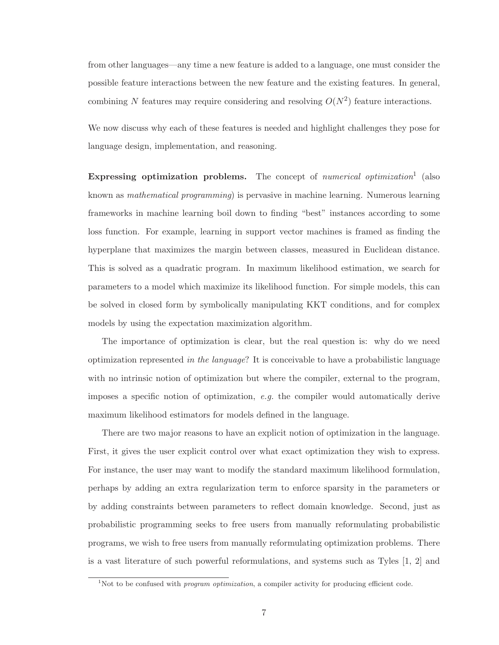from other languages—any time a new feature is added to a language, one must consider the possible feature interactions between the new feature and the existing features. In general, combining N features may require considering and resolving  $O(N^2)$  feature interactions.

We now discuss why each of these features is needed and highlight challenges they pose for language design, implementation, and reasoning.

Expressing optimization problems. The concept of numerical optimization<sup>1</sup> (also known as mathematical programming) is pervasive in machine learning. Numerous learning frameworks in machine learning boil down to finding "best" instances according to some loss function. For example, learning in support vector machines is framed as finding the hyperplane that maximizes the margin between classes, measured in Euclidean distance. This is solved as a quadratic program. In maximum likelihood estimation, we search for parameters to a model which maximize its likelihood function. For simple models, this can be solved in closed form by symbolically manipulating KKT conditions, and for complex models by using the expectation maximization algorithm.

The importance of optimization is clear, but the real question is: why do we need optimization represented in the language? It is conceivable to have a probabilistic language with no intrinsic notion of optimization but where the compiler, external to the program, imposes a specific notion of optimization, e.g. the compiler would automatically derive maximum likelihood estimators for models defined in the language.

There are two major reasons to have an explicit notion of optimization in the language. First, it gives the user explicit control over what exact optimization they wish to express. For instance, the user may want to modify the standard maximum likelihood formulation, perhaps by adding an extra regularization term to enforce sparsity in the parameters or by adding constraints between parameters to reflect domain knowledge. Second, just as probabilistic programming seeks to free users from manually reformulating probabilistic programs, we wish to free users from manually reformulating optimization problems. There is a vast literature of such powerful reformulations, and systems such as Tyles [1, 2] and

 $1$ Not to be confused with *program optimization*, a compiler activity for producing efficient code.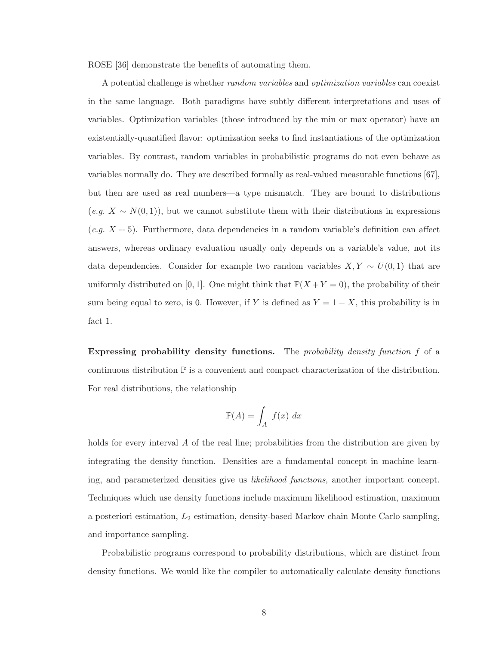ROSE [36] demonstrate the benefits of automating them.

A potential challenge is whether random variables and optimization variables can coexist in the same language. Both paradigms have subtly different interpretations and uses of variables. Optimization variables (those introduced by the min or max operator) have an existentially-quantified flavor: optimization seeks to find instantiations of the optimization variables. By contrast, random variables in probabilistic programs do not even behave as variables normally do. They are described formally as real-valued measurable functions [67], but then are used as real numbers—a type mismatch. They are bound to distributions (e.g.  $X \sim N(0, 1)$ ), but we cannot substitute them with their distributions in expressions (e.g.  $X + 5$ ). Furthermore, data dependencies in a random variable's definition can affect answers, whereas ordinary evaluation usually only depends on a variable's value, not its data dependencies. Consider for example two random variables  $X, Y \sim U(0, 1)$  that are uniformly distributed on [0, 1]. One might think that  $\mathbb{P}(X+Y=0)$ , the probability of their sum being equal to zero, is 0. However, if Y is defined as  $Y = 1 - X$ , this probability is in fact 1.

**Expressing probability density functions.** The *probability density function* f of a continuous distribution  $\mathbb P$  is a convenient and compact characterization of the distribution. For real distributions, the relationship

$$
\mathbb{P}(A) = \int_A f(x) \ dx
$$

holds for every interval  $A$  of the real line; probabilities from the distribution are given by integrating the density function. Densities are a fundamental concept in machine learning, and parameterized densities give us likelihood functions, another important concept. Techniques which use density functions include maximum likelihood estimation, maximum a posteriori estimation,  $L_2$  estimation, density-based Markov chain Monte Carlo sampling, and importance sampling.

Probabilistic programs correspond to probability distributions, which are distinct from density functions. We would like the compiler to automatically calculate density functions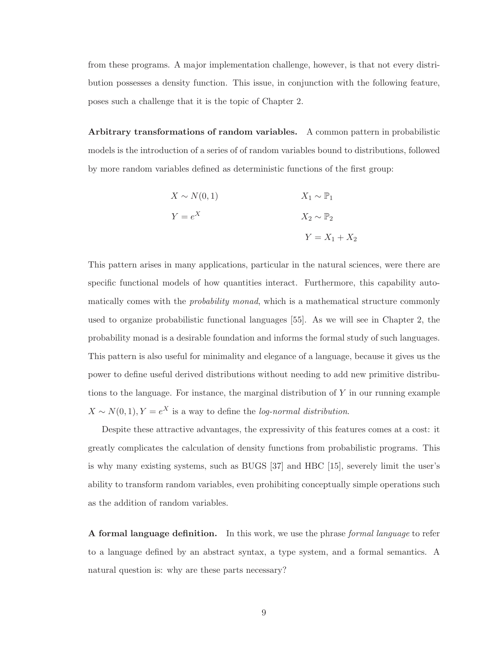from these programs. A major implementation challenge, however, is that not every distribution possesses a density function. This issue, in conjunction with the following feature, poses such a challenge that it is the topic of Chapter 2.

Arbitrary transformations of random variables. A common pattern in probabilistic models is the introduction of a series of of random variables bound to distributions, followed by more random variables defined as deterministic functions of the first group:

$$
X \sim N(0, 1)
$$
  
\n
$$
Y = e^{X}
$$
  
\n
$$
X_1 \sim \mathbb{P}_1
$$
  
\n
$$
X_2 \sim \mathbb{P}_2
$$
  
\n
$$
Y = X_1 + X_2
$$

This pattern arises in many applications, particular in the natural sciences, were there are specific functional models of how quantities interact. Furthermore, this capability automatically comes with the *probability monad*, which is a mathematical structure commonly used to organize probabilistic functional languages [55]. As we will see in Chapter 2, the probability monad is a desirable foundation and informs the formal study of such languages. This pattern is also useful for minimality and elegance of a language, because it gives us the power to define useful derived distributions without needing to add new primitive distributions to the language. For instance, the marginal distribution of  $Y$  in our running example  $X \sim N(0, 1), Y = e^X$  is a way to define the *log-normal distribution*.

Despite these attractive advantages, the expressivity of this features comes at a cost: it greatly complicates the calculation of density functions from probabilistic programs. This is why many existing systems, such as BUGS [37] and HBC [15], severely limit the user's ability to transform random variables, even prohibiting conceptually simple operations such as the addition of random variables.

A formal language definition. In this work, we use the phrase *formal language* to refer to a language defined by an abstract syntax, a type system, and a formal semantics. A natural question is: why are these parts necessary?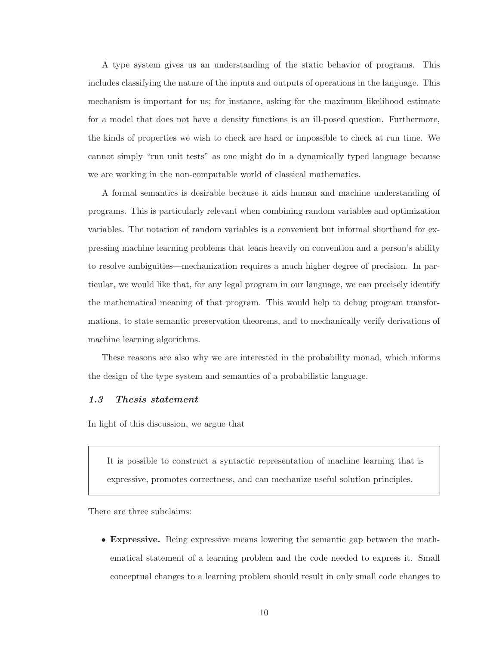A type system gives us an understanding of the static behavior of programs. This includes classifying the nature of the inputs and outputs of operations in the language. This mechanism is important for us; for instance, asking for the maximum likelihood estimate for a model that does not have a density functions is an ill-posed question. Furthermore, the kinds of properties we wish to check are hard or impossible to check at run time. We cannot simply "run unit tests" as one might do in a dynamically typed language because we are working in the non-computable world of classical mathematics.

A formal semantics is desirable because it aids human and machine understanding of programs. This is particularly relevant when combining random variables and optimization variables. The notation of random variables is a convenient but informal shorthand for expressing machine learning problems that leans heavily on convention and a person's ability to resolve ambiguities—mechanization requires a much higher degree of precision. In particular, we would like that, for any legal program in our language, we can precisely identify the mathematical meaning of that program. This would help to debug program transformations, to state semantic preservation theorems, and to mechanically verify derivations of machine learning algorithms.

These reasons are also why we are interested in the probability monad, which informs the design of the type system and semantics of a probabilistic language.

# *1.3 Thesis statement*

In light of this discussion, we argue that

It is possible to construct a syntactic representation of machine learning that is expressive, promotes correctness, and can mechanize useful solution principles.

There are three subclaims:

• Expressive. Being expressive means lowering the semantic gap between the mathematical statement of a learning problem and the code needed to express it. Small conceptual changes to a learning problem should result in only small code changes to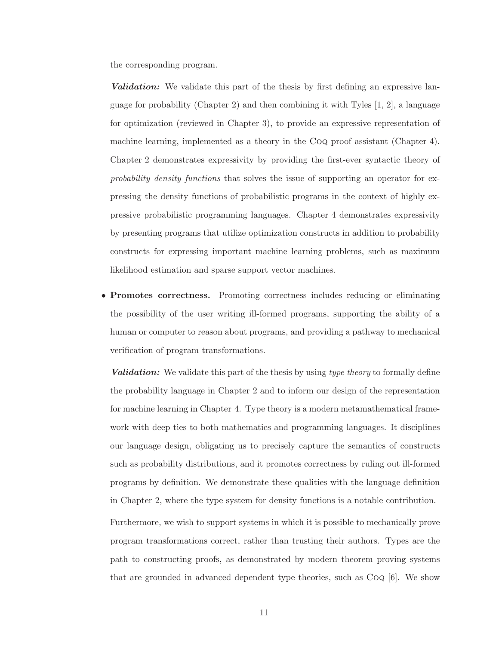the corresponding program.

*Validation:* We validate this part of the thesis by first defining an expressive language for probability (Chapter 2) and then combining it with Tyles  $[1, 2]$ , a language for optimization (reviewed in Chapter 3), to provide an expressive representation of machine learning, implemented as a theory in the Coq proof assistant (Chapter 4). Chapter 2 demonstrates expressivity by providing the first-ever syntactic theory of probability density functions that solves the issue of supporting an operator for expressing the density functions of probabilistic programs in the context of highly expressive probabilistic programming languages. Chapter 4 demonstrates expressivity by presenting programs that utilize optimization constructs in addition to probability constructs for expressing important machine learning problems, such as maximum likelihood estimation and sparse support vector machines.

• Promotes correctness. Promoting correctness includes reducing or eliminating the possibility of the user writing ill-formed programs, supporting the ability of a human or computer to reason about programs, and providing a pathway to mechanical verification of program transformations.

*Validation:* We validate this part of the thesis by using type theory to formally define the probability language in Chapter 2 and to inform our design of the representation for machine learning in Chapter 4. Type theory is a modern metamathematical framework with deep ties to both mathematics and programming languages. It disciplines our language design, obligating us to precisely capture the semantics of constructs such as probability distributions, and it promotes correctness by ruling out ill-formed programs by definition. We demonstrate these qualities with the language definition in Chapter 2, where the type system for density functions is a notable contribution.

Furthermore, we wish to support systems in which it is possible to mechanically prove program transformations correct, rather than trusting their authors. Types are the path to constructing proofs, as demonstrated by modern theorem proving systems that are grounded in advanced dependent type theories, such as Coq [6]. We show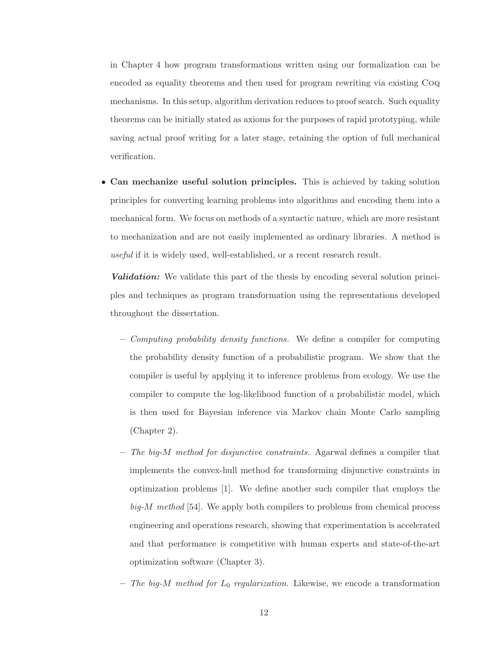in Chapter 4 how program transformations written using our formalization can be encoded as equality theorems and then used for program rewriting via existing Coq mechanisms. In this setup, algorithm derivation reduces to proof search. Such equality theorems can be initially stated as axioms for the purposes of rapid prototyping, while saving actual proof writing for a later stage, retaining the option of full mechanical verification.

• Can mechanize useful solution principles. This is achieved by taking solution principles for converting learning problems into algorithms and encoding them into a mechanical form. We focus on methods of a syntactic nature, which are more resistant to mechanization and are not easily implemented as ordinary libraries. A method is useful if it is widely used, well-established, or a recent research result.

*Validation:* We validate this part of the thesis by encoding several solution principles and techniques as program transformation using the representations developed throughout the dissertation.

- Computing probability density functions. We define a compiler for computing the probability density function of a probabilistic program. We show that the compiler is useful by applying it to inference problems from ecology. We use the compiler to compute the log-likelihood function of a probabilistic model, which is then used for Bayesian inference via Markov chain Monte Carlo sampling (Chapter 2).
- $-$  The big-M method for disjunctive constraints. Agarwal defines a compiler that implements the convex-hull method for transforming disjunctive constraints in optimization problems [1]. We define another such compiler that employs the  $big-M$  method [54]. We apply both compilers to problems from chemical process engineering and operations research, showing that experimentation is accelerated and that performance is competitive with human experts and state-of-the-art optimization software (Chapter 3).

– The big-M method for  $L_0$  regularization. Likewise, we encode a transformation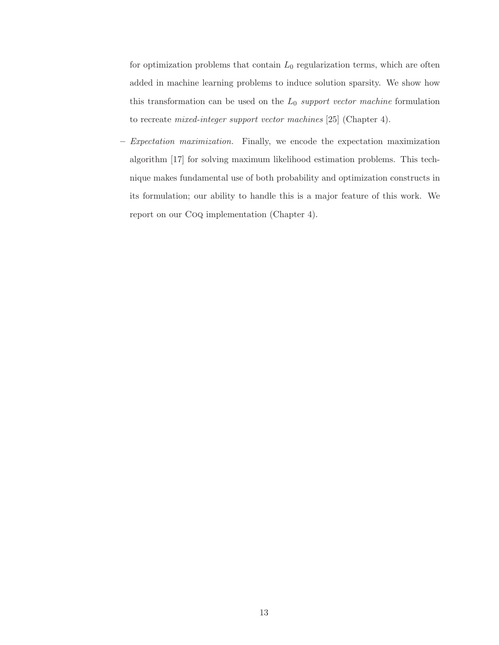for optimization problems that contain  $L_0$  regularization terms, which are often added in machine learning problems to induce solution sparsity. We show how this transformation can be used on the  $L_0$  support vector machine formulation to recreate mixed-integer support vector machines [25] (Chapter 4).

– Expectation maximization. Finally, we encode the expectation maximization algorithm [17] for solving maximum likelihood estimation problems. This technique makes fundamental use of both probability and optimization constructs in its formulation; our ability to handle this is a major feature of this work. We report on our Coq implementation (Chapter 4).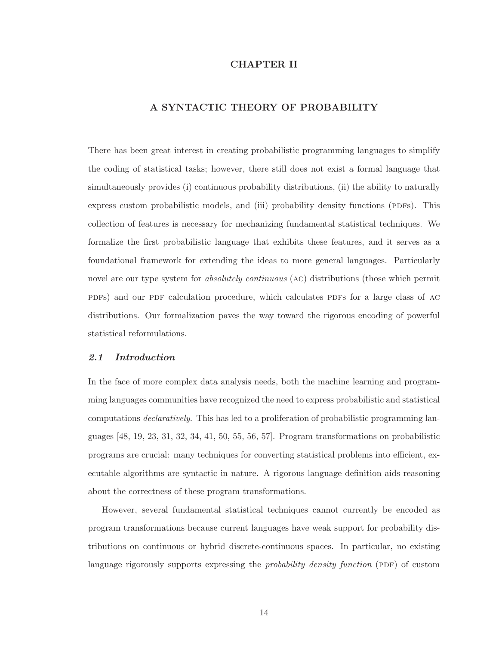# CHAPTER II

# A SYNTACTIC THEORY OF PROBABILITY

There has been great interest in creating probabilistic programming languages to simplify the coding of statistical tasks; however, there still does not exist a formal language that simultaneously provides (i) continuous probability distributions, (ii) the ability to naturally express custom probabilistic models, and (iii) probability density functions (PDFs). This collection of features is necessary for mechanizing fundamental statistical techniques. We formalize the first probabilistic language that exhibits these features, and it serves as a foundational framework for extending the ideas to more general languages. Particularly novel are our type system for *absolutely continuous* (AC) distributions (those which permit pdfs) and our pdf calculation procedure, which calculates pdfs for a large class of AC distributions. Our formalization paves the way toward the rigorous encoding of powerful statistical reformulations.

## *2.1 Introduction*

In the face of more complex data analysis needs, both the machine learning and programming languages communities have recognized the need to express probabilistic and statistical computations *declaratively*. This has led to a proliferation of probabilistic programming languages [48, 19, 23, 31, 32, 34, 41, 50, 55, 56, 57]. Program transformations on probabilistic programs are crucial: many techniques for converting statistical problems into efficient, executable algorithms are syntactic in nature. A rigorous language definition aids reasoning about the correctness of these program transformations.

However, several fundamental statistical techniques cannot currently be encoded as program transformations because current languages have weak support for probability distributions on continuous or hybrid discrete-continuous spaces. In particular, no existing language rigorously supports expressing the *probability density function* (PDF) of custom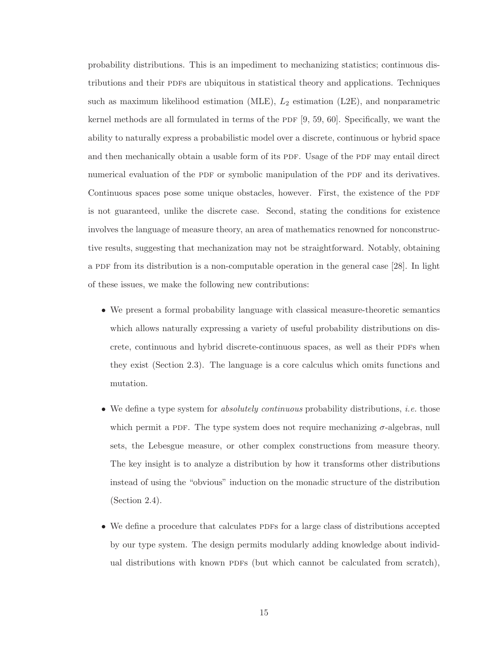probability distributions. This is an impediment to mechanizing statistics; continuous distributions and their pdfs are ubiquitous in statistical theory and applications. Techniques such as maximum likelihood estimation (MLE),  $L_2$  estimation (L2E), and nonparametric kernel methods are all formulated in terms of the PDF  $[9, 59, 60]$ . Specifically, we want the ability to naturally express a probabilistic model over a discrete, continuous or hybrid space and then mechanically obtain a usable form of its PDF. Usage of the PDF may entail direct numerical evaluation of the PDF or symbolic manipulation of the PDF and its derivatives. Continuous spaces pose some unique obstacles, however. First, the existence of the PDF is not guaranteed, unlike the discrete case. Second, stating the conditions for existence involves the language of measure theory, an area of mathematics renowned for nonconstructive results, suggesting that mechanization may not be straightforward. Notably, obtaining a PDF from its distribution is a non-computable operation in the general case  $[28]$ . In light of these issues, we make the following new contributions:

- We present a formal probability language with classical measure-theoretic semantics which allows naturally expressing a variety of useful probability distributions on discrete, continuous and hybrid discrete-continuous spaces, as well as their PDFs when they exist (Section 2.3). The language is a core calculus which omits functions and mutation.
- We define a type system for *absolutely continuous* probability distributions, *i.e.* those which permit a PDF. The type system does not require mechanizing  $\sigma$ -algebras, null sets, the Lebesgue measure, or other complex constructions from measure theory. The key insight is to analyze a distribution by how it transforms other distributions instead of using the "obvious" induction on the monadic structure of the distribution (Section 2.4).
- We define a procedure that calculates PDFs for a large class of distributions accepted by our type system. The design permits modularly adding knowledge about individual distributions with known PDFs (but which cannot be calculated from scratch),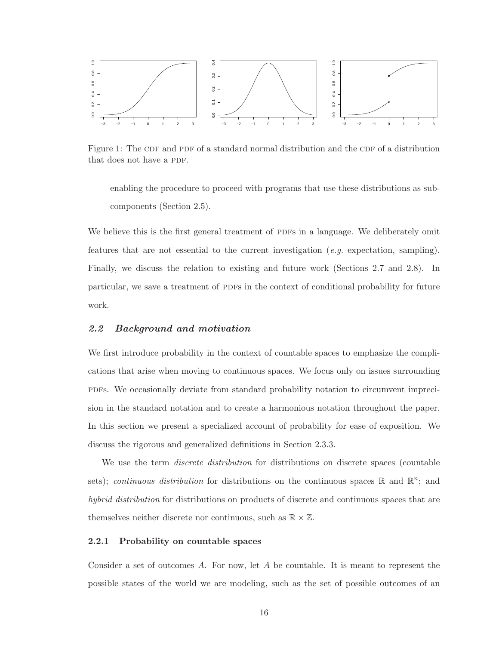

Figure 1: The CDF and PDF of a standard normal distribution and the CDF of a distribution that does not have a PDF.

enabling the procedure to proceed with programs that use these distributions as subcomponents (Section 2.5).

We believe this is the first general treatment of PDFs in a language. We deliberately omit features that are not essential to the current investigation  $(e.g.$  expectation, sampling). Finally, we discuss the relation to existing and future work (Sections 2.7 and 2.8). In particular, we save a treatment of PDFs in the context of conditional probability for future work.

## *2.2 Background and motivation*

We first introduce probability in the context of countable spaces to emphasize the complications that arise when moving to continuous spaces. We focus only on issues surrounding pdfs. We occasionally deviate from standard probability notation to circumvent imprecision in the standard notation and to create a harmonious notation throughout the paper. In this section we present a specialized account of probability for ease of exposition. We discuss the rigorous and generalized definitions in Section 2.3.3.

We use the term *discrete distribution* for distributions on discrete spaces (countable sets); continuous distribution for distributions on the continuous spaces  $\mathbb{R}$  and  $\mathbb{R}^n$ ; and hybrid distribution for distributions on products of discrete and continuous spaces that are themselves neither discrete nor continuous, such as  $\mathbb{R} \times \mathbb{Z}$ .

#### 2.2.1 Probability on countable spaces

Consider a set of outcomes A. For now, let A be countable. It is meant to represent the possible states of the world we are modeling, such as the set of possible outcomes of an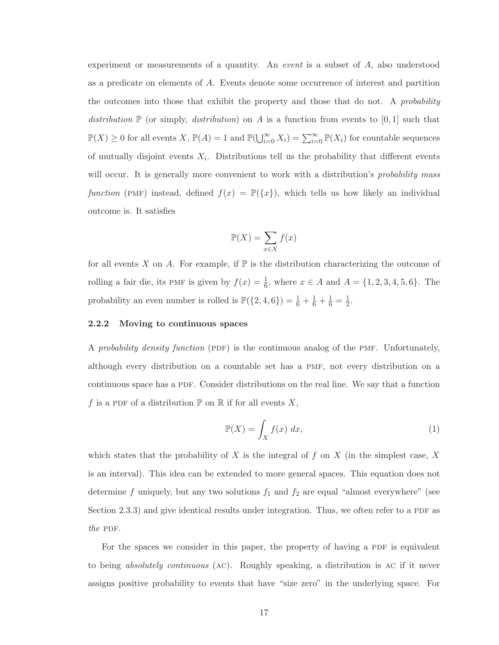experiment or measurements of a quantity. An event is a subset of A, also understood as a predicate on elements of A. Events denote some occurrence of interest and partition the outcomes into those that exhibit the property and those that do not. A probability distribution  $\mathbb P$  (or simply, distribution) on A is a function from events to [0,1] such that  $\mathbb{P}(X) \ge 0$  for all events X,  $\mathbb{P}(A) = 1$  and  $\mathbb{P}(\bigcup_{i=0}^{\infty} X_i) = \sum_{i=0}^{\infty} \mathbb{P}(X_i)$  for countable sequences of mutually disjoint events  $X_i$ . Distributions tell us the probability that different events will occur. It is generally more convenient to work with a distribution's *probability mass* function (PMF) instead, defined  $f(x) = \mathbb{P}(\{x\})$ , which tells us how likely an individual outcome is. It satisfies

$$
\mathbb{P}(X) = \sum_{x \in X} f(x)
$$

for all events X on A. For example, if  $\mathbb P$  is the distribution characterizing the outcome of rolling a fair die, its PMF is given by  $f(x) = \frac{1}{6}$ , where  $x \in A$  and  $A = \{1, 2, 3, 4, 5, 6\}$ . The probability an even number is rolled is  $\mathbb{P}({2, 4, 6}) = \frac{1}{6} + \frac{1}{6} + \frac{1}{6} = \frac{1}{2}$  $\frac{1}{2}$ .

### 2.2.2 Moving to continuous spaces

A probability density function (PDF) is the continuous analog of the PMF. Unfortunately, although every distribution on a countable set has a pmf, not every distribution on a continuous space has a PDF. Consider distributions on the real line. We say that a function f is a PDF of a distribution  $\mathbb P$  on  $\mathbb R$  if for all events  $X$ ,

$$
\mathbb{P}(X) = \int_X f(x) \, dx,\tag{1}
$$

which states that the probability of X is the integral of f on X (in the simplest case, X is an interval). This idea can be extended to more general spaces. This equation does not determine f uniquely, but any two solutions  $f_1$  and  $f_2$  are equal "almost everywhere" (see Section  $(2.3.3)$  and give identical results under integration. Thus, we often refer to a PDF as the PDF.

For the spaces we consider in this paper, the property of having a PDF is equivalent to being *absolutely continuous* (AC). Roughly speaking, a distribution is AC if it never assigns positive probability to events that have "size zero" in the underlying space. For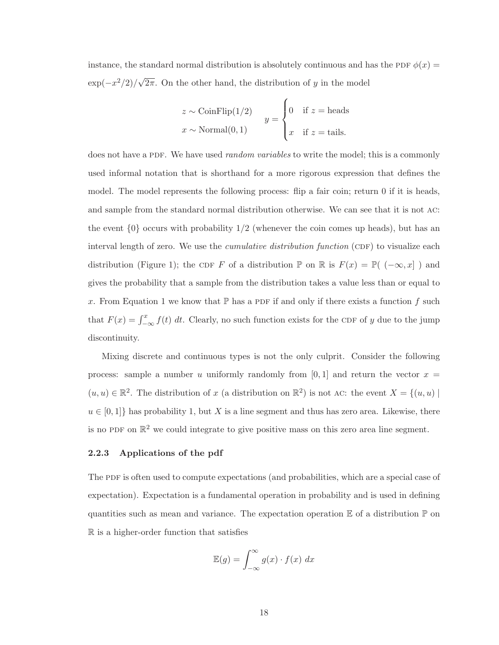instance, the standard normal distribution is absolutely continuous and has the PDF  $\phi(x) =$  $\exp(-x^2/2)/\sqrt{2\pi}$ . On the other hand, the distribution of y in the model

$$
z \sim \text{CoinFlip}(1/2)
$$

$$
y = \begin{cases} 0 & \text{if } z = \text{heads} \\ x & \text{if } z = \text{tails.} \end{cases}
$$

does not have a PDF. We have used *random variables* to write the model; this is a commonly used informal notation that is shorthand for a more rigorous expression that defines the model. The model represents the following process: flip a fair coin; return 0 if it is heads, and sample from the standard normal distribution otherwise. We can see that it is not ac: the event  $\{0\}$  occurs with probability  $1/2$  (whenever the coin comes up heads), but has an interval length of zero. We use the *cumulative distribution function* (CDF) to visualize each distribution (Figure 1); the CDF F of a distribution P on R is  $F(x) = \mathbb{P}((-\infty, x])$  and gives the probability that a sample from the distribution takes a value less than or equal to x. From Equation 1 we know that  $\mathbb P$  has a PDF if and only if there exists a function f such that  $F(x) = \int_{-\infty}^{x} f(t) dt$ . Clearly, no such function exists for the CDF of y due to the jump discontinuity.

Mixing discrete and continuous types is not the only culprit. Consider the following process: sample a number u uniformly randomly from  $[0, 1]$  and return the vector  $x =$  $(u, u) \in \mathbb{R}^2$ . The distribution of x (a distribution on  $\mathbb{R}^2$ ) is not AC: the event  $X = \{(u, u) \mid$  $u \in [0,1]$  has probability 1, but X is a line segment and thus has zero area. Likewise, there is no PDF on  $\mathbb{R}^2$  we could integrate to give positive mass on this zero area line segment.

## 2.2.3 Applications of the pdf

The PDF is often used to compute expectations (and probabilities, which are a special case of expectation). Expectation is a fundamental operation in probability and is used in defining quantities such as mean and variance. The expectation operation  $\mathbb E$  of a distribution  $\mathbb P$  on R is a higher-order function that satisfies

$$
\mathbb{E}(g) = \int_{-\infty}^{\infty} g(x) \cdot f(x) \, dx
$$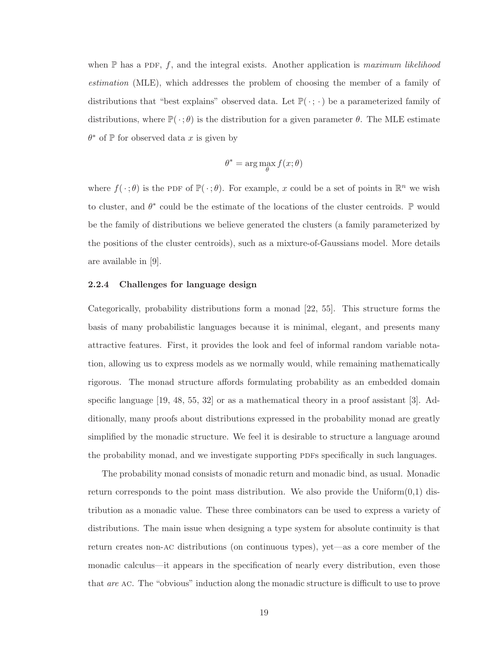when  $\mathbb P$  has a PDF, f, and the integral exists. Another application is maximum likelihood estimation (MLE), which addresses the problem of choosing the member of a family of distributions that "best explains" observed data. Let  $\mathbb{P}(\cdot; \cdot)$  be a parameterized family of distributions, where  $\mathbb{P}(\cdot;\theta)$  is the distribution for a given parameter  $\theta$ . The MLE estimate  $\theta^*$  of  $\mathbb P$  for observed data x is given by

$$
\theta^* = \arg\max_{\theta} f(x; \theta)
$$

where  $f(\cdot;\theta)$  is the PDF of  $\mathbb{P}(\cdot;\theta)$ . For example, x could be a set of points in  $\mathbb{R}^n$  we wish to cluster, and  $\theta^*$  could be the estimate of the locations of the cluster centroids.  $\mathbb P$  would be the family of distributions we believe generated the clusters (a family parameterized by the positions of the cluster centroids), such as a mixture-of-Gaussians model. More details are available in [9].

### 2.2.4 Challenges for language design

Categorically, probability distributions form a monad [22, 55]. This structure forms the basis of many probabilistic languages because it is minimal, elegant, and presents many attractive features. First, it provides the look and feel of informal random variable notation, allowing us to express models as we normally would, while remaining mathematically rigorous. The monad structure affords formulating probability as an embedded domain specific language  $[19, 48, 55, 32]$  or as a mathematical theory in a proof assistant  $[3]$ . Additionally, many proofs about distributions expressed in the probability monad are greatly simplified by the monadic structure. We feel it is desirable to structure a language around the probability monad, and we investigate supporting PDFs specifically in such languages.

The probability monad consists of monadic return and monadic bind, as usual. Monadic return corresponds to the point mass distribution. We also provide the Uniform $(0,1)$  distribution as a monadic value. These three combinators can be used to express a variety of distributions. The main issue when designing a type system for absolute continuity is that return creates non-ac distributions (on continuous types), yet—as a core member of the monadic calculus—it appears in the specification of nearly every distribution, even those that are ac. The "obvious" induction along the monadic structure is difficult to use to prove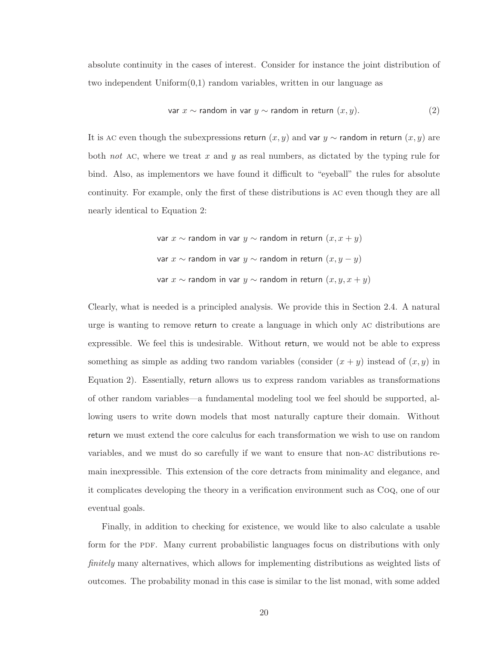absolute continuity in the cases of interest. Consider for instance the joint distribution of two independent Uniform(0,1) random variables, written in our language as

$$
var x \sim random in var y \sim random in return (x, y).
$$
 (2)

It is ac even though the subexpressions return  $(x, y)$  and var y ~ random in return  $(x, y)$  are both not AC, where we treat x and y as real numbers, as dictated by the typing rule for bind. Also, as implementors we have found it difficult to "eyeball" the rules for absolute continuity. For example, only the first of these distributions is ac even though they are all nearly identical to Equation 2:

\n
$$
x \sim \text{random in } \text{var } y \sim \text{random in return } (x, x + y)
$$
\n

\n\n $x \sim \text{random in } \text{var } y \sim \text{random in return } (x, y - y)$ \n

\n\n $x \sim \text{random in } \text{var } y \sim \text{random in return } (x, y, x + y)$ \n

Clearly, what is needed is a principled analysis. We provide this in Section 2.4. A natural urge is wanting to remove return to create a language in which only ac distributions are expressible. We feel this is undesirable. Without return, we would not be able to express something as simple as adding two random variables (consider  $(x + y)$  instead of  $(x, y)$  in Equation 2). Essentially, return allows us to express random variables as transformations of other random variables—a fundamental modeling tool we feel should be supported, allowing users to write down models that most naturally capture their domain. Without return we must extend the core calculus for each transformation we wish to use on random variables, and we must do so carefully if we want to ensure that non-ac distributions remain inexpressible. This extension of the core detracts from minimality and elegance, and it complicates developing the theory in a verification environment such as Coq, one of our eventual goals.

Finally, in addition to checking for existence, we would like to also calculate a usable form for the PDF. Many current probabilistic languages focus on distributions with only finitely many alternatives, which allows for implementing distributions as weighted lists of outcomes. The probability monad in this case is similar to the list monad, with some added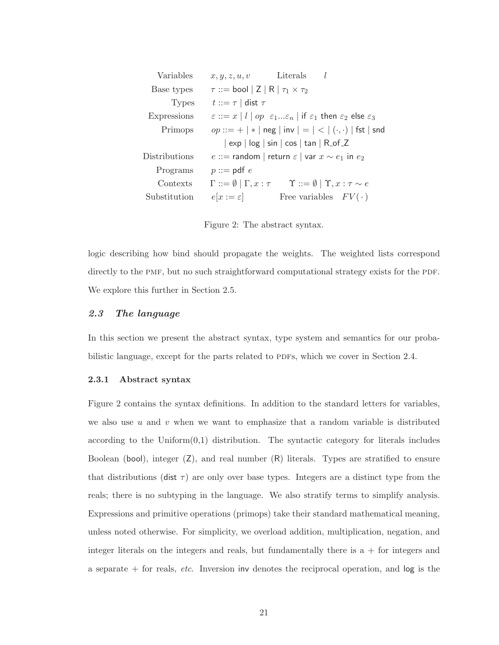| Variables     | Literals<br>x, y, z, u, v                                                                                                  |
|---------------|----------------------------------------------------------------------------------------------------------------------------|
| Base types    | $\tau ::=$ bool $ Z  R   \tau_1 \times \tau_2$                                                                             |
| <b>Types</b>  | $t ::= \tau \mid \text{dist } \tau$                                                                                        |
| Expressions   | $\varepsilon ::= x \mid l \mid op \varepsilon_1\varepsilon_n$ if $\varepsilon_1$ then $\varepsilon_2$ else $\varepsilon_3$ |
| Primops       | $op ::= +   *   neg   inv   =   <   ( \cdot, \cdot )   fst   snd$                                                          |
|               | $\vert$ exp $\vert$ log $\vert$ sin $\vert$ cos $\vert$ tan $\vert$ R_of_Z                                                 |
| Distributions | $e ::=$ random   return $\varepsilon$   var $x \sim e_1$ in $e_2$                                                          |
| Programs      | $p ::=$ pdf $e$                                                                                                            |
| Contexts      | $\Gamma ::= \emptyset \mid \Gamma, x : \tau$<br>$\Upsilon ::= \emptyset   \Upsilon, x : \tau \sim e$                       |
| Substitution  | Free variables $FV(\cdot)$<br>$e[x := \varepsilon]$                                                                        |
|               |                                                                                                                            |

Figure 2: The abstract syntax.

logic describing how bind should propagate the weights. The weighted lists correspond directly to the PMF, but no such straightforward computational strategy exists for the PDF. We explore this further in Section 2.5.

# *2.3 The language*

In this section we present the abstract syntax, type system and semantics for our probabilistic language, except for the parts related to PDFs, which we cover in Section 2.4.

#### 2.3.1 Abstract syntax

Figure 2 contains the syntax definitions. In addition to the standard letters for variables, we also use  $u$  and  $v$  when we want to emphasize that a random variable is distributed according to the Uniform $(0,1)$  distribution. The syntactic category for literals includes Boolean (bool), integer  $(Z)$ , and real number  $(R)$  literals. Types are stratified to ensure that distributions (dist  $\tau$ ) are only over base types. Integers are a distinct type from the reals; there is no subtyping in the language. We also stratify terms to simplify analysis. Expressions and primitive operations (primops) take their standard mathematical meaning, unless noted otherwise. For simplicity, we overload addition, multiplication, negation, and integer literals on the integers and reals, but fundamentally there is  $a + for$  integers and a separate + for reals, etc. Inversion inv denotes the reciprocal operation, and log is the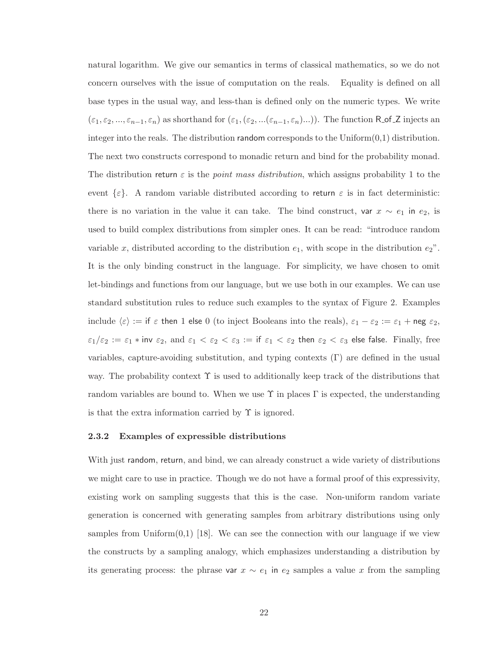natural logarithm. We give our semantics in terms of classical mathematics, so we do not concern ourselves with the issue of computation on the reals. Equality is defined on all base types in the usual way, and less-than is defined only on the numeric types. We write  $(\varepsilon_1, \varepsilon_2, ..., \varepsilon_{n-1}, \varepsilon_n)$  as shorthand for  $(\varepsilon_1, (\varepsilon_2, ..., (\varepsilon_{n-1}, \varepsilon_n)...))$ . The function R\_of\_Z injects an integer into the reals. The distribution random corresponds to the  $Uniform(0,1)$  distribution. The next two constructs correspond to monadic return and bind for the probability monad. The distribution return  $\varepsilon$  is the *point mass distribution*, which assigns probability 1 to the event  $\{\varepsilon\}$ . A random variable distributed according to return  $\varepsilon$  is in fact deterministic: there is no variation in the value it can take. The bind construct, var  $x \sim e_1$  in  $e_2$ , is used to build complex distributions from simpler ones. It can be read: "introduce random variable x, distributed according to the distribution  $e_1$ , with scope in the distribution  $e_2$ ". It is the only binding construct in the language. For simplicity, we have chosen to omit let-bindings and functions from our language, but we use both in our examples. We can use standard substitution rules to reduce such examples to the syntax of Figure 2. Examples include  $\langle \varepsilon \rangle := \text{if } \varepsilon$  then 1 else 0 (to inject Booleans into the reals),  $\varepsilon_1 - \varepsilon_2 := \varepsilon_1 + \text{neg } \varepsilon_2$ ,  $\varepsilon_1/\varepsilon_2 := \varepsilon_1 * \text{inv } \varepsilon_2$ , and  $\varepsilon_1 < \varepsilon_2 < \varepsilon_3 := \text{if } \varepsilon_1 < \varepsilon_2 \text{ then } \varepsilon_2 < \varepsilon_3 \text{ else false. Finally, free}$ variables, capture-avoiding substitution, and typing contexts (Γ) are defined in the usual way. The probability context  $\Upsilon$  is used to additionally keep track of the distributions that random variables are bound to. When we use  $\Upsilon$  in places  $\Gamma$  is expected, the understanding is that the extra information carried by  $\Upsilon$  is ignored.

#### 2.3.2 Examples of expressible distributions

With just random, return, and bind, we can already construct a wide variety of distributions we might care to use in practice. Though we do not have a formal proof of this expressivity, existing work on sampling suggests that this is the case. Non-uniform random variate generation is concerned with generating samples from arbitrary distributions using only samples from  $Uniform(0,1)$  [18]. We can see the connection with our language if we view the constructs by a sampling analogy, which emphasizes understanding a distribution by its generating process: the phrase var  $x \sim e_1$  in  $e_2$  samples a value x from the sampling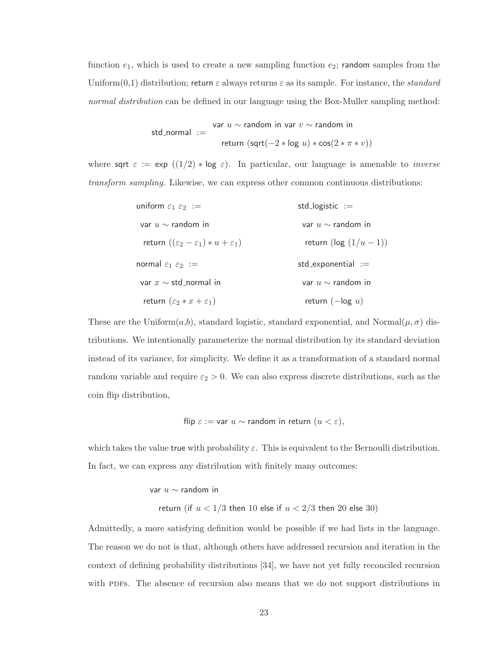function  $e_1$ , which is used to create a new sampling function  $e_2$ ; random samples from the Uniform $(0,1)$  distribution; return  $\varepsilon$  always returns  $\varepsilon$  as its sample. For instance, the *standard* normal distribution can be defined in our language using the Box-Muller sampling method:

$$
\mathsf{std\_normal} := \begin{aligned} \mathsf{var} \ u \sim \mathsf{random} \ \mathsf{in} \ \mathsf{var} \ v \sim \mathsf{random} \ \mathsf{in} \\ \mathsf{return} \ (\mathsf{sqrt}(-2 * \mathsf{log} \ u) * \mathsf{cos}(2 * \pi * v)) \end{aligned}
$$

where sqrt  $\varepsilon := \exp((1/2) * \log \varepsilon)$ . In particular, our language is amenable to *inverse* transform sampling. Likewise, we can express other common continuous distributions:

| uniform $\varepsilon_1 \varepsilon_2 :=$                       | std_logistic $:=$       |
|----------------------------------------------------------------|-------------------------|
| var $u \sim$ random in                                         | var $u \sim$ random in  |
| return $((\varepsilon_2 - \varepsilon_1) * u + \varepsilon_1)$ | return ( $log(1/u-1)$ ) |
| normal $\varepsilon_1 \varepsilon_2 :=$                        | $std$ _exponential :=   |
| var $x \sim$ std normal in                                     | var $u \sim$ random in  |
| return $(\varepsilon_2 * x + \varepsilon_1)$                   | return $(-\log u)$      |

These are the Uniform $(a,b)$ , standard logistic, standard exponential, and Normal $(\mu, \sigma)$  distributions. We intentionally parameterize the normal distribution by its standard deviation instead of its variance, for simplicity. We define it as a transformation of a standard normal random variable and require  $\varepsilon_2 > 0$ . We can also express discrete distributions, such as the coin flip distribution,

$$
flip \varepsilon := \text{var } u \sim \text{random in return } (u < \varepsilon),
$$

which takes the value true with probability  $\varepsilon$ . This is equivalent to the Bernoulli distribution. In fact, we can express any distribution with finitely many outcomes:

> var  $u \sim$  random in return (if  $u < 1/3$  then 10 else if  $u < 2/3$  then 20 else 30)

Admittedly, a more satisfying definition would be possible if we had lists in the language. The reason we do not is that, although others have addressed recursion and iteration in the context of defining probability distributions [34], we have not yet fully reconciled recursion with PDFs. The absence of recursion also means that we do not support distributions in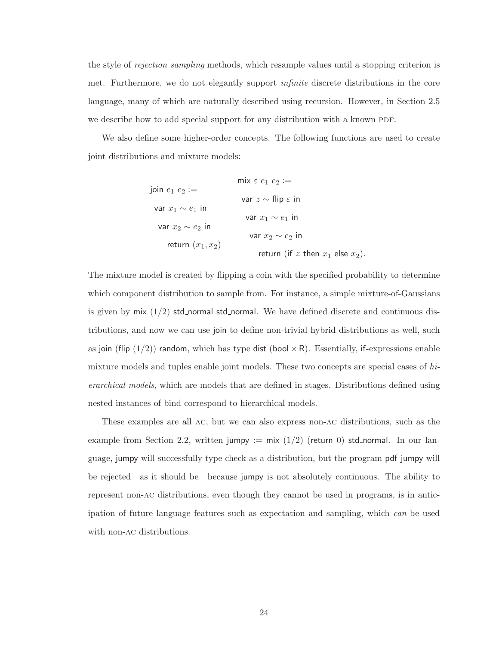the style of rejection sampling methods, which resample values until a stopping criterion is met. Furthermore, we do not elegantly support infinite discrete distributions in the core language, many of which are naturally described using recursion. However, in Section 2.5 we describe how to add special support for any distribution with a known PDF.

We also define some higher-order concepts. The following functions are used to create joint distributions and mixture models:

$$
\begin{aligned}\n\text{join } e_1 \ e_2 &:= \\
\text{var } x_1 \sim e_1 \text{ in} \\
\text{var } x_2 \sim e_2 \text{ in} \\
\text{var } x_2 \sim e_2 \text{ in} \\
\text{var } x_1 \sim e_1 \text{ in} \\
\text{var } x_2 \sim e_2 \text{ in} \\
\text{return } (x_1, x_2) \\
\text{return } (\text{if } z \text{ then } x_1 \text{ else } x_2).\n\end{aligned}
$$

The mixture model is created by flipping a coin with the specified probability to determine which component distribution to sample from. For instance, a simple mixture-of-Gaussians is given by  $mix(1/2)$  std normal std normal. We have defined discrete and continuous distributions, and now we can use join to define non-trivial hybrid distributions as well, such as join (flip  $(1/2)$ ) random, which has type dist (bool  $\times$  R). Essentially, if-expressions enable mixture models and tuples enable joint models. These two concepts are special cases of hierarchical models, which are models that are defined in stages. Distributions defined using nested instances of bind correspond to hierarchical models.

These examples are all ac, but we can also express non-ac distributions, such as the example from Section 2.2, written jumpy :=  $mix(1/2)$  (return 0) std\_normal. In our language, jumpy will successfully type check as a distribution, but the program pdf jumpy will be rejected—as it should be—because jumpy is not absolutely continuous. The ability to represent non-ac distributions, even though they cannot be used in programs, is in anticipation of future language features such as expectation and sampling, which can be used with non-ac distributions.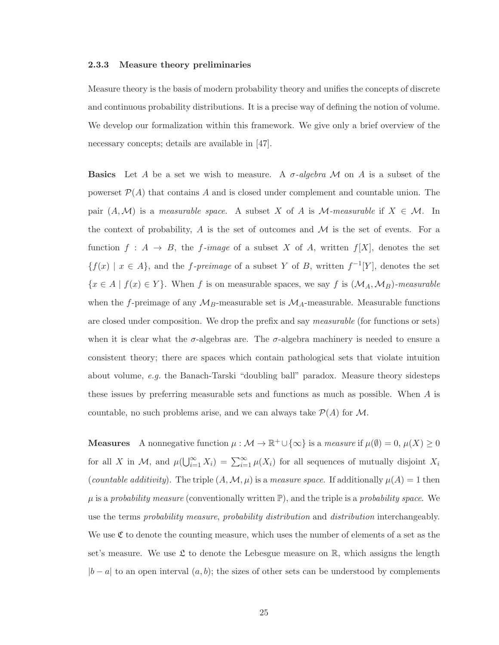#### 2.3.3 Measure theory preliminaries

Measure theory is the basis of modern probability theory and unifies the concepts of discrete and continuous probability distributions. It is a precise way of defining the notion of volume. We develop our formalization within this framework. We give only a brief overview of the necessary concepts; details are available in [47].

**Basics** Let A be a set we wish to measure. A  $\sigma$ -algebra M on A is a subset of the powerset  $\mathcal{P}(A)$  that contains A and is closed under complement and countable union. The pair  $(A, \mathcal{M})$  is a measurable space. A subset X of A is M-measurable if  $X \in \mathcal{M}$ . In the context of probability,  $\tilde{A}$  is the set of outcomes and  $\cal{M}$  is the set of events. For a function  $f : A \rightarrow B$ , the f-image of a subset X of A, written  $f[X]$ , denotes the set  ${f(x) | x \in A}$ , and the *f*-preimage of a subset Y of B, written  $f^{-1}[Y]$ , denotes the set  ${x \in A \mid f(x) \in Y}$ . When f is on measurable spaces, we say f is  $(\mathcal{M}_A, \mathcal{M}_B)$ -measurable when the f-preimage of any  $\mathcal{M}_B$ -measurable set is  $\mathcal{M}_A$ -measurable. Measurable functions are closed under composition. We drop the prefix and say *measurable* (for functions or sets) when it is clear what the  $\sigma$ -algebras are. The  $\sigma$ -algebra machinery is needed to ensure a consistent theory; there are spaces which contain pathological sets that violate intuition about volume, e.g. the Banach-Tarski "doubling ball" paradox. Measure theory sidesteps these issues by preferring measurable sets and functions as much as possible. When A is countable, no such problems arise, and we can always take  $\mathcal{P}(A)$  for M.

**Measures** A nonnegative function  $\mu : \mathcal{M} \to \mathbb{R}^+ \cup \{\infty\}$  is a *measure* if  $\mu(\emptyset) = 0$ ,  $\mu(X) \ge 0$ for all X in M, and  $\mu(\bigcup_{i=1}^{\infty} X_i) = \sum_{i=1}^{\infty} \mu(X_i)$  for all sequences of mutually disjoint  $X_i$ (countable additivity). The triple  $(A, \mathcal{M}, \mu)$  is a measure space. If additionally  $\mu(A) = 1$  then  $\mu$  is a probability measure (conventionally written  $\mathbb{P}$ ), and the triple is a probability space. We use the terms probability measure, probability distribution and distribution interchangeably. We use  $\mathfrak C$  to denote the counting measure, which uses the number of elements of a set as the set's measure. We use  $\mathfrak L$  to denote the Lebesgue measure on  $\mathbb R$ , which assigns the length  $|b - a|$  to an open interval  $(a, b)$ ; the sizes of other sets can be understood by complements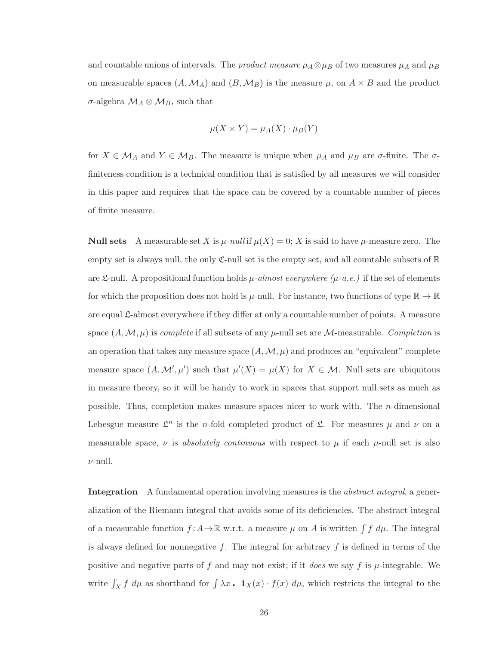and countable unions of intervals. The *product measure*  $\mu_A \otimes \mu_B$  of two measures  $\mu_A$  and  $\mu_B$ on measurable spaces  $(A, \mathcal{M}_A)$  and  $(B, \mathcal{M}_B)$  is the measure  $\mu$ , on  $A \times B$  and the product σ-algebra  $M_A \otimes M_B$ , such that

$$
\mu(X \times Y) = \mu_A(X) \cdot \mu_B(Y)
$$

for  $X \in \mathcal{M}_A$  and  $Y \in \mathcal{M}_B$ . The measure is unique when  $\mu_A$  and  $\mu_B$  are  $\sigma$ -finite. The  $\sigma$ finiteness condition is a technical condition that is satisfied by all measures we will consider in this paper and requires that the space can be covered by a countable number of pieces of finite measure.

**Null sets** A measurable set X is  $\mu$ -null if  $\mu(X) = 0$ ; X is said to have  $\mu$ -measure zero. The empty set is always null, the only  $\mathfrak{C}\text{-}$  null set is the empty set, and all countable subsets of  $\mathbb R$ are  $\mathfrak{L}$ -null. A propositional function holds  $\mu$ -almost everywhere ( $\mu$ -a.e.) if the set of elements for which the proposition does not hold is  $\mu$ -null. For instance, two functions of type  $\mathbb{R} \to \mathbb{R}$ are equal  $\mathfrak{L}\text{-almost everywhere if they differ at only a countable number of points. A measure$ space  $(A, \mathcal{M}, \mu)$  is *complete* if all subsets of any  $\mu$ -null set are M-measurable. Completion is an operation that takes any measure space  $(A, \mathcal{M}, \mu)$  and produces an "equivalent" complete measure space  $(A, \mathcal{M}', \mu')$  such that  $\mu'(X) = \mu(X)$  for  $X \in \mathcal{M}$ . Null sets are ubiquitous in measure theory, so it will be handy to work in spaces that support null sets as much as possible. Thus, completion makes measure spaces nicer to work with. The n-dimensional Lebesgue measure  $\mathcal{L}^n$  is the *n*-fold completed product of  $\mathcal{L}$ . For measures  $\mu$  and  $\nu$  on a measurable space,  $\nu$  is absolutely continuous with respect to  $\mu$  if each  $\mu$ -null set is also  $\nu$ -null.

Integration A fundamental operation involving measures is the *abstract integral*, a generalization of the Riemann integral that avoids some of its deficiencies. The abstract integral of a measurable function  $f : A \to \mathbb{R}$  w.r.t. a measure  $\mu$  on A is written  $\int f d\mu$ . The integral is always defined for nonnegative f. The integral for arbitrary f is defined in terms of the positive and negative parts of f and may not exist; if it *does* we say f is  $\mu$ -integrable. We write  $\int_X f \, d\mu$  as shorthand for  $\int \lambda x$ .  $\mathbf{1}_X(x) \cdot f(x) \, d\mu$ , which restricts the integral to the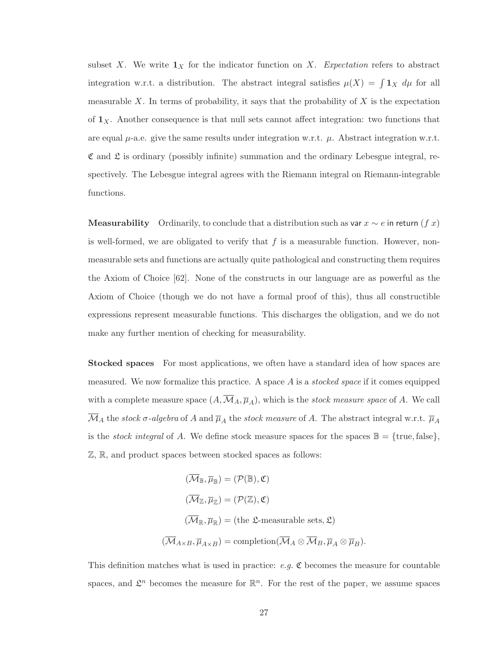subset X. We write  $\mathbf{1}_X$  for the indicator function on X. Expectation refers to abstract integration w.r.t. a distribution. The abstract integral satisfies  $\mu(X) = \int \mathbf{1}_X d\mu$  for all measurable X. In terms of probability, it says that the probability of  $X$  is the expectation of  $\mathbf{1}_X$ . Another consequence is that null sets cannot affect integration: two functions that are equal  $\mu$ -a.e. give the same results under integration w.r.t.  $\mu$ . Abstract integration w.r.t.  $\mathfrak C$  and  $\mathfrak L$  is ordinary (possibly infinite) summation and the ordinary Lebesgue integral, respectively. The Lebesgue integral agrees with the Riemann integral on Riemann-integrable functions.

**Measurability** Ordinarily, to conclude that a distribution such as var  $x \sim e$  in return  $(f x)$ is well-formed, we are obligated to verify that  $f$  is a measurable function. However, nonmeasurable sets and functions are actually quite pathological and constructing them requires the Axiom of Choice [62]. None of the constructs in our language are as powerful as the Axiom of Choice (though we do not have a formal proof of this), thus all constructible expressions represent measurable functions. This discharges the obligation, and we do not make any further mention of checking for measurability.

Stocked spaces For most applications, we often have a standard idea of how spaces are measured. We now formalize this practice. A space  $A$  is a *stocked space* if it comes equipped with a complete measure space  $(A, \overline{\mathcal{M}}_A, \overline{\mu}_A)$ , which is the stock measure space of A. We call  $\overline{\mathcal{M}}_A$  the stock  $\sigma$ -algebra of A and  $\overline{\mu}_A$  the stock measure of A. The abstract integral w.r.t.  $\overline{\mu}_A$ is the *stock integral* of A. We define stock measure spaces for the spaces  $\mathbb{B} = \{\text{true}, \text{false}\},\$ Z, R, and product spaces between stocked spaces as follows:

$$
(\overline{\mathcal{M}}_{\mathbb{B}}, \overline{\mu}_{\mathbb{B}}) = (\mathcal{P}(\mathbb{B}), \mathfrak{C})
$$

$$
(\overline{\mathcal{M}}_{\mathbb{Z}}, \overline{\mu}_{\mathbb{Z}}) = (\mathcal{P}(\mathbb{Z}), \mathfrak{C})
$$

$$
(\overline{\mathcal{M}}_{\mathbb{R}}, \overline{\mu}_{\mathbb{R}}) = (\text{the } \mathfrak{L}\text{-measurable sets}, \mathfrak{L})
$$

$$
(\overline{\mathcal{M}}_{A \times B}, \overline{\mu}_{A \times B}) = \text{completion}(\overline{\mathcal{M}}_A \otimes \overline{\mathcal{M}}_B, \overline{\mu}_A \otimes \overline{\mu}_B).
$$

This definition matches what is used in practice: e.g.  $\mathfrak C$  becomes the measure for countable spaces, and  $\mathfrak{L}^n$  becomes the measure for  $\mathbb{R}^n$ . For the rest of the paper, we assume spaces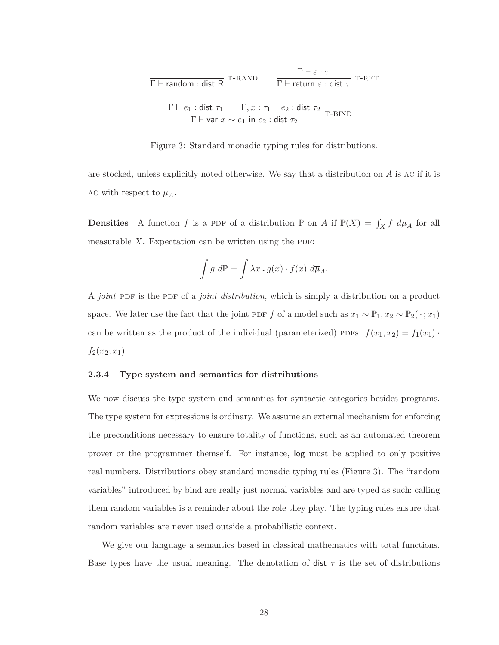$$
\Gamma \vdash \text{random} : \text{dist } R \quad \text{T-RAND} \qquad \frac{\Gamma \vdash \varepsilon : \tau}{\Gamma \vdash \text{return } \varepsilon : \text{dist } \tau} \text{ T-RET}
$$
\n
$$
\frac{\Gamma \vdash e_1 : \text{dist } \tau_1 \qquad \Gamma, x : \tau_1 \vdash e_2 : \text{dist } \tau_2}{\Gamma \vdash \text{var } x \sim e_1 \text{ in } e_2 : \text{dist } \tau_2} \text{ T-BIND}
$$

Figure 3: Standard monadic typing rules for distributions.

are stocked, unless explicitly noted otherwise. We say that a distribution on A is ac if it is AC with respect to  $\overline{\mu}_A$ .

**Densities** A function f is a PDF of a distribution  $\mathbb{P}$  on A if  $\mathbb{P}(X) = \int_X f d\overline{\mu}_A$  for all measurable  $X$ . Expectation can be written using the PDF:

$$
\int g \, d\mathbb{P} = \int \lambda x \cdot g(x) \cdot f(x) \, d\overline{\mu}_A.
$$

A *joint* PDF is the PDF of a *joint distribution*, which is simply a distribution on a product space. We later use the fact that the joint PDF f of a model such as  $x_1 \sim \mathbb{P}_1, x_2 \sim \mathbb{P}_2(\cdot; x_1)$ can be written as the product of the individual (parameterized) PDFs:  $f(x_1, x_2) = f_1(x_1)$ .  $f_2(x_2; x_1)$ .

### 2.3.4 Type system and semantics for distributions

We now discuss the type system and semantics for syntactic categories besides programs. The type system for expressions is ordinary. We assume an external mechanism for enforcing the preconditions necessary to ensure totality of functions, such as an automated theorem prover or the programmer themself. For instance, log must be applied to only positive real numbers. Distributions obey standard monadic typing rules (Figure 3). The "random variables" introduced by bind are really just normal variables and are typed as such; calling them random variables is a reminder about the role they play. The typing rules ensure that random variables are never used outside a probabilistic context.

We give our language a semantics based in classical mathematics with total functions. Base types have the usual meaning. The denotation of dist  $\tau$  is the set of distributions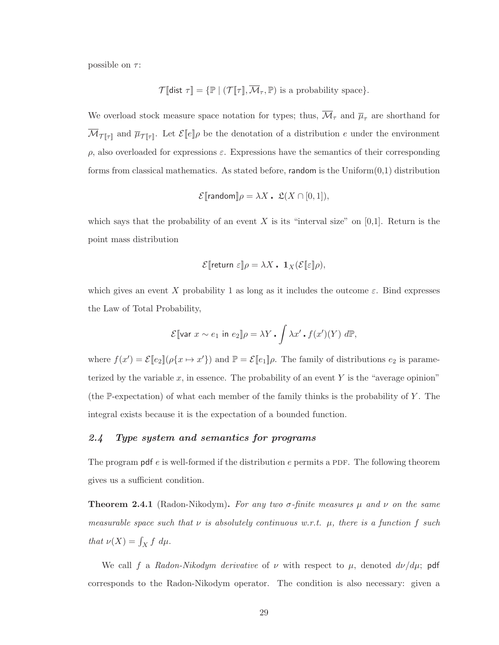possible on  $\tau$ :

$$
\mathcal{T}[\![\text{dist } \tau]\!] = \{\mathbb{P} \mid (\mathcal{T}[\![\tau]\!], \overline{\mathcal{M}}_{\tau}, \mathbb{P}) \text{ is a probability space}\}.
$$

We overload stock measure space notation for types; thus,  $\overline{\mathcal{M}}_{\tau}$  and  $\overline{\mu}_{\tau}$  are shorthand for  $\overline{\mathcal{M}}_{\mathcal{T}[\![\tau]\!]}$  and  $\overline{\mu}_{\mathcal{T}[\![\tau]\!]}$ . Let  $\mathcal{E}[\![e]\!] \rho$  be the denotation of a distribution e under the environment  $ρ$ , also overloaded for expressions  $ε$ . Expressions have the semantics of their corresponding forms from classical mathematics. As stated before, random is the  $Uniform(0,1)$  distribution

$$
\mathcal{E}\llbracket \mathsf{random}\rrbracket \rho = \lambda X\centerdot \ \mathfrak{L}(X\cap [0,1]),
$$

which says that the probability of an event X is its "interval size" on  $[0,1]$ . Return is the point mass distribution

$$
\mathcal{E}[\![\text{return } \varepsilon]\!] \rho = \lambda X \text{ . } \mathbf{1}_X(\mathcal{E}[\![\varepsilon]\!] \rho),
$$

which gives an event X probability 1 as long as it includes the outcome  $\varepsilon$ . Bind expresses the Law of Total Probability,

$$
\mathcal{E}[\nabla \text{Var } x \sim e_1 \text{ in } e_2] \rho = \lambda Y \cdot \int \lambda x' \cdot f(x')(Y) \ d\mathbb{P},
$$

where  $f(x') = \mathcal{E}[e_2](\rho\{x \mapsto x'\})$  and  $\mathbb{P} = \mathcal{E}[e_1]\rho$ . The family of distributions  $e_2$  is parameterized by the variable  $x$ , in essence. The probability of an event Y is the "average opinion" (the  $\mathbb{P}\text{-expectation}$ ) of what each member of the family thinks is the probability of Y. The integral exists because it is the expectation of a bounded function.

## *2.4 Type system and semantics for programs*

The program pdf  $e$  is well-formed if the distribution  $e$  permits a PDF. The following theorem gives us a sufficient condition.

**Theorem 2.4.1** (Radon-Nikodym). For any two  $\sigma$ -finite measures  $\mu$  and  $\nu$  on the same measurable space such that  $\nu$  is absolutely continuous w.r.t.  $\mu$ , there is a function f such that  $\nu(X) = \int_X f \ d\mu$ .

We call f a Radon-Nikodym derivative of  $\nu$  with respect to  $\mu$ , denoted  $d\nu/d\mu$ ; pdf corresponds to the Radon-Nikodym operator. The condition is also necessary: given a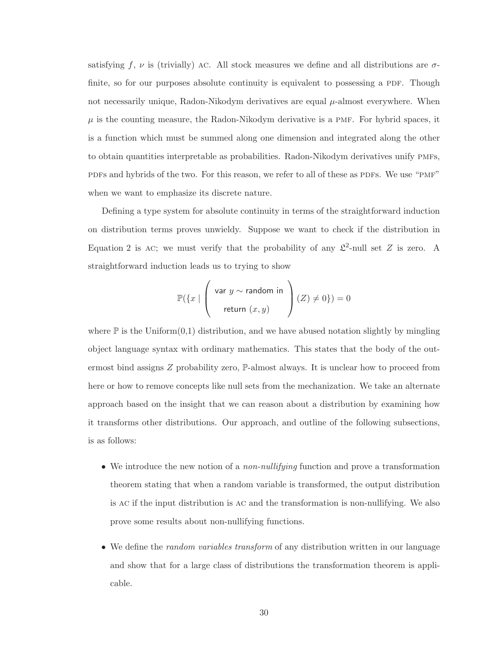satisfying f,  $\nu$  is (trivially) AC. All stock measures we define and all distributions are  $\sigma$ finite, so for our purposes absolute continuity is equivalent to possessing a PDF. Though not necessarily unique, Radon-Nikodym derivatives are equal  $\mu$ -almost everywhere. When  $\mu$  is the counting measure, the Radon-Nikodym derivative is a PMF. For hybrid spaces, it is a function which must be summed along one dimension and integrated along the other to obtain quantities interpretable as probabilities. Radon-Nikodym derivatives unify pmfs, pdfs and hybrids of the two. For this reason, we refer to all of these as PDFs. We use "PMF" when we want to emphasize its discrete nature.

Defining a type system for absolute continuity in terms of the straightforward induction on distribution terms proves unwieldy. Suppose we want to check if the distribution in Equation 2 is AC; we must verify that the probability of any  $\mathfrak{L}^2$ -null set Z is zero. A straightforward induction leads us to trying to show

$$
\mathbb{P}(\lbrace x \mid \left( \begin{array}{c} \text{var } y \sim \text{random in} \\ \text{return } (x, y) \end{array} \right) (Z) \neq 0 \rbrace) = 0
$$

where  $\mathbb P$  is the Uniform $(0,1)$  distribution, and we have abused notation slightly by mingling object language syntax with ordinary mathematics. This states that the body of the outermost bind assigns  $Z$  probability zero,  $\mathbb{P}\text{-almost always.}$  It is unclear how to proceed from here or how to remove concepts like null sets from the mechanization. We take an alternate approach based on the insight that we can reason about a distribution by examining how it transforms other distributions. Our approach, and outline of the following subsections, is as follows:

- We introduce the new notion of a *non-nullifying* function and prove a transformation theorem stating that when a random variable is transformed, the output distribution is ac if the input distribution is ac and the transformation is non-nullifying. We also prove some results about non-nullifying functions.
- We define the *random variables transform* of any distribution written in our language and show that for a large class of distributions the transformation theorem is applicable.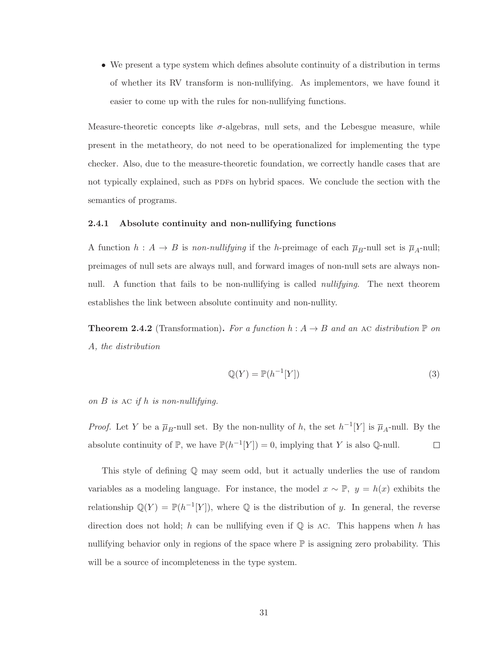• We present a type system which defines absolute continuity of a distribution in terms of whether its RV transform is non-nullifying. As implementors, we have found it easier to come up with the rules for non-nullifying functions.

Measure-theoretic concepts like  $\sigma$ -algebras, null sets, and the Lebesgue measure, while present in the metatheory, do not need to be operationalized for implementing the type checker. Also, due to the measure-theoretic foundation, we correctly handle cases that are not typically explained, such as PDFs on hybrid spaces. We conclude the section with the semantics of programs.

### 2.4.1 Absolute continuity and non-nullifying functions

A function  $h : A \to B$  is non-nullifying if the h-preimage of each  $\overline{\mu}_B$ -null set is  $\overline{\mu}_A$ -null; preimages of null sets are always null, and forward images of non-null sets are always nonnull. A function that fails to be non-nullifying is called *nullifying*. The next theorem establishes the link between absolute continuity and non-nullity.

**Theorem 2.4.2** (Transformation). For a function  $h : A \rightarrow B$  and an AC distribution  $\mathbb{P}$  on A, the distribution

$$
\mathbb{Q}(Y) = \mathbb{P}(h^{-1}[Y])\tag{3}
$$

on  $B$  is  $AC$  if  $h$  is non-nullifying.

*Proof.* Let Y be a  $\overline{\mu}_B$ -null set. By the non-nullity of h, the set  $h^{-1}[Y]$  is  $\overline{\mu}_A$ -null. By the absolute continuity of  $\mathbb{P}$ , we have  $\mathbb{P}(h^{-1}[Y]) = 0$ , implying that Y is also Q-null.  $\Box$ 

This style of defining  $\mathbb Q$  may seem odd, but it actually underlies the use of random variables as a modeling language. For instance, the model  $x \sim \mathbb{P}$ ,  $y = h(x)$  exhibits the relationship  $\mathbb{Q}(Y) = \mathbb{P}(h^{-1}[Y]),$  where  $\mathbb Q$  is the distribution of y. In general, the reverse direction does not hold; h can be nullifying even if  $\mathbb Q$  is AC. This happens when h has nullifying behavior only in regions of the space where  $\mathbb P$  is assigning zero probability. This will be a source of incompleteness in the type system.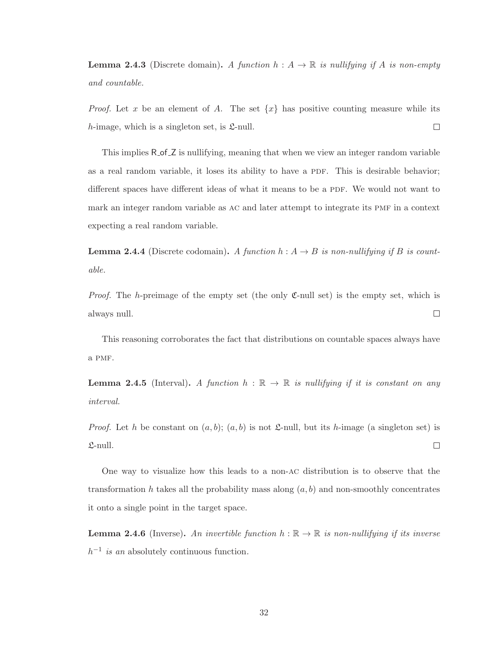**Lemma 2.4.3** (Discrete domain). A function  $h : A \to \mathbb{R}$  is nullifying if A is non-empty and countable.

*Proof.* Let x be an element of A. The set  $\{x\}$  has positive counting measure while its  $h$ -image, which is a singleton set, is  $\mathfrak{L}$ -null.  $\Box$ 

This implies R of Z is nullifying, meaning that when we view an integer random variable as a real random variable, it loses its ability to have a PDF. This is desirable behavior; different spaces have different ideas of what it means to be a PDF. We would not want to mark an integer random variable as AC and later attempt to integrate its PMF in a context expecting a real random variable.

**Lemma 2.4.4** (Discrete codomain). A function  $h : A \rightarrow B$  is non-nullifying if B is countable.

*Proof.* The h-preimage of the empty set (the only  $\mathfrak{C}\text{-null}$  set) is the empty set, which is always null.  $\Box$ 

This reasoning corroborates the fact that distributions on countable spaces always have a PMF.

**Lemma 2.4.5** (Interval). A function  $h : \mathbb{R} \to \mathbb{R}$  is nullifying if it is constant on any interval.

*Proof.* Let h be constant on  $(a, b)$ ;  $(a, b)$  is not  $\mathfrak{L}$ -null, but its h-image (a singleton set) is  $\Box$ L-null.

One way to visualize how this leads to a non-ac distribution is to observe that the transformation h takes all the probability mass along  $(a, b)$  and non-smoothly concentrates it onto a single point in the target space.

**Lemma 2.4.6** (Inverse). An invertible function  $h : \mathbb{R} \to \mathbb{R}$  is non-nullifying if its inverse  $h^{-1}$  is an absolutely continuous function.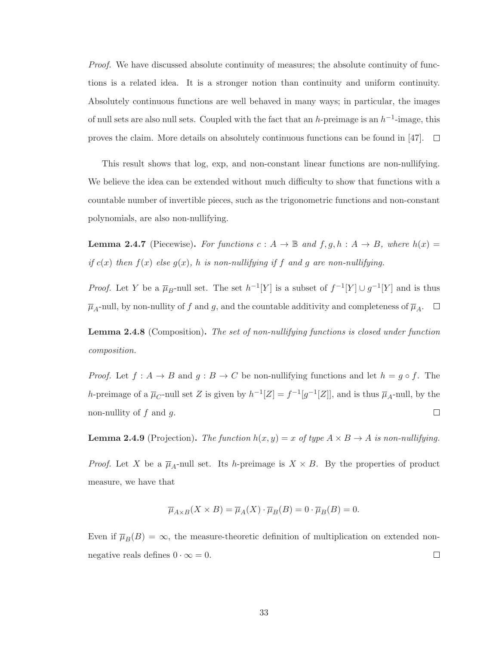Proof. We have discussed absolute continuity of measures; the absolute continuity of functions is a related idea. It is a stronger notion than continuity and uniform continuity. Absolutely continuous functions are well behaved in many ways; in particular, the images of null sets are also null sets. Coupled with the fact that an h-preimage is an  $h^{-1}$ -image, this proves the claim. More details on absolutely continuous functions can be found in [47].  $\Box$ 

This result shows that log, exp, and non-constant linear functions are non-nullifying. We believe the idea can be extended without much difficulty to show that functions with a countable number of invertible pieces, such as the trigonometric functions and non-constant polynomials, are also non-nullifying.

**Lemma 2.4.7** (Piecewise). For functions  $c : A \rightarrow \mathbb{B}$  and  $f, g, h : A \rightarrow B$ , where  $h(x) =$ if  $c(x)$  then  $f(x)$  else  $g(x)$ , h is non-nullifying if f and g are non-nullifying.

*Proof.* Let Y be a  $\overline{\mu}_B$ -null set. The set  $h^{-1}[Y]$  is a subset of  $f^{-1}[Y] \cup g^{-1}[Y]$  and is thus  $\overline{\mu}_A$ -null, by non-nullity of f and g, and the countable additivity and completeness of  $\overline{\mu}_A$ .  $\Box$ 

Lemma 2.4.8 (Composition). The set of non-nullifying functions is closed under function composition.

*Proof.* Let  $f : A \to B$  and  $g : B \to C$  be non-nullifying functions and let  $h = g \circ f$ . The h-preimage of a  $\overline{\mu}_C$ -null set Z is given by  $h^{-1}[Z] = f^{-1}[g^{-1}[Z]]$ , and is thus  $\overline{\mu}_A$ -null, by the non-nullity of  $f$  and  $q$ .  $\Box$ 

**Lemma 2.4.9** (Projection). The function  $h(x, y) = x$  of type  $A \times B \rightarrow A$  is non-nullifying.

*Proof.* Let X be a  $\overline{\mu}_A$ -null set. Its h-preimage is  $X \times B$ . By the properties of product measure, we have that

$$
\overline{\mu}_{A \times B}(X \times B) = \overline{\mu}_A(X) \cdot \overline{\mu}_B(B) = 0 \cdot \overline{\mu}_B(B) = 0.
$$

Even if  $\overline{\mu}_B(B) = \infty$ , the measure-theoretic definition of multiplication on extended nonnegative reals defines  $0 \cdot \infty = 0$ .  $\Box$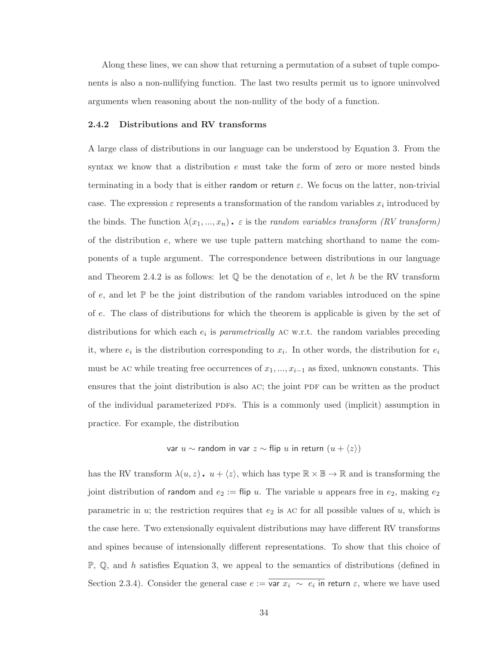Along these lines, we can show that returning a permutation of a subset of tuple components is also a non-nullifying function. The last two results permit us to ignore uninvolved arguments when reasoning about the non-nullity of the body of a function.

#### 2.4.2 Distributions and RV transforms

A large class of distributions in our language can be understood by Equation 3. From the syntax we know that a distribution e must take the form of zero or more nested binds terminating in a body that is either random or return  $\varepsilon$ . We focus on the latter, non-trivial case. The expression  $\varepsilon$  represents a transformation of the random variables  $x_i$  introduced by the binds. The function  $\lambda(x_1, ..., x_n)$ .  $\varepsilon$  is the *random variables transform* (RV transform) of the distribution  $e$ , where we use tuple pattern matching shorthand to name the components of a tuple argument. The correspondence between distributions in our language and Theorem 2.4.2 is as follows: let  $\mathbb Q$  be the denotation of e, let h be the RV transform of  $e$ , and let  $\mathbb P$  be the joint distribution of the random variables introduced on the spine of e. The class of distributions for which the theorem is applicable is given by the set of distributions for which each  $e_i$  is *parametrically* AC w.r.t. the random variables preceding it, where  $e_i$  is the distribution corresponding to  $x_i$ . In other words, the distribution for  $e_i$ must be AC while treating free occurrences of  $x_1, ..., x_{i-1}$  as fixed, unknown constants. This ensures that the joint distribution is also AC; the joint PDF can be written as the product of the individual parameterized pdfs. This is a commonly used (implicit) assumption in practice. For example, the distribution

$$
var u \sim random \in var z \sim flip \ u \in return \ (u + \langle z \rangle)
$$

has the RV transform  $\lambda(u, z)$ .  $u + \langle z \rangle$ , which has type  $\mathbb{R} \times \mathbb{B} \to \mathbb{R}$  and is transforming the joint distribution of random and  $e_2 := \text{flip } u$ . The variable u appears free in  $e_2$ , making  $e_2$ parametric in u; the restriction requires that  $e_2$  is AC for all possible values of u, which is the case here. Two extensionally equivalent distributions may have different RV transforms and spines because of intensionally different representations. To show that this choice of  $\mathbb{P}, \mathbb{Q},$  and h satisfies Equation 3, we appeal to the semantics of distributions (defined in Section 2.3.4). Consider the general case  $e := \text{var } x_i \sim e_i$  in return  $\varepsilon$ , where we have used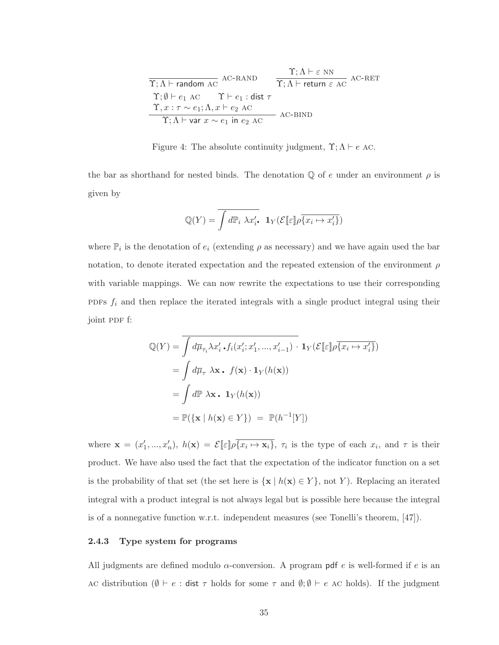$$
\begin{array}{ll}\n\overbrace{\Upsilon;\Lambda\vdash \text{random AC}}^{\Upsilon;\Lambda\vdash \text{random AC}} & \overbrace{\Upsilon;\Lambda\vdash \text{return }\varepsilon \text{ AC}}^{\Upsilon;\Lambda\vdash \text{cNN}} & \text{AC-RET} \\
\Upsilon;\emptyset\vdash e_1 \text{ AC} & \Upsilon\vdash e_1:\text{dist }\tau \\
\Upsilon,x:\tau\sim e_1;\Lambda,x\vdash e_2 \text{ AC} \\
\Upsilon;\Lambda\vdash \text{var }x\sim e_1 \text{ in } e_2 \text{ AC} & & & \\
\end{array}
$$

Figure 4: The absolute continuity judgment,  $\Upsilon$ ;  $\Lambda \vdash e$  AC.

the bar as shorthand for nested binds. The denotation  $\mathbb Q$  of e under an environment  $\rho$  is given by

$$
\mathbb{Q}(Y) = \overline{\int d\mathbb{P}_i \ \lambda x_i' \cdot \ \mathbf{1}_Y(\mathcal{E}[\![\varepsilon]\!]) \rho \overline{\{x_i \mapsto x_i'\}})}
$$

where  $\mathbb{P}_i$  is the denotation of  $e_i$  (extending  $\rho$  as necessary) and we have again used the bar notation, to denote iterated expectation and the repeated extension of the environment  $\rho$ with variable mappings. We can now rewrite the expectations to use their corresponding PDFs  $f_i$  and then replace the iterated integrals with a single product integral using their joint PDF f:

$$
\mathbb{Q}(Y) = \overline{\int d\overline{\mu}_{\tau_i} \lambda x'_i \cdot f_i(x'_i; x'_1, ..., x'_{i-1})} \cdot \mathbf{1}_Y(\mathcal{E}[\mathcal{E}]\rho \overline{\{x_i \mapsto x'_i\}})
$$
  
\n
$$
= \int d\overline{\mu}_{\tau} \lambda \mathbf{x} \cdot f(\mathbf{x}) \cdot \mathbf{1}_Y(h(\mathbf{x}))
$$
  
\n
$$
= \int d\mathbb{P} \lambda \mathbf{x} \cdot \mathbf{1}_Y(h(\mathbf{x}))
$$
  
\n
$$
= \mathbb{P}(\{\mathbf{x} \mid h(\mathbf{x}) \in Y\}) = \mathbb{P}(h^{-1}[Y])
$$

where  $\mathbf{x} = (x'_1, ..., x'_n), h(\mathbf{x}) = \mathcal{E}[\mathbf{\varepsilon}]\rho\{x_i \mapsto \mathbf{x}_i\}, \tau_i$  is the type of each  $x_i$ , and  $\tau$  is their product. We have also used the fact that the expectation of the indicator function on a set is the probability of that set (the set here is  $\{x \mid h(x) \in Y\}$ , not Y). Replacing an iterated integral with a product integral is not always legal but is possible here because the integral is of a nonnegative function w.r.t. independent measures (see Tonelli's theorem, [47]).

## 2.4.3 Type system for programs

All judgments are defined modulo  $\alpha$ -conversion. A program pdf e is well-formed if e is an ac distribution  $(\emptyset \vdash e : \text{dist } \tau \text{ holds for some } \tau \text{ and } \emptyset; \emptyset \vdash e \text{ ac holds}).$  If the judgment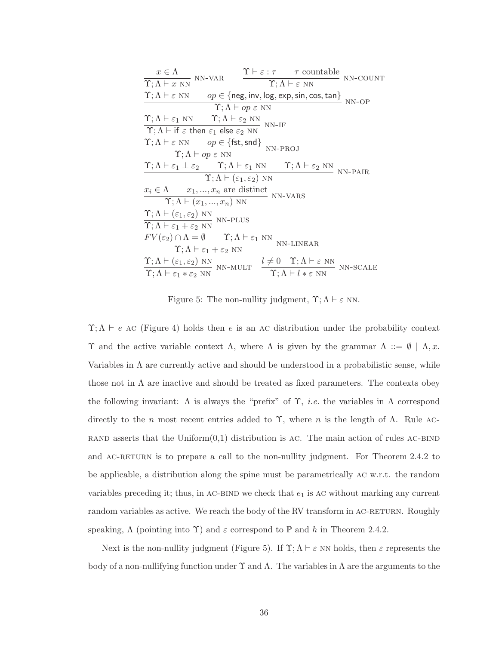$$
\frac{x \in \Lambda}{\gamma; \Lambda \vdash x \text{ NN}} \text{ NN-VAR} \qquad \frac{\Upsilon \vdash \varepsilon : \tau \qquad \tau \text{ countable}}{\Upsilon; \Lambda \vdash \varepsilon \text{ NN}} \text{ NN-COUNT}
$$
\n
$$
\frac{\Upsilon; \Lambda \vdash \varepsilon \text{ NN}}{\Upsilon; \Lambda \vdash \varepsilon \text{ NN}} \qquad op \in \{ \text{neg, inv, log, exp, sin, cos, tan} \}} \text{NN-OP}
$$
\n
$$
\frac{\Upsilon; \Lambda \vdash \varepsilon_1 \text{ NN}}{\Upsilon; \Lambda \vdash \text{if } \varepsilon \text{ then } \varepsilon_1 \text{ else } \varepsilon_2 \text{ NN}} \text{NN-IF}
$$
\n
$$
\frac{\Upsilon; \Lambda \vdash \varepsilon_1 \text{ NN} \qquad \Upsilon; \Lambda \vdash \varepsilon_2 \text{ INN}}{\Upsilon; \Lambda \vdash op \varepsilon \text{ NN}} \qquad \text{NN-PROJ}
$$
\n
$$
\frac{\Upsilon; \Lambda \vdash \varepsilon_1 \perp \varepsilon_2 \qquad \Upsilon; \Lambda \vdash \varepsilon_1 \text{ NN}}{\Upsilon; \Lambda \vdash (e_1, \varepsilon_2) \text{ NN}} \text{NN-PROJ}
$$
\n
$$
\frac{x_i \in \Lambda \qquad x_1, \dots, x_n \text{ are distinct}}{\Upsilon; \Lambda \vdash (x_1, \dots, x_n) \text{ NN}}
$$
\n
$$
\frac{\Upsilon; \Lambda \vdash (e_1, \varepsilon_2) \text{ NN}}{\Upsilon; \Lambda \vdash \varepsilon_1 + \varepsilon_2 \text{ NN}} \text{NN-PLUS}
$$
\n
$$
\frac{FV(\varepsilon_2) \cap \Lambda = \emptyset \qquad \Upsilon; \Lambda \vdash \varepsilon_1 \text{ NN}}{\Upsilon; \Lambda \vdash \varepsilon_1 + \varepsilon_2 \text{ NN}} \text{NN-MULT } \frac{l \neq 0 \quad \Upsilon; \Lambda \vdash \varepsilon \text{ NN}}{\Upsilon; \Lambda \vdash \varepsilon_1 + \varepsilon_2 \text{ NN}} \text{NN-MLUS}
$$
\n
$$
\frac{\Upsilon; \Lambda \vdash (e_1, \varepsilon_2) \text{ NN}}{\Upsilon; \Lambda \vdash \varepsilon_1 + \varepsilon_2 \text{ NN
$$

Figure 5: The non-nullity judgment,  $\Upsilon$ ;  $\Lambda \vdash \varepsilon$  NN.

 $\Upsilon$ ;  $\Lambda \vdash e$  AC (Figure 4) holds then e is an AC distribution under the probability context Υ and the active variable context Λ, where Λ is given by the grammar  $Λ ::= ∅ | Λ, x$ . Variables in  $\Lambda$  are currently active and should be understood in a probabilistic sense, while those not in  $\Lambda$  are inactive and should be treated as fixed parameters. The contexts obey the following invariant:  $\Lambda$  is always the "prefix" of  $\Upsilon$ , *i.e.* the variables in  $\Lambda$  correspond directly to the n most recent entries added to  $\Upsilon$ , where n is the length of  $\Lambda$ . Rule AC-RAND asserts that the Uniform $(0,1)$  distribution is AC. The main action of rules AC-BIND and AC-RETURN is to prepare a call to the non-nullity judgment. For Theorem 2.4.2 to be applicable, a distribution along the spine must be parametrically ac w.r.t. the random variables preceding it; thus, in  $AC-BIND$  we check that  $e_1$  is  $AC$  without marking any current random variables as active. We reach the body of the RV transform in AC-RETURN. Roughly speaking,  $\Lambda$  (pointing into  $\Upsilon$ ) and  $\varepsilon$  correspond to  $\mathbb P$  and h in Theorem 2.4.2.

Next is the non-nullity judgment (Figure 5). If  $\Upsilon$ ;  $\Lambda \vdash \varepsilon$  nn holds, then  $\varepsilon$  represents the body of a non-nullifying function under  $\Upsilon$  and  $\Lambda$ . The variables in  $\Lambda$  are the arguments to the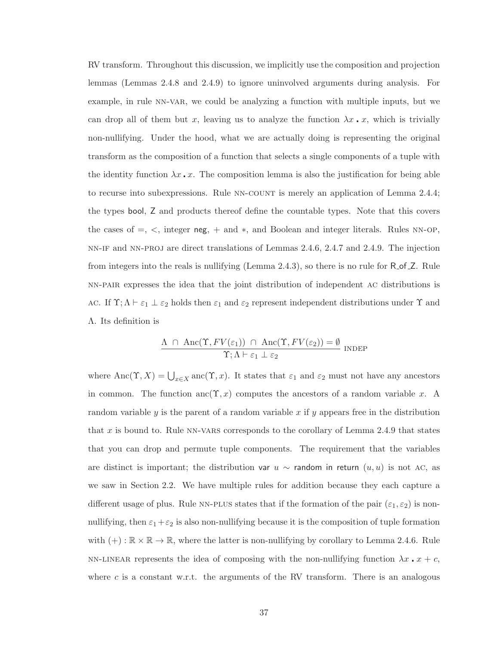RV transform. Throughout this discussion, we implicitly use the composition and projection lemmas (Lemmas 2.4.8 and 2.4.9) to ignore uninvolved arguments during analysis. For example, in rule nn-var, we could be analyzing a function with multiple inputs, but we can drop all of them but x, leaving us to analyze the function  $\lambda x \cdot x$ , which is trivially non-nullifying. Under the hood, what we are actually doing is representing the original transform as the composition of a function that selects a single components of a tuple with the identity function  $\lambda x \cdot x$ . The composition lemma is also the justification for being able to recurse into subexpressions. Rule NN-COUNT is merely an application of Lemma 2.4.4; the types bool, Z and products thereof define the countable types. Note that this covers the cases of  $=$ ,  $\lt$ , integer neg,  $+$  and  $*$ , and Boolean and integer literals. Rules NN-OP, nn-if and nn-proj are direct translations of Lemmas 2.4.6, 2.4.7 and 2.4.9. The injection from integers into the reals is nullifying (Lemma 2.4.3), so there is no rule for  $R_{\text{o}}$   $\sim$   $R_{\text{o}}$   $\sim$   $R_{\text{o}}$ nn-pair expresses the idea that the joint distribution of independent ac distributions is AC. If  $\Upsilon$ ;  $\Lambda \vdash \varepsilon_1 \perp \varepsilon_2$  holds then  $\varepsilon_1$  and  $\varepsilon_2$  represent independent distributions under  $\Upsilon$  and Λ. Its definition is

$$
\frac{\Lambda \cap \text{ Anc}(\Upsilon, FV(\varepsilon_1)) \cap \text{Anc}(\Upsilon, FV(\varepsilon_2)) = \emptyset}{\Upsilon; \Lambda \vdash \varepsilon_1 \perp \varepsilon_2} \text{INDEP}
$$

where  $\text{Anc}(\Upsilon, X) = \bigcup_{x \in X} \text{anc}(\Upsilon, x)$ . It states that  $\varepsilon_1$  and  $\varepsilon_2$  must not have any ancestors in common. The function anc $(\Upsilon, x)$  computes the ancestors of a random variable x. A random variable y is the parent of a random variable x if y appears free in the distribution that x is bound to. Rule NN-VARS corresponds to the corollary of Lemma 2.4.9 that states that you can drop and permute tuple components. The requirement that the variables are distinct is important; the distribution var  $u \sim$  random in return  $(u, u)$  is not AC, as we saw in Section 2.2. We have multiple rules for addition because they each capture a different usage of plus. Rule NN-PLUS states that if the formation of the pair  $(\varepsilon_1, \varepsilon_2)$  is nonnullifying, then  $\varepsilon_1 + \varepsilon_2$  is also non-nullifying because it is the composition of tuple formation with  $(+) : \mathbb{R} \times \mathbb{R} \to \mathbb{R}$ , where the latter is non-nullifying by corollary to Lemma 2.4.6. Rule NN-LINEAR represents the idea of composing with the non-nullifying function  $\lambda x \cdot x + c$ , where c is a constant w.r.t. the arguments of the RV transform. There is an analogous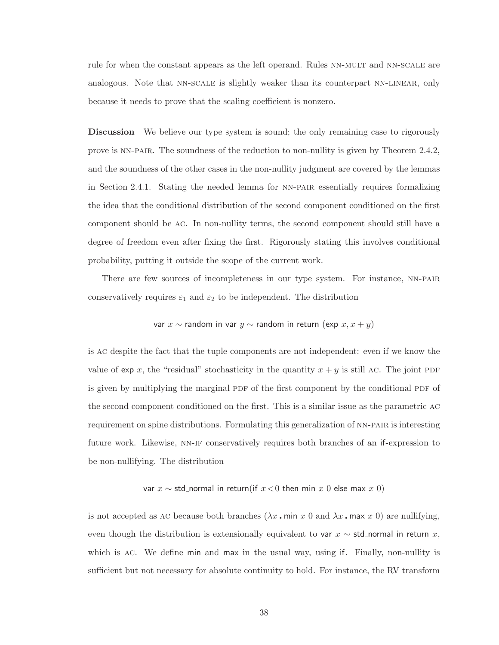rule for when the constant appears as the left operand. Rules NN-MULT and NN-SCALE are analogous. Note that nn-scale is slightly weaker than its counterpart nn-linear, only because it needs to prove that the scaling coefficient is nonzero.

Discussion We believe our type system is sound; the only remaining case to rigorously prove is nn-pair. The soundness of the reduction to non-nullity is given by Theorem 2.4.2, and the soundness of the other cases in the non-nullity judgment are covered by the lemmas in Section 2.4.1. Stating the needed lemma for nn-pair essentially requires formalizing the idea that the conditional distribution of the second component conditioned on the first component should be ac. In non-nullity terms, the second component should still have a degree of freedom even after fixing the first. Rigorously stating this involves conditional probability, putting it outside the scope of the current work.

There are few sources of incompleteness in our type system. For instance, nn-pair conservatively requires  $\varepsilon_1$  and  $\varepsilon_2$  to be independent. The distribution

$$
var x \sim random in var y \sim random in return (exp x, x + y)
$$

is ac despite the fact that the tuple components are not independent: even if we know the value of exp x, the "residual" stochasticity in the quantity  $x + y$  is still AC. The joint PDF is given by multiplying the marginal PDF of the first component by the conditional PDF of the second component conditioned on the first. This is a similar issue as the parametric ac requirement on spine distributions. Formulating this generalization of nn-pair is interesting future work. Likewise, nn-if conservatively requires both branches of an if-expression to be non-nullifying. The distribution

var  $x \sim$  std\_normal in return(if  $x < 0$  then min x 0 else max x 0)

is not accepted as AC because both branches  $(\lambda x \cdot \min x \cdot 0 \text{ and } \lambda x \cdot \max x \cdot 0)$  are nullifying, even though the distribution is extensionally equivalent to var  $x \sim \text{std-normal}$  in return x, which is AC. We define min and max in the usual way, using if. Finally, non-nullity is sufficient but not necessary for absolute continuity to hold. For instance, the RV transform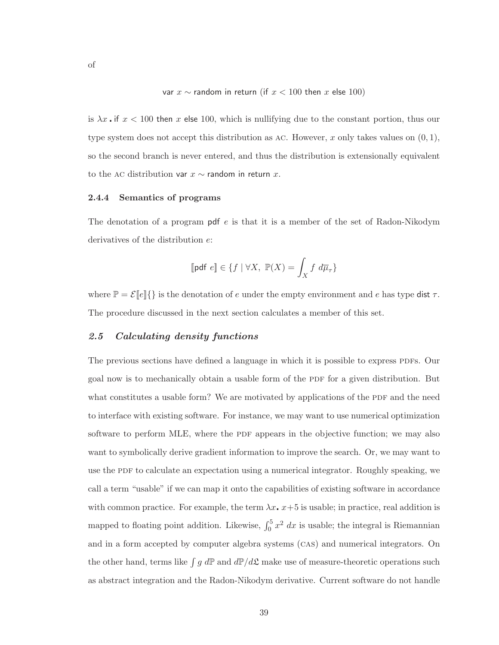var  $x \sim$  random in return (if  $x < 100$  then  $x$  else 100)

is  $\lambda x$  if  $x < 100$  then x else 100, which is nullifying due to the constant portion, thus our type system does not accept this distribution as AC. However, x only takes values on  $(0, 1)$ , so the second branch is never entered, and thus the distribution is extensionally equivalent to the AC distribution var  $x \sim$  random in return x.

#### 2.4.4 Semantics of programs

The denotation of a program pdf e is that it is a member of the set of Radon-Nikodym derivatives of the distribution e:

$$
[\![\mathsf{pdf}\;e]\!] \in \{f \mid \forall X,\; \mathbb{P}(X) = \int_X f \; d\overline{\mu}_{\tau}\}
$$

where  $\mathbb{P} = \mathcal{E}[\![e]\!]$  is the denotation of e under the empty environment and e has type dist  $\tau$ . The procedure discussed in the next section calculates a member of this set.

# *2.5 Calculating density functions*

The previous sections have defined a language in which it is possible to express PDFs. Our goal now is to mechanically obtain a usable form of the PDF for a given distribution. But what constitutes a usable form? We are motivated by applications of the PDF and the need to interface with existing software. For instance, we may want to use numerical optimization software to perform MLE, where the PDF appears in the objective function; we may also want to symbolically derive gradient information to improve the search. Or, we may want to use the PDF to calculate an expectation using a numerical integrator. Roughly speaking, we call a term "usable" if we can map it onto the capabilities of existing software in accordance with common practice. For example, the term  $\lambda x \cdot x+5$  is usable; in practice, real addition is mapped to floating point addition. Likewise,  $\int_0^5 x^2 dx$  is usable; the integral is Riemannian and in a form accepted by computer algebra systems (cas) and numerical integrators. On the other hand, terms like  $\int g \, d\mathbb{P}$  and  $d\mathbb{P}/d\mathfrak{L}$  make use of measure-theoretic operations such as abstract integration and the Radon-Nikodym derivative. Current software do not handle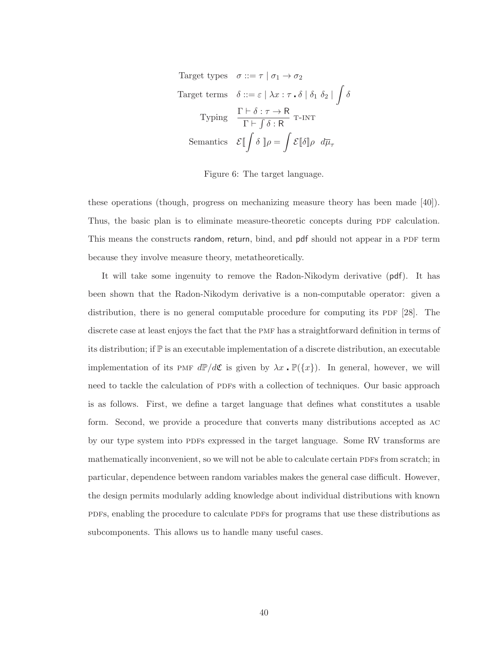Target types 
$$
\sigma ::= \tau | \sigma_1 \rightarrow \sigma_2
$$
  
\nTarget terms  $\delta ::= \varepsilon | \lambda x : \tau \cdot \delta | \delta_1 \delta_2 | \int \delta$   
\nTyping  $\frac{\Gamma \vdash \delta : \tau \rightarrow \mathsf{R}}{\Gamma \vdash \int \delta : \mathsf{R}}$  T-INT  
\nSemantics  $\mathcal{E}[\int \delta] \rho = \int \mathcal{E}[\delta] \rho \ d\overline{\mu}_{\tau}$ 

Figure 6: The target language.

these operations (though, progress on mechanizing measure theory has been made [40]). Thus, the basic plan is to eliminate measure-theoretic concepts during PDF calculation. This means the constructs random, return, bind, and pdf should not appear in a PDF term because they involve measure theory, metatheoretically.

It will take some ingenuity to remove the Radon-Nikodym derivative (pdf). It has been shown that the Radon-Nikodym derivative is a non-computable operator: given a distribution, there is no general computable procedure for computing its PDF  $[28]$ . The discrete case at least enjoys the fact that the PMF has a straightforward definition in terms of its distribution; if P is an executable implementation of a discrete distribution, an executable implementation of its PMF  $d\mathbb{P}/d\mathfrak{C}$  is given by  $\lambda x \cdot \mathbb{P}(\lbrace x \rbrace)$ . In general, however, we will need to tackle the calculation of PDFs with a collection of techniques. Our basic approach is as follows. First, we define a target language that defines what constitutes a usable form. Second, we provide a procedure that converts many distributions accepted as ac by our type system into PDFs expressed in the target language. Some RV transforms are mathematically inconvenient, so we will not be able to calculate certain PDFs from scratch; in particular, dependence between random variables makes the general case difficult. However, the design permits modularly adding knowledge about individual distributions with known pdfs, enabling the procedure to calculate pdfs for programs that use these distributions as subcomponents. This allows us to handle many useful cases.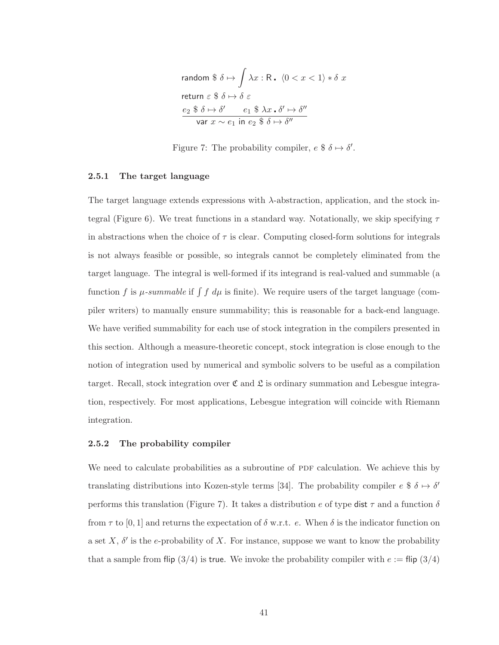| random $\$\delta \mapsto \int \lambda x : \mathsf{R} \cdot \langle 0 < x < 1 \rangle * \delta x$                 |
|------------------------------------------------------------------------------------------------------------------|
| return $\varepsilon \, \, \$\, \, \delta \mapsto \delta \, \, \varepsilon$                                       |
| $e_2 \, \, \$ \, \, \delta \mapsto \delta' \qquad e_1 \, \, \$ \, \, \lambda x \, . \, \delta' \mapsto \delta''$ |
| var $x \sim e_1$ in $e_2 \$ $\delta \mapsto \delta''$                                                            |

Figure 7: The probability compiler,  $e \$   $\delta \mapsto \delta'$ .

#### 2.5.1 The target language

The target language extends expressions with  $\lambda$ -abstraction, application, and the stock integral (Figure 6). We treat functions in a standard way. Notationally, we skip specifying  $\tau$ in abstractions when the choice of  $\tau$  is clear. Computing closed-form solutions for integrals is not always feasible or possible, so integrals cannot be completely eliminated from the target language. The integral is well-formed if its integrand is real-valued and summable (a function f is  $\mu$ -summable if  $\int f d\mu$  is finite). We require users of the target language (compiler writers) to manually ensure summability; this is reasonable for a back-end language. We have verified summability for each use of stock integration in the compilers presented in this section. Although a measure-theoretic concept, stock integration is close enough to the notion of integration used by numerical and symbolic solvers to be useful as a compilation target. Recall, stock integration over  $\mathfrak C$  and  $\mathfrak L$  is ordinary summation and Lebesgue integration, respectively. For most applications, Lebesgue integration will coincide with Riemann integration.

### 2.5.2 The probability compiler

We need to calculate probabilities as a subroutine of PDF calculation. We achieve this by translating distributions into Kozen-style terms [34]. The probability compiler  $e \$   $\delta \mapsto \delta'$ performs this translation (Figure 7). It takes a distribution e of type dist  $\tau$  and a function  $\delta$ from  $\tau$  to [0, 1] and returns the expectation of  $\delta$  w.r.t. e. When  $\delta$  is the indicator function on a set X,  $\delta'$  is the e-probability of X. For instance, suppose we want to know the probability that a sample from flip  $(3/4)$  is true. We invoke the probability compiler with  $e := \text{flip}(3/4)$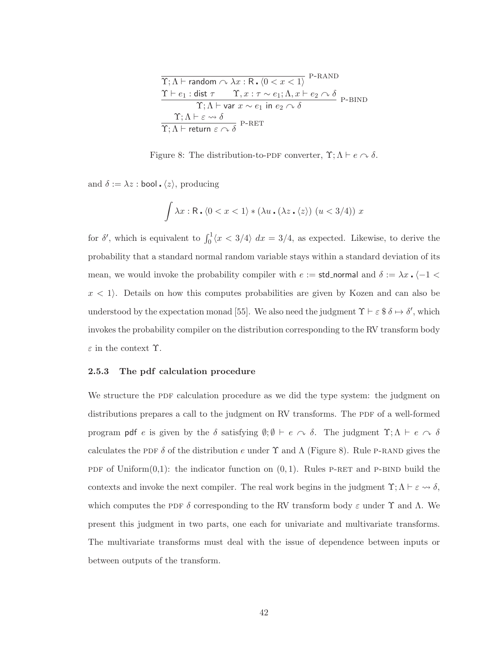$$
\begin{array}{l} \overbrace{\Upsilon;\Lambda\vdash \mathsf{random}\curvearrowright\lambda x:\mathsf{R}\centerdot \langle 0< x< 1\rangle}_{\Upsilon\vdash e_1:\mathsf{dist}\; \tau\; \Upsilon,\Lambda\; x:\tau\sim e_1;\Lambda,x\vdash e_2\curvearrowright \delta}_{\Upsilon;\Lambda\vdash \mathsf{var}\; x\sim e_1\;\mathsf{in}\; e_2\curvearrowright \delta}_{\Upsilon\vdash \Lambda\vdash \mathsf{return}\;\varepsilon\curvearrowright \delta}_{\Upsilon\vdash \Lambda\vdash \mathsf{return}\;\varepsilon\curvearrowright \delta} \end{array}\mathsf{P-RAND}
$$

Figure 8: The distribution-to-PDF converter,  $\Upsilon$ ;  $\Lambda \vdash e \curvearrowright \delta$ .

and  $\delta := \lambda z : \mathsf{bool} \centerdot \langle z \rangle,$  producing

$$
\int \lambda x : \mathsf{R} \cdot \langle 0 < x < 1 \rangle \cdot \langle \lambda u \cdot (\lambda z \cdot \langle z \rangle) \ (u < 3/4) \rangle \ x
$$

for  $\delta'$ , which is equivalent to  $\int_0^1 \langle x < 3/4 \rangle dx = 3/4$ , as expected. Likewise, to derive the probability that a standard normal random variable stays within a standard deviation of its mean, we would invoke the probability compiler with  $e := \text{std-normal}$  and  $\delta := \lambda x \cdot \langle -1 \rangle$  $x < 1$ . Details on how this computes probabilities are given by Kozen and can also be understood by the expectation monad [55]. We also need the judgment  $\Upsilon \vdash \varepsilon \$  \delta \mapsto \delta', which invokes the probability compiler on the distribution corresponding to the RV transform body  $\varepsilon$  in the context  $\Upsilon$ .

#### 2.5.3 The pdf calculation procedure

We structure the PDF calculation procedure as we did the type system: the judgment on distributions prepares a call to the judgment on RV transforms. The PDF of a well-formed program pdf e is given by the δ satisfying  $\emptyset$ ;  $\emptyset \vdash e \sim \delta$ . The judgment  $\Upsilon$ ;  $\Lambda \vdash e \sim \delta$ calculates the PDF  $\delta$  of the distribution e under  $\Upsilon$  and  $\Lambda$  (Figure 8). Rule P-RAND gives the PDF of Uniform $(0,1)$ : the indicator function on  $(0,1)$ . Rules P-RET and P-BIND build the contexts and invoke the next compiler. The real work begins in the judgment  $\Upsilon$ ;  $\Lambda \vdash \varepsilon \leadsto \delta$ , which computes the PDF  $\delta$  corresponding to the RV transform body  $\varepsilon$  under  $\Upsilon$  and  $\Lambda$ . We present this judgment in two parts, one each for univariate and multivariate transforms. The multivariate transforms must deal with the issue of dependence between inputs or between outputs of the transform.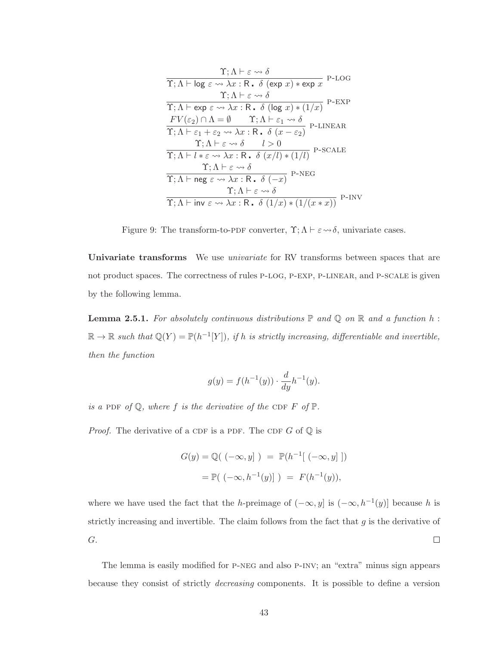| $\Upsilon$ : $\Lambda \vdash \varepsilon \leadsto \delta$                                                                           |
|-------------------------------------------------------------------------------------------------------------------------------------|
| P-LOG<br>$\Upsilon$ ; $\Lambda \vdash \log \varepsilon \leadsto \lambda x : \mathsf{R}$ . $\delta$ (exp $x) * \exp x$               |
| $\Upsilon$ : $\Lambda \vdash \varepsilon \leadsto \delta$<br>$P-EXP$                                                                |
| $\Upsilon$ ; $\Lambda \vdash$ exp $\varepsilon \leadsto \lambda x$ : R. $\delta$ (log $x$ ) $\overline{*}$ (1/x)                    |
| $FV(\varepsilon_2) \cap \Lambda = \emptyset$ $\Upsilon; \Lambda \vdash \varepsilon_1 \leadsto \delta$                               |
| $\Upsilon$ ; $\Lambda \vdash \varepsilon_1 + \varepsilon_2 \leadsto \lambda x : \mathsf{R}$ . $\delta (x - \varepsilon_2)$ P-LINEAR |
| $\Upsilon$ ; $\Lambda \vdash \varepsilon \leadsto \delta$ $l > 0$                                                                   |
| P-SCALE<br>$\Upsilon; \overline{\Lambda \vdash l * \varepsilon \leadsto \lambda x : \mathsf{R}}$ . $\delta(x/l) * (1/l)$            |
| $\Upsilon$ : $\Lambda \vdash \varepsilon \leadsto \delta$<br>P-NEG                                                                  |
| $\Upsilon$ ; $\Lambda \vdash$ neg $\varepsilon \leadsto \lambda \overline{x : \mathsf{R} \cdot \delta (-x)}$                        |
| $\Upsilon: \Lambda \vdash \varepsilon \leadsto \delta$<br>P-INV                                                                     |
| $\Upsilon$ ; $\Lambda$ $\vdash$ inv $\varepsilon \leadsto \lambda x$ : R. $\delta$ $(1/x) * (1/(x * x))$                            |

Figure 9: The transform-to-PDF converter,  $\Upsilon$ ;  $\Lambda \vdash \varepsilon \leadsto \delta$ , univariate cases.

Univariate transforms We use *univariate* for RV transforms between spaces that are not product spaces. The correctness of rules P-LOG, P-EXP, P-LINEAR, and P-SCALE is given by the following lemma.

**Lemma 2.5.1.** For absolutely continuous distributions  $\mathbb P$  and  $\mathbb Q$  on  $\mathbb R$  and a function h:  $\mathbb{R} \to \mathbb{R}$  such that  $\mathbb{Q}(Y) = \mathbb{P}(h^{-1}[Y]),$  if h is strictly increasing, differentiable and invertible, then the function

$$
g(y) = f(h^{-1}(y)) \cdot \frac{d}{dy} h^{-1}(y).
$$

is a PDF of  $\mathbb Q$ , where f is the derivative of the CDF  $F$  of  $\mathbb P$ .

*Proof.* The derivative of a CDF is a PDF. The CDF G of  $\mathbb Q$  is

$$
G(y) = \mathbb{Q}((-\infty, y]) = \mathbb{P}(h^{-1}[(-\infty, y])])
$$
  
=  $\mathbb{P}((-\infty, h^{-1}(y)]) = F(h^{-1}(y)),$ 

where we have used the fact that the h-preimage of  $(-\infty, y]$  is  $(-\infty, h^{-1}(y)]$  because h is strictly increasing and invertible. The claim follows from the fact that  $q$  is the derivative of G.  $\Box$ 

The lemma is easily modified for p-neg and also p-inv; an "extra" minus sign appears because they consist of strictly decreasing components. It is possible to define a version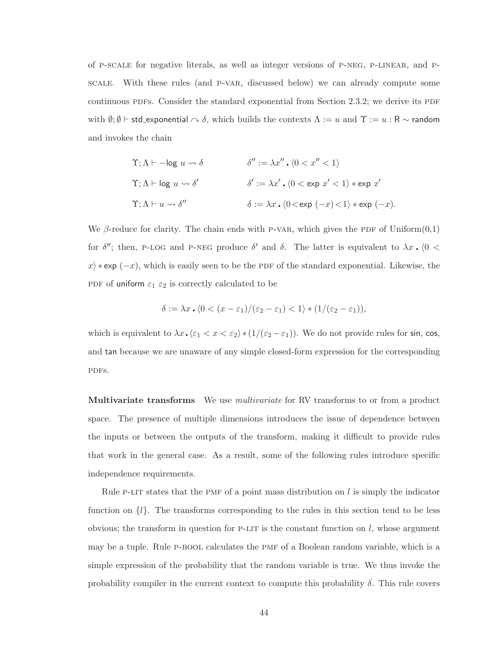of p-scale for negative literals, as well as integer versions of p-neg, p-linear, and pscale. With these rules (and p-var, discussed below) we can already compute some continuous PDFs. Consider the standard exponential from Section 2.3.2; we derive its PDF with  $\emptyset; \emptyset \vdash \mathsf{std}\text{-} \mathsf{exponential} \curvearrowright \delta$ , which builds the contexts  $\Lambda := u$  and  $\Upsilon := u : \mathsf{R} \sim \mathsf{random}$ and invokes the chain

$$
\begin{aligned}\n\Upsilon; \Lambda \vdash -\log u &\leadsto \delta && \delta'':=\lambda x'' \cdot \langle 0 < x'' < 1 \rangle \\
\Upsilon; \Lambda \vdash \log u &\leadsto \delta' && \delta':=\lambda x' \cdot \langle 0 < \exp x' < 1 \rangle * \exp x' \\
\Upsilon; \Lambda \vdash u &\leadsto \delta'' && \delta&&:=\lambda x \cdot \langle 0 < \exp (-x) < 1 \rangle * \exp (-x).\n\end{aligned}
$$

We β-reduce for clarity. The chain ends with P-VAR, which gives the PDF of Uniform $(0,1)$ for  $\delta''$ ; then, P-LOG and P-NEG produce  $\delta'$  and  $\delta$ . The latter is equivalent to  $\lambda x \cdot \langle 0 \rangle$  $x$  \* exp (-x), which is easily seen to be the PDF of the standard exponential. Likewise, the PDF of uniform  $\varepsilon_1 \varepsilon_2$  is correctly calculated to be

$$
\delta := \lambda x \cdot \langle 0 < (x - \varepsilon_1) / (\varepsilon_2 - \varepsilon_1) < 1 \rangle \cdot \langle 1 / (\varepsilon_2 - \varepsilon_1) \rangle,
$$

which is equivalent to  $\lambda x \cdot \langle \varepsilon_1 \langle x \rangle \cdot (1/(\varepsilon_2 - \varepsilon_1))$ . We do not provide rules for sin, cos, and tan because we are unaware of any simple closed-form expression for the corresponding PDFs.

Multivariate transforms We use *multivariate* for RV transforms to or from a product space. The presence of multiple dimensions introduces the issue of dependence between the inputs or between the outputs of the transform, making it difficult to provide rules that work in the general case. As a result, some of the following rules introduce specific independence requirements.

Rule P-LIT states that the PMF of a point mass distribution on  $l$  is simply the indicator function on  $\{l\}$ . The transforms corresponding to the rules in this section tend to be less obvious; the transform in question for P-LIT is the constant function on  $l$ , whose argument may be a tuple. Rule P-BOOL calculates the PMF of a Boolean random variable, which is a simple expression of the probability that the random variable is true. We thus invoke the probability compiler in the current context to compute this probability  $\delta$ . This rule covers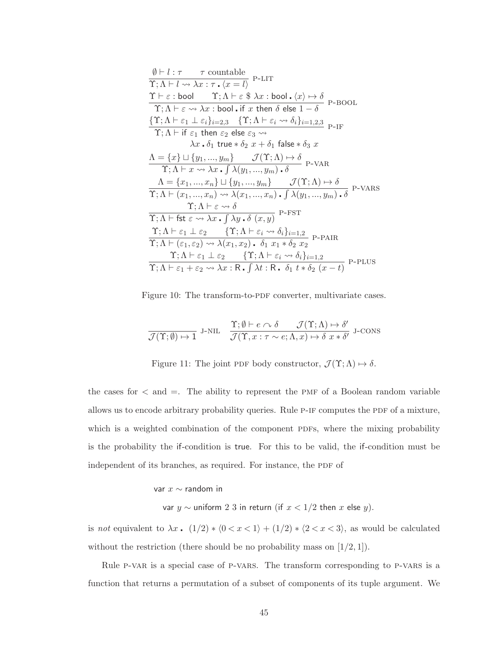$$
\frac{\emptyset \vdash l : \tau \quad \tau \text{ countable}}{\Upsilon; \Lambda \vdash l \leadsto \lambda x : \tau \cdot \langle x = l \rangle} \text{ P-LIT}
$$
\n
$$
\frac{\Upsilon \vdash \varepsilon : \text{bool} \quad \Upsilon; \Lambda \vdash \varepsilon \$ \lambda x : \text{bool} \cdot \langle x \rangle \mapsto \delta}{\Upsilon; \Lambda \vdash \varepsilon \leadsto \lambda x : \text{bool} \cdot \text{if } x \text{ then } \delta \text{ else } 1 - \delta} \text{ P-BOOL}
$$
\n
$$
\frac{\{\Upsilon; \Lambda \vdash \varepsilon_1 \perp \varepsilon_i\}_{i=2,3} \quad \{\Upsilon; \Lambda \vdash \varepsilon_i \leadsto \delta_i\}_{i=1,2,3}}{\Upsilon; \Lambda \vdash \text{if } \varepsilon_1 \text{ then } \varepsilon_2 \text{ else } \varepsilon_3 \leadsto \lambda x \cdot \delta_1 \text{ true} * \delta_2 x + \delta_1 \text{ false} * \delta_3 x}
$$
\n
$$
\frac{\Lambda = \{x\} \sqcup \{y_1, \dots, y_m\} \quad \mathcal{J}(\Upsilon; \Lambda) \mapsto \delta}{\Upsilon; \Lambda \vdash x \leadsto \lambda x \cdot \int \lambda(y_1, \dots, y_m) \cdot \delta} \text{ P-VAR}
$$
\n
$$
\frac{\Lambda = \{x_1, \dots, x_n\} \sqcup \{y_1, \dots, y_m\} \quad \mathcal{J}(\Upsilon; \Lambda) \mapsto \delta}{\Upsilon; \Lambda \vdash (x_1, \dots, x_n) \leadsto \lambda(x_1, \dots, x_n) \cdot \int \lambda(y_1, \dots, y_m) \cdot \delta} \text{ P-VARS}
$$
\n
$$
\frac{\Upsilon; \Lambda \vdash \varepsilon_1 \leadsto \delta}{\Upsilon; \Lambda \vdash \varepsilon_2 \leadsto \lambda x \cdot \int \lambda y \cdot \delta(x, y)} \text{ P-FST}
$$
\n
$$
\frac{\Upsilon; \Lambda \vdash \varepsilon_1 \perp \varepsilon_2 \quad \{\Upsilon; \Lambda \vdash \varepsilon_i \leadsto \delta_i\}_{i=1,2}}{\Upsilon; \Lambda \vdash (\varepsilon_1, \varepsilon_2) \leadsto \lambda(x_1, x_2) \cdot \delta_1 x_1 * \delta_2 x_2} \text
$$

Figure 10: The transform-to-PDF converter, multivariate cases.

$$
\frac{\Upsilon(\Upsilon,\emptyset) \mapsto 1}{\mathcal{J}(\Upsilon,\emptyset) \mapsto 1} \xrightarrow{J \cdot \text{NIL}} \frac{\Upsilon(\emptyset \vdash e \land \delta \qquad \mathcal{J}(\Upsilon;\Lambda) \mapsto \delta'}{\mathcal{J}(\Upsilon,x : \tau \sim e; \Lambda,x) \mapsto \delta x * \delta'} \text{ J-Cons}
$$

Figure 11: The joint PDF body constructor,  $\mathcal{J}(\Upsilon; \Lambda) \mapsto \delta$ .

the cases for  $\lt$  and  $=$ . The ability to represent the PMF of a Boolean random variable allows us to encode arbitrary probability queries. Rule P-IF computes the PDF of a mixture, which is a weighted combination of the component PDFs, where the mixing probability is the probability the if-condition is true. For this to be valid, the if-condition must be independent of its branches, as required. For instance, the PDF of

## var  $x \sim$  random in

var y ∼ uniform 2 3 in return (if  $x < 1/2$  then x else y).

is not equivalent to  $\lambda x$ .  $(1/2) * (0 < x < 1) + (1/2) * (2 < x < 3)$ , as would be calculated without the restriction (there should be no probability mass on  $[1/2, 1]$ ).

Rule p-var is a special case of p-vars. The transform corresponding to p-vars is a function that returns a permutation of a subset of components of its tuple argument. We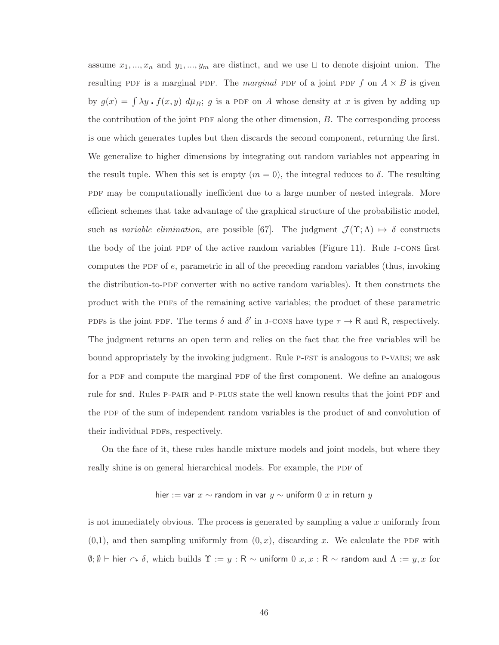assume  $x_1, ..., x_n$  and  $y_1, ..., y_m$  are distinct, and we use  $\sqcup$  to denote disjoint union. The resulting PDF is a marginal PDF. The marginal PDF of a joint PDF f on  $A \times B$  is given by  $g(x) = \int \lambda y \cdot f(x, y) d\overline{\mu}_B$ ; g is a PDF on A whose density at x is given by adding up the contribution of the joint PDF along the other dimension,  $B$ . The corresponding process is one which generates tuples but then discards the second component, returning the first. We generalize to higher dimensions by integrating out random variables not appearing in the result tuple. When this set is empty  $(m = 0)$ , the integral reduces to  $\delta$ . The resulting pdf may be computationally inefficient due to a large number of nested integrals. More efficient schemes that take advantage of the graphical structure of the probabilistic model, such as variable elimination, are possible [67]. The judgment  $\mathcal{J}(\Upsilon;\Lambda) \mapsto \delta$  constructs the body of the joint PDF of the active random variables (Figure 11). Rule J-CONS first computes the PDF of  $e$ , parametric in all of the preceding random variables (thus, invoking the distribution-to-pdf converter with no active random variables). It then constructs the product with the pdfs of the remaining active variables; the product of these parametric PDFs is the joint PDF. The terms  $\delta$  and  $\delta'$  in J-CONS have type  $\tau \to \mathsf{R}$  and  $\mathsf{R}$ , respectively. The judgment returns an open term and relies on the fact that the free variables will be bound appropriately by the invoking judgment. Rule P-FST is analogous to P-VARS; we ask for a PDF and compute the marginal PDF of the first component. We define an analogous rule for snd. Rules P-PAIR and P-PLUS state the well known results that the joint PDF and the PDF of the sum of independent random variables is the product of and convolution of their individual PDFs, respectively.

On the face of it, these rules handle mixture models and joint models, but where they really shine is on general hierarchical models. For example, the PDF of

hier := var 
$$
x \sim
$$
 random in var  $y \sim$  uniform 0 x in return y

is not immediately obvious. The process is generated by sampling a value  $x$  uniformly from  $(0,1)$ , and then sampling uniformly from  $(0, x)$ , discarding x. We calculate the PDF with  $\emptyset$ ;  $\emptyset \vdash$  hier  $\curvearrowright \delta$ , which builds  $\Upsilon := y : \mathsf{R} \sim \mathsf{uniform} \ 0 \ x, x : \mathsf{R} \sim \mathsf{random} \ \text{and} \ \Lambda := y, x \text{ for }$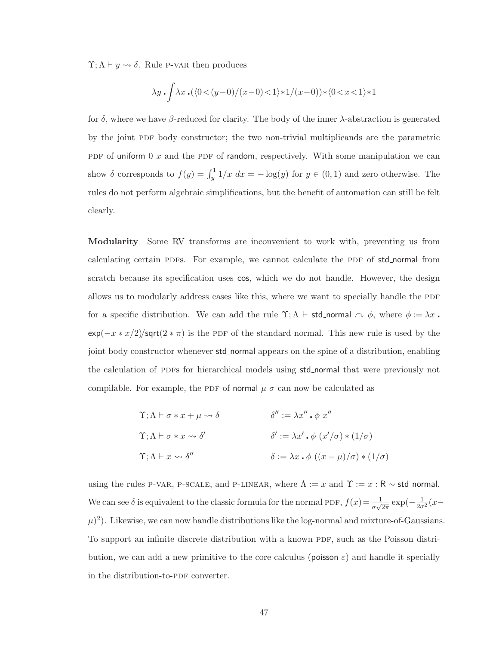$\Upsilon$ ;  $\Lambda \vdash y \leadsto \delta$ . Rule P-VAR then produces

$$
\lambda y \centerdot \int \lambda x \centerdot (\langle 0 \! < \! (y \! - \! 0)/(x \! - \! 0) \! < \! 1 \rangle \! * \! 1/(x \! - \! 0)) \! * \langle 0 \! < \! x \! < \! 1 \rangle \! * \! 1
$$

for  $\delta$ , where we have  $\beta$ -reduced for clarity. The body of the inner  $\lambda$ -abstraction is generated by the joint PDF body constructor; the two non-trivial multiplicands are the parametric PDF of uniform  $0 \text{ } x$  and the PDF of random, respectively. With some manipulation we can show  $\delta$  corresponds to  $f(y) = \int_y^1 1/x \, dx = -\log(y)$  for  $y \in (0,1)$  and zero otherwise. The rules do not perform algebraic simplifications, but the benefit of automation can still be felt clearly.

Modularity Some RV transforms are inconvenient to work with, preventing us from calculating certain PDFs. For example, we cannot calculate the PDF of std\_normal from scratch because its specification uses cos, which we do not handle. However, the design allows us to modularly address cases like this, where we want to specially handle the PDF for a specific distribution. We can add the rule  $\Upsilon$ ;  $\Lambda \vdash$  std\_normal  $\curvearrowright \phi$ , where  $\phi := \lambda x$ .  $\exp(-x * x/2)/\sqrt{\sqrt{2} + x}$  is the PDF of the standard normal. This new rule is used by the joint body constructor whenever std normal appears on the spine of a distribution, enabling the calculation of PDFs for hierarchical models using std normal that were previously not compilable. For example, the PDF of normal  $\mu \sigma$  can now be calculated as

$$
\begin{aligned}\n\Upsilon; \Lambda \vdash \sigma * x + \mu \leadsto \delta & \delta' &:= \lambda x'' \cdot \phi \ x'' \\
\Upsilon; \Lambda \vdash \sigma * x \leadsto \delta' & \delta' &:= \lambda x' \cdot \phi \ (x'/\sigma) * (1/\sigma) \\
\Upsilon; \Lambda \vdash x \leadsto \delta'' & \delta &:= \lambda x \cdot \phi \ ((x - \mu)/\sigma) * (1/\sigma)\n\end{aligned}
$$

using the rules P-VAR, P-SCALE, and P-LINEAR, where  $\Lambda := x$  and  $\Upsilon := x : \mathsf{R} \sim \mathsf{std\_normal}$ . We can see  $\delta$  is equivalent to the classic formula for the normal PDF,  $f(x) = \frac{1}{\sigma\sqrt{2\pi}} \exp(-\frac{1}{2\sigma^2}(x-\sigma\sqrt{2})$  $(\mu)^2$ ). Likewise, we can now handle distributions like the log-normal and mixture-of-Gaussians. To support an infinite discrete distribution with a known PDF, such as the Poisson distribution, we can add a new primitive to the core calculus (poisson  $\varepsilon$ ) and handle it specially in the distribution-to-PDF converter.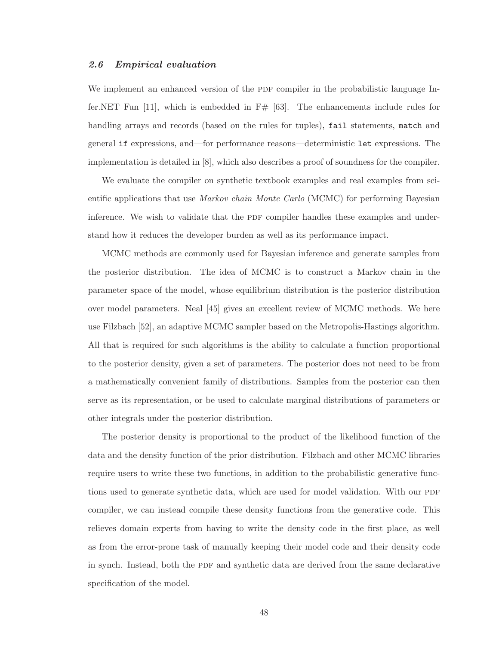## *2.6 Empirical evaluation*

We implement an enhanced version of the PDF compiler in the probabilistic language Infer.NET Fun [11], which is embedded in  $F#$  [63]. The enhancements include rules for handling arrays and records (based on the rules for tuples), fail statements, match and general if expressions, and—for performance reasons—deterministic let expressions. The implementation is detailed in [8], which also describes a proof of soundness for the compiler.

We evaluate the compiler on synthetic textbook examples and real examples from scientific applications that use Markov chain Monte Carlo (MCMC) for performing Bayesian inference. We wish to validate that the PDF compiler handles these examples and understand how it reduces the developer burden as well as its performance impact.

MCMC methods are commonly used for Bayesian inference and generate samples from the posterior distribution. The idea of MCMC is to construct a Markov chain in the parameter space of the model, whose equilibrium distribution is the posterior distribution over model parameters. Neal [45] gives an excellent review of MCMC methods. We here use Filzbach [52], an adaptive MCMC sampler based on the Metropolis-Hastings algorithm. All that is required for such algorithms is the ability to calculate a function proportional to the posterior density, given a set of parameters. The posterior does not need to be from a mathematically convenient family of distributions. Samples from the posterior can then serve as its representation, or be used to calculate marginal distributions of parameters or other integrals under the posterior distribution.

The posterior density is proportional to the product of the likelihood function of the data and the density function of the prior distribution. Filzbach and other MCMC libraries require users to write these two functions, in addition to the probabilistic generative functions used to generate synthetic data, which are used for model validation. With our PDF compiler, we can instead compile these density functions from the generative code. This relieves domain experts from having to write the density code in the first place, as well as from the error-prone task of manually keeping their model code and their density code in synch. Instead, both the PDF and synthetic data are derived from the same declarative specification of the model.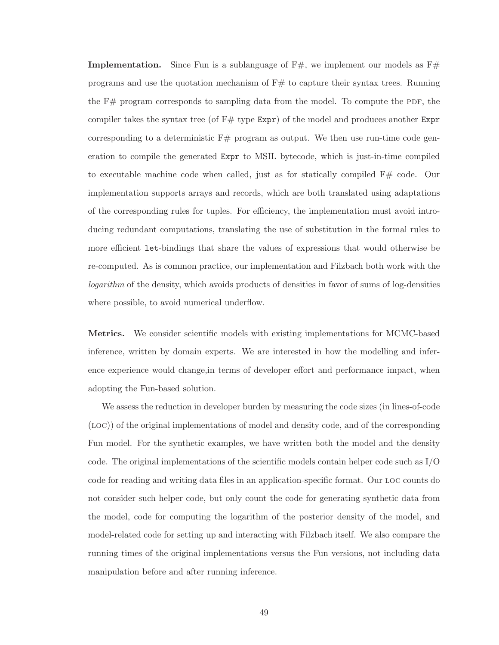**Implementation.** Since Fun is a sublanguage of  $F#$ , we implement our models as  $F#$ programs and use the quotation mechanism of  $F#$  to capture their syntax trees. Running the  $F#$  program corresponds to sampling data from the model. To compute the PDF, the compiler takes the syntax tree (of  $F#$  type  $Expr$ ) of the model and produces another  $Expr$ corresponding to a deterministic  $F#$  program as output. We then use run-time code generation to compile the generated Expr to MSIL bytecode, which is just-in-time compiled to executable machine code when called, just as for statically compiled F# code. Our implementation supports arrays and records, which are both translated using adaptations of the corresponding rules for tuples. For efficiency, the implementation must avoid introducing redundant computations, translating the use of substitution in the formal rules to more efficient let-bindings that share the values of expressions that would otherwise be re-computed. As is common practice, our implementation and Filzbach both work with the logarithm of the density, which avoids products of densities in favor of sums of log-densities where possible, to avoid numerical underflow.

Metrics. We consider scientific models with existing implementations for MCMC-based inference, written by domain experts. We are interested in how the modelling and inference experience would change,in terms of developer effort and performance impact, when adopting the Fun-based solution.

We assess the reduction in developer burden by measuring the code sizes (in lines-of-code (loc)) of the original implementations of model and density code, and of the corresponding Fun model. For the synthetic examples, we have written both the model and the density code. The original implementations of the scientific models contain helper code such as I/O code for reading and writing data files in an application-specific format. Our loc counts do not consider such helper code, but only count the code for generating synthetic data from the model, code for computing the logarithm of the posterior density of the model, and model-related code for setting up and interacting with Filzbach itself. We also compare the running times of the original implementations versus the Fun versions, not including data manipulation before and after running inference.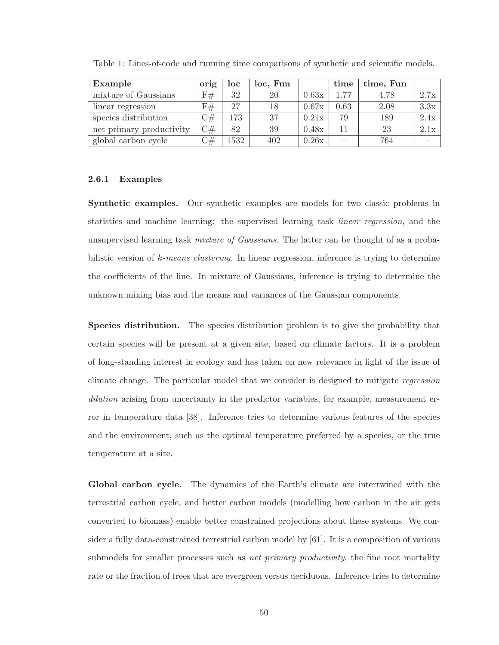| Example                  | orig          | loc. | loc, Fun |       | time | time, Fun |      |
|--------------------------|---------------|------|----------|-------|------|-----------|------|
| mixture of Gaussians     | F#            | 32   | 20       | 0.63x | 1.77 | 4.78      | 2.7x |
| linear regression        | F#            | 27   | 18       | 0.67x | 0.63 | 2.08      | 3.3x |
| species distribution     | $\gamma\#$    | 173  | 37       | 0.21x | 79   | 189       | 2.4x |
| net primary productivity | C#            | 82   | 39       | 0.48x |      | 23        | 2.1x |
| global carbon cycle      | $\gamma_{\#}$ | 1532 | 402      | 0.26x |      | 764       |      |

Table 1: Lines-of-code and running time comparisons of synthetic and scientific models.

# 2.6.1 Examples

Synthetic examples. Our synthetic examples are models for two classic problems in statistics and machine learning: the supervised learning task linear regression, and the unsupervised learning task *mixture of Gaussians*. The latter can be thought of as a probabilistic version of  $k$ -means clustering. In linear regression, inference is trying to determine the coefficients of the line. In mixture of Gaussians, inference is trying to determine the unknown mixing bias and the means and variances of the Gaussian components.

Species distribution. The species distribution problem is to give the probability that certain species will be present at a given site, based on climate factors. It is a problem of long-standing interest in ecology and has taken on new relevance in light of the issue of climate change. The particular model that we consider is designed to mitigate regression dilution arising from uncertainty in the predictor variables, for example, measurement error in temperature data [38]. Inference tries to determine various features of the species and the environment, such as the optimal temperature preferred by a species, or the true temperature at a site.

Global carbon cycle. The dynamics of the Earth's climate are intertwined with the terrestrial carbon cycle, and better carbon models (modelling how carbon in the air gets converted to biomass) enable better constrained projections about these systems. We consider a fully data-constrained terrestrial carbon model by [61]. It is a composition of various submodels for smaller processes such as *net primary productivity*, the fine root mortality rate or the fraction of trees that are evergreen versus deciduous. Inference tries to determine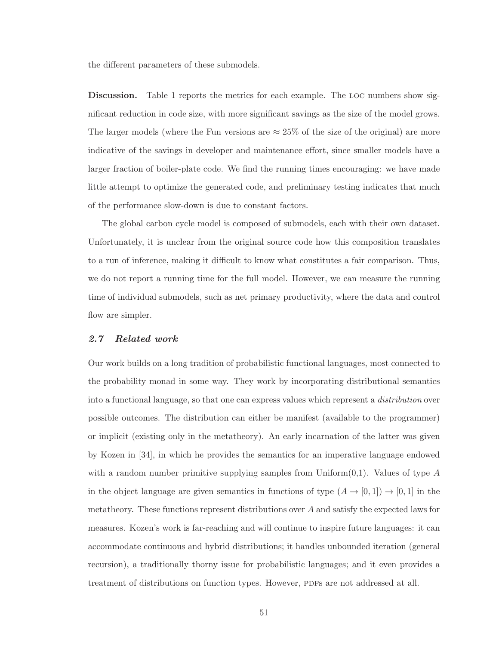the different parameters of these submodels.

Discussion. Table 1 reports the metrics for each example. The LOC numbers show significant reduction in code size, with more significant savings as the size of the model grows. The larger models (where the Fun versions are  $\approx 25\%$  of the size of the original) are more indicative of the savings in developer and maintenance effort, since smaller models have a larger fraction of boiler-plate code. We find the running times encouraging: we have made little attempt to optimize the generated code, and preliminary testing indicates that much of the performance slow-down is due to constant factors.

The global carbon cycle model is composed of submodels, each with their own dataset. Unfortunately, it is unclear from the original source code how this composition translates to a run of inference, making it difficult to know what constitutes a fair comparison. Thus, we do not report a running time for the full model. However, we can measure the running time of individual submodels, such as net primary productivity, where the data and control flow are simpler.

### *2.7 Related work*

Our work builds on a long tradition of probabilistic functional languages, most connected to the probability monad in some way. They work by incorporating distributional semantics into a functional language, so that one can express values which represent a *distribution* over possible outcomes. The distribution can either be manifest (available to the programmer) or implicit (existing only in the metatheory). An early incarnation of the latter was given by Kozen in [34], in which he provides the semantics for an imperative language endowed with a random number primitive supplying samples from Uniform $(0,1)$ . Values of type A in the object language are given semantics in functions of type  $(A \to [0,1]) \to [0,1]$  in the metatheory. These functions represent distributions over  $A$  and satisfy the expected laws for measures. Kozen's work is far-reaching and will continue to inspire future languages: it can accommodate continuous and hybrid distributions; it handles unbounded iteration (general recursion), a traditionally thorny issue for probabilistic languages; and it even provides a treatment of distributions on function types. However, PDFs are not addressed at all.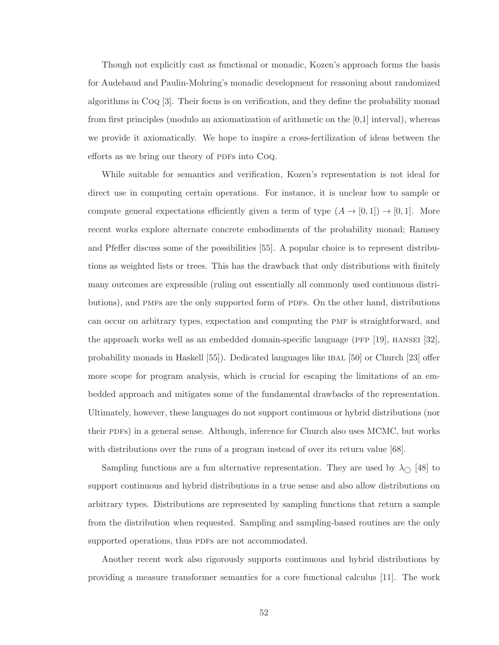Though not explicitly cast as functional or monadic, Kozen's approach forms the basis for Audebaud and Paulin-Mohring's monadic development for reasoning about randomized algorithms in Coq [3]. Their focus is on verification, and they define the probability monad from first principles (modulo an axiomatization of arithmetic on the [0,1] interval), whereas we provide it axiomatically. We hope to inspire a cross-fertilization of ideas between the efforts as we bring our theory of PDFs into  $CoQ$ .

While suitable for semantics and verification, Kozen's representation is not ideal for direct use in computing certain operations. For instance, it is unclear how to sample or compute general expectations efficiently given a term of type  $(A \to [0,1]) \to [0,1]$ . More recent works explore alternate concrete embodiments of the probability monad; Ramsey and Pfeffer discuss some of the possibilities [55]. A popular choice is to represent distributions as weighted lists or trees. This has the drawback that only distributions with finitely many outcomes are expressible (ruling out essentially all commonly used continuous distributions), and PMFs are the only supported form of PDFs. On the other hand, distributions can occur on arbitrary types, expectation and computing the PMF is straightforward, and the approach works well as an embedded domain-specific language (PFP [19], HANSEI [32], probability monads in Haskell [55]). Dedicated languages like ibal [50] or Church [23] offer more scope for program analysis, which is crucial for escaping the limitations of an embedded approach and mitigates some of the fundamental drawbacks of the representation. Ultimately, however, these languages do not support continuous or hybrid distributions (nor their pdfs) in a general sense. Although, inference for Church also uses MCMC, but works with distributions over the runs of a program instead of over its return value [68].

Sampling functions are a fun alternative representation. They are used by  $\lambda_{\bigcirc}$  [48] to support continuous and hybrid distributions in a true sense and also allow distributions on arbitrary types. Distributions are represented by sampling functions that return a sample from the distribution when requested. Sampling and sampling-based routines are the only supported operations, thus PDFs are not accommodated.

Another recent work also rigorously supports continuous and hybrid distributions by providing a measure transformer semantics for a core functional calculus [11]. The work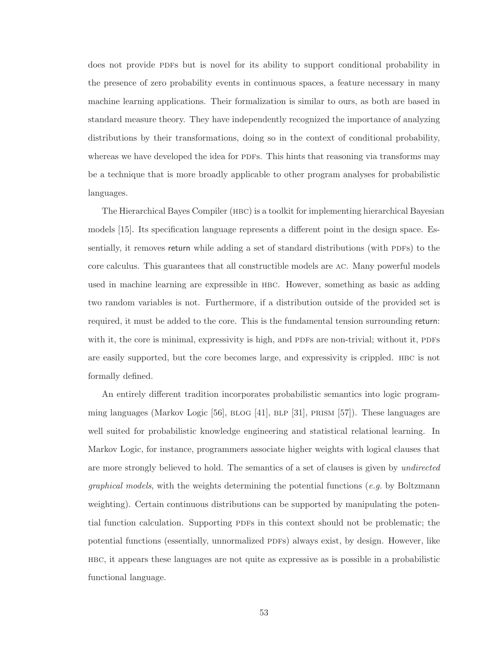does not provide PDFs but is novel for its ability to support conditional probability in the presence of zero probability events in continuous spaces, a feature necessary in many machine learning applications. Their formalization is similar to ours, as both are based in standard measure theory. They have independently recognized the importance of analyzing distributions by their transformations, doing so in the context of conditional probability, whereas we have developed the idea for PDFs. This hints that reasoning via transforms may be a technique that is more broadly applicable to other program analyses for probabilistic languages.

The Hierarchical Bayes Compiler (hbc) is a toolkit for implementing hierarchical Bayesian models [15]. Its specification language represents a different point in the design space. Essentially, it removes return while adding a set of standard distributions (with PDFs) to the core calculus. This guarantees that all constructible models are ac. Many powerful models used in machine learning are expressible in hbc. However, something as basic as adding two random variables is not. Furthermore, if a distribution outside of the provided set is required, it must be added to the core. This is the fundamental tension surrounding return: with it, the core is minimal, expressivity is high, and PDFs are non-trivial; without it, PDFs are easily supported, but the core becomes large, and expressivity is crippled. HBC is not formally defined.

An entirely different tradition incorporates probabilistic semantics into logic programming languages (Markov Logic [56], BLOG [41], BLP [31], PRISM [57]). These languages are well suited for probabilistic knowledge engineering and statistical relational learning. In Markov Logic, for instance, programmers associate higher weights with logical clauses that are more strongly believed to hold. The semantics of a set of clauses is given by *undirected graphical models*, with the weights determining the potential functions (e.g. by Boltzmann weighting). Certain continuous distributions can be supported by manipulating the potential function calculation. Supporting PDFs in this context should not be problematic; the potential functions (essentially, unnormalized pdfs) always exist, by design. However, like hbc, it appears these languages are not quite as expressive as is possible in a probabilistic functional language.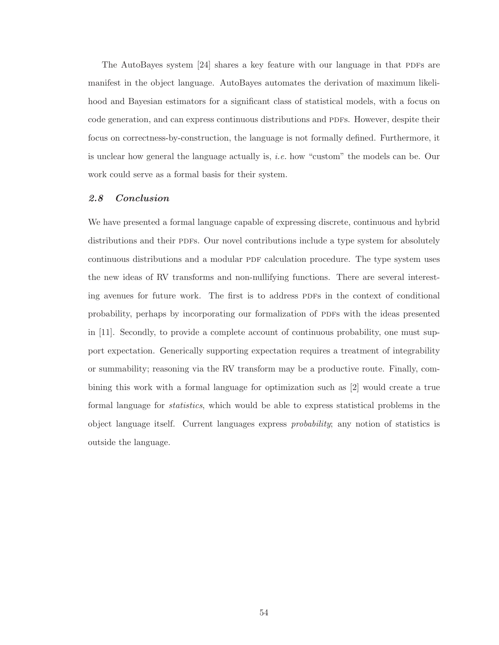The AutoBayes system  $[24]$  shares a key feature with our language in that PDFs are manifest in the object language. AutoBayes automates the derivation of maximum likelihood and Bayesian estimators for a significant class of statistical models, with a focus on code generation, and can express continuous distributions and PDFs. However, despite their focus on correctness-by-construction, the language is not formally defined. Furthermore, it is unclear how general the language actually is, i.e. how "custom" the models can be. Our work could serve as a formal basis for their system.

# *2.8 Conclusion*

We have presented a formal language capable of expressing discrete, continuous and hybrid distributions and their PDFs. Our novel contributions include a type system for absolutely continuous distributions and a modular PDF calculation procedure. The type system uses the new ideas of RV transforms and non-nullifying functions. There are several interesting avenues for future work. The first is to address PDFs in the context of conditional probability, perhaps by incorporating our formalization of PDFs with the ideas presented in [11]. Secondly, to provide a complete account of continuous probability, one must support expectation. Generically supporting expectation requires a treatment of integrability or summability; reasoning via the RV transform may be a productive route. Finally, combining this work with a formal language for optimization such as [2] would create a true formal language for statistics, which would be able to express statistical problems in the object language itself. Current languages express probability; any notion of statistics is outside the language.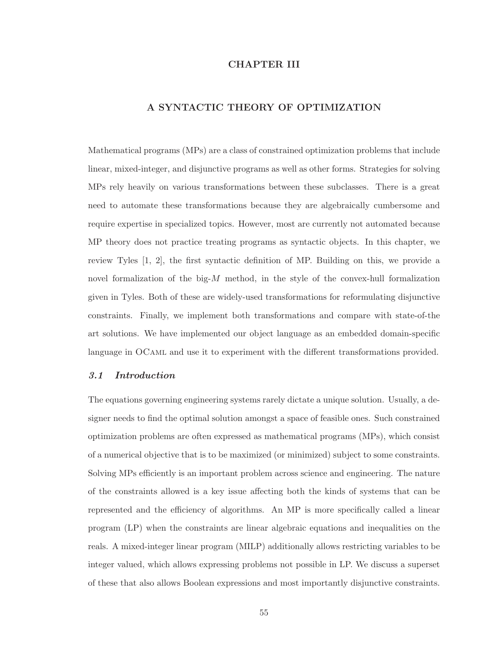# CHAPTER III

# A SYNTACTIC THEORY OF OPTIMIZATION

Mathematical programs (MPs) are a class of constrained optimization problems that include linear, mixed-integer, and disjunctive programs as well as other forms. Strategies for solving MPs rely heavily on various transformations between these subclasses. There is a great need to automate these transformations because they are algebraically cumbersome and require expertise in specialized topics. However, most are currently not automated because MP theory does not practice treating programs as syntactic objects. In this chapter, we review Tyles [1, 2], the first syntactic definition of MP. Building on this, we provide a novel formalization of the big- $M$  method, in the style of the convex-hull formalization given in Tyles. Both of these are widely-used transformations for reformulating disjunctive constraints. Finally, we implement both transformations and compare with state-of-the art solutions. We have implemented our object language as an embedded domain-specific language in OCaml and use it to experiment with the different transformations provided.

# *3.1 Introduction*

The equations governing engineering systems rarely dictate a unique solution. Usually, a designer needs to find the optimal solution amongst a space of feasible ones. Such constrained optimization problems are often expressed as mathematical programs (MPs), which consist of a numerical objective that is to be maximized (or minimized) subject to some constraints. Solving MPs efficiently is an important problem across science and engineering. The nature of the constraints allowed is a key issue affecting both the kinds of systems that can be represented and the efficiency of algorithms. An MP is more specifically called a linear program (LP) when the constraints are linear algebraic equations and inequalities on the reals. A mixed-integer linear program (MILP) additionally allows restricting variables to be integer valued, which allows expressing problems not possible in LP. We discuss a superset of these that also allows Boolean expressions and most importantly disjunctive constraints.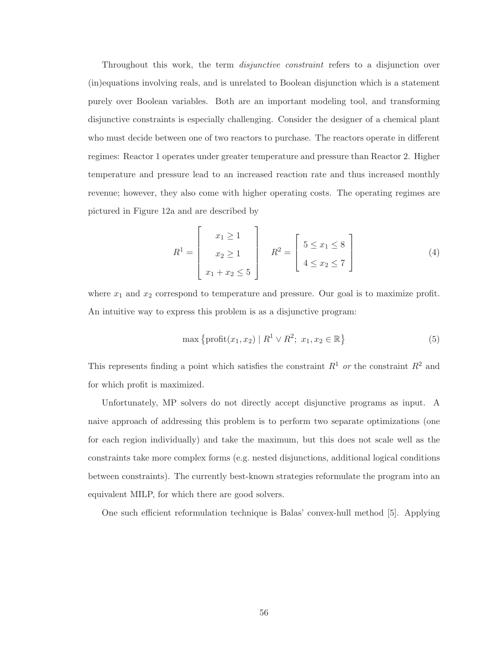Throughout this work, the term *disjunctive constraint* refers to a disjunction over (in)equations involving reals, and is unrelated to Boolean disjunction which is a statement purely over Boolean variables. Both are an important modeling tool, and transforming disjunctive constraints is especially challenging. Consider the designer of a chemical plant who must decide between one of two reactors to purchase. The reactors operate in different regimes: Reactor 1 operates under greater temperature and pressure than Reactor 2. Higher temperature and pressure lead to an increased reaction rate and thus increased monthly revenue; however, they also come with higher operating costs. The operating regimes are pictured in Figure 12a and are described by

$$
R^{1} = \begin{bmatrix} x_{1} \geq 1 \\ x_{2} \geq 1 \\ x_{1} + x_{2} \leq 5 \end{bmatrix} \quad R^{2} = \begin{bmatrix} 5 \leq x_{1} \leq 8 \\ 4 \leq x_{2} \leq 7 \end{bmatrix}
$$
 (4)

where  $x_1$  and  $x_2$  correspond to temperature and pressure. Our goal is to maximize profit. An intuitive way to express this problem is as a disjunctive program:

$$
\max\left\{\text{profit}(x_1, x_2) \mid R^1 \vee R^2; \ x_1, x_2 \in \mathbb{R}\right\} \tag{5}
$$

This represents finding a point which satisfies the constraint  $R^1$  or the constraint  $R^2$  and for which profit is maximized.

Unfortunately, MP solvers do not directly accept disjunctive programs as input. A naive approach of addressing this problem is to perform two separate optimizations (one for each region individually) and take the maximum, but this does not scale well as the constraints take more complex forms (e.g. nested disjunctions, additional logical conditions between constraints). The currently best-known strategies reformulate the program into an equivalent MILP, for which there are good solvers.

One such efficient reformulation technique is Balas' convex-hull method [5]. Applying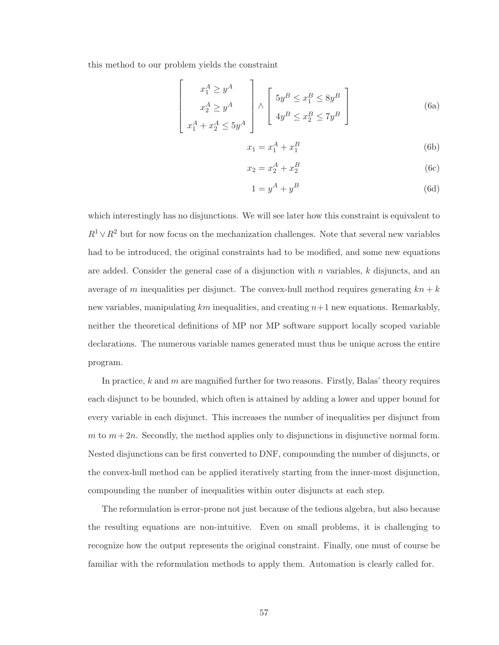this method to our problem yields the constraint

$$
\begin{bmatrix}\nx_1^A \ge y^A \\
x_2^A \ge y^A \\
x_1^A + x_2^A \le 5y^A\n\end{bmatrix}\n\wedge\n\begin{bmatrix}\n5y^B \le x_1^B \le 8y^B \\
4y^B \le x_2^B \le 7y^B\n\end{bmatrix}
$$
\n(6a)

$$
x_1 = x_1^A + x_1^B \tag{6b}
$$

$$
x_2 = x_2^A + x_2^B \tag{6c}
$$

$$
1 = y^A + y^B \tag{6d}
$$

which interestingly has no disjunctions. We will see later how this constraint is equivalent to  $R^1\vee R^2$  but for now focus on the mechanization challenges. Note that several new variables had to be introduced, the original constraints had to be modified, and some new equations are added. Consider the general case of a disjunction with n variables, k disjuncts, and an average of m inequalities per disjunct. The convex-hull method requires generating  $kn + k$ new variables, manipulating  $km$  inequalities, and creating  $n+1$  new equations. Remarkably, neither the theoretical definitions of MP nor MP software support locally scoped variable declarations. The numerous variable names generated must thus be unique across the entire program.

In practice,  $k$  and  $m$  are magnified further for two reasons. Firstly, Balas' theory requires each disjunct to be bounded, which often is attained by adding a lower and upper bound for every variable in each disjunct. This increases the number of inequalities per disjunct from m to  $m+2n$ . Secondly, the method applies only to disjunctions in disjunctive normal form. Nested disjunctions can be first converted to DNF, compounding the number of disjuncts, or the convex-hull method can be applied iteratively starting from the inner-most disjunction, compounding the number of inequalities within outer disjuncts at each step.

The reformulation is error-prone not just because of the tedious algebra, but also because the resulting equations are non-intuitive. Even on small problems, it is challenging to recognize how the output represents the original constraint. Finally, one must of course be familiar with the reformulation methods to apply them. Automation is clearly called for.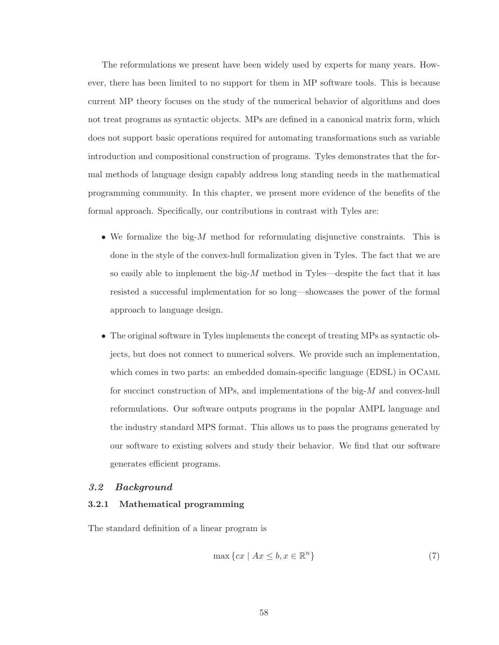The reformulations we present have been widely used by experts for many years. However, there has been limited to no support for them in MP software tools. This is because current MP theory focuses on the study of the numerical behavior of algorithms and does not treat programs as syntactic objects. MPs are defined in a canonical matrix form, which does not support basic operations required for automating transformations such as variable introduction and compositional construction of programs. Tyles demonstrates that the formal methods of language design capably address long standing needs in the mathematical programming community. In this chapter, we present more evidence of the benefits of the formal approach. Specifically, our contributions in contrast with Tyles are:

- We formalize the big-M method for reformulating disjunctive constraints. This is done in the style of the convex-hull formalization given in Tyles. The fact that we are so easily able to implement the big- $M$  method in Tyles—despite the fact that it has resisted a successful implementation for so long—showcases the power of the formal approach to language design.
- The original software in Tyles implements the concept of treating MPs as syntactic objects, but does not connect to numerical solvers. We provide such an implementation, which comes in two parts: an embedded domain-specific language (EDSL) in OCAML for succinct construction of MPs, and implementations of the big-M and convex-hull reformulations. Our software outputs programs in the popular AMPL language and the industry standard MPS format. This allows us to pass the programs generated by our software to existing solvers and study their behavior. We find that our software generates efficient programs.

### *3.2 Background*

### 3.2.1 Mathematical programming

The standard definition of a linear program is

$$
\max\left\{cx \mid Ax \le b, x \in \mathbb{R}^n\right\} \tag{7}
$$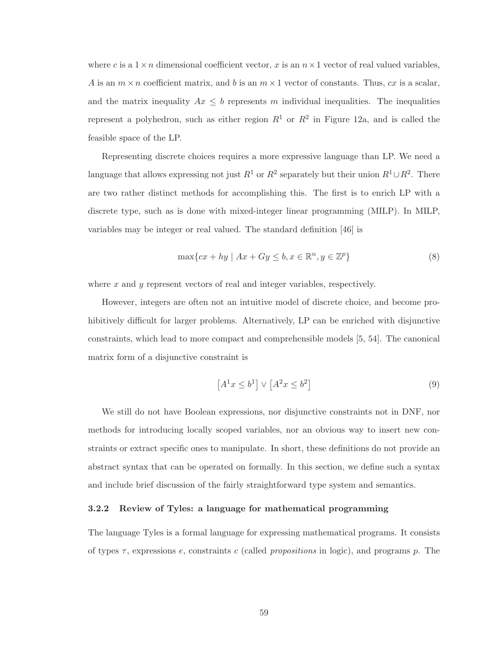where c is a  $1 \times n$  dimensional coefficient vector, x is an  $n \times 1$  vector of real valued variables, A is an  $m \times n$  coefficient matrix, and b is an  $m \times 1$  vector of constants. Thus, cx is a scalar, and the matrix inequality  $Ax \leq b$  represents m individual inequalities. The inequalities represent a polyhedron, such as either region  $R^1$  or  $R^2$  in Figure 12a, and is called the feasible space of the LP.

Representing discrete choices requires a more expressive language than LP. We need a language that allows expressing not just  $R^1$  or  $R^2$  separately but their union  $R^1 \cup R^2$ . There are two rather distinct methods for accomplishing this. The first is to enrich LP with a discrete type, such as is done with mixed-integer linear programming (MILP). In MILP, variables may be integer or real valued. The standard definition [46] is

$$
\max\{cx + hy \mid Ax + Gy \le b, x \in \mathbb{R}^n, y \in \mathbb{Z}^p\}\tag{8}
$$

where  $x$  and  $y$  represent vectors of real and integer variables, respectively.

However, integers are often not an intuitive model of discrete choice, and become prohibitively difficult for larger problems. Alternatively, LP can be enriched with disjunctive constraints, which lead to more compact and comprehensible models [5, 54]. The canonical matrix form of a disjunctive constraint is

$$
\left[A^1 x \le b^1\right] \vee \left[A^2 x \le b^2\right] \tag{9}
$$

We still do not have Boolean expressions, nor disjunctive constraints not in DNF, nor methods for introducing locally scoped variables, nor an obvious way to insert new constraints or extract specific ones to manipulate. In short, these definitions do not provide an abstract syntax that can be operated on formally. In this section, we define such a syntax and include brief discussion of the fairly straightforward type system and semantics.

## 3.2.2 Review of Tyles: a language for mathematical programming

The language Tyles is a formal language for expressing mathematical programs. It consists of types  $\tau$ , expressions e, constraints c (called *propositions* in logic), and programs p. The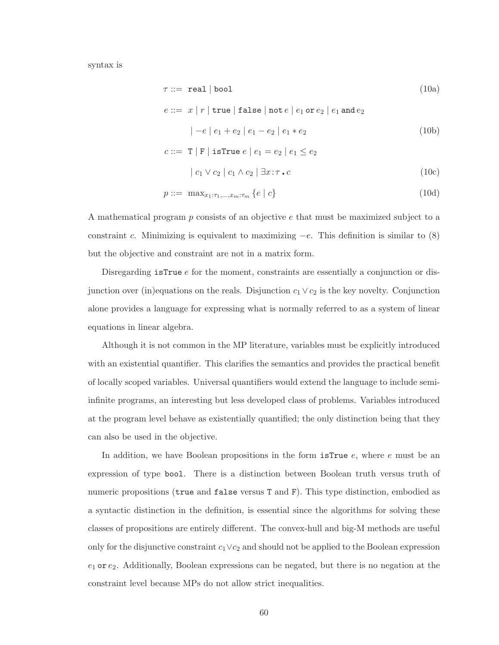syntax is

$$
\tau ::= \text{ real } | \text{ bool} \tag{10a}
$$
\n
$$
e ::= x | r | \text{ true } | \text{ false } | \text{ not } e | e_1 \text{ or } e_2 | e_1 \text{ and } e_2
$$
\n
$$
|-e | e_1 + e_2 | e_1 - e_2 | e_1 * e_2 \tag{10b}
$$
\n
$$
c ::= T | F | \text{ is True } e | e_1 = e_2 | e_1 \le e_2
$$
\n
$$
| c_1 \vee c_2 | c_1 \wedge c_2 | \exists x : \tau \cdot c \tag{10c}
$$

$$
p ::= \max_{x_1 : \tau_1, \dots, x_m : \tau_m} \{ e \mid c \} \tag{10d}
$$

A mathematical program  $p$  consists of an objective  $e$  that must be maximized subject to a constraint c. Minimizing is equivalent to maximizing  $-e$ . This definition is similar to (8) but the objective and constraint are not in a matrix form.

Disregarding  $isTrue$  e for the moment, constraints are essentially a conjunction or disjunction over (in)equations on the reals. Disjunction  $c_1 \vee c_2$  is the key novelty. Conjunction alone provides a language for expressing what is normally referred to as a system of linear equations in linear algebra.

Although it is not common in the MP literature, variables must be explicitly introduced with an existential quantifier. This clarifies the semantics and provides the practical benefit of locally scoped variables. Universal quantifiers would extend the language to include semiinfinite programs, an interesting but less developed class of problems. Variables introduced at the program level behave as existentially quantified; the only distinction being that they can also be used in the objective.

In addition, we have Boolean propositions in the form  $isTrue$  e, where e must be an expression of type bool. There is a distinction between Boolean truth versus truth of numeric propositions (true and false versus T and F). This type distinction, embodied as a syntactic distinction in the definition, is essential since the algorithms for solving these classes of propositions are entirely different. The convex-hull and big-M methods are useful only for the disjunctive constraint  $c_1 \vee c_2$  and should not be applied to the Boolean expression  $e_1$  or  $e_2$ . Additionally, Boolean expressions can be negated, but there is no negation at the constraint level because MPs do not allow strict inequalities.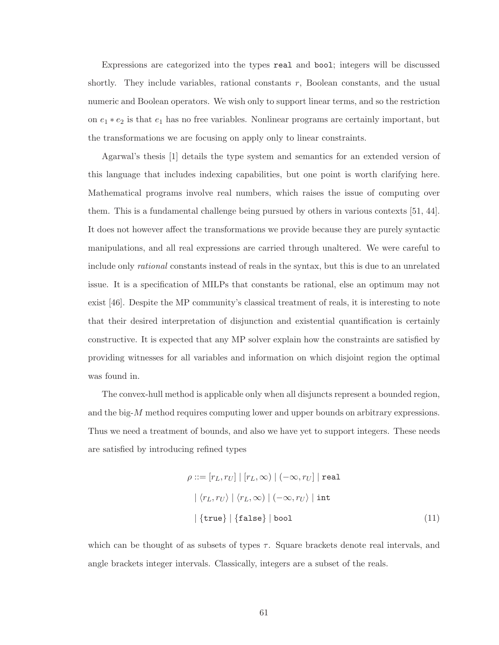Expressions are categorized into the types real and bool; integers will be discussed shortly. They include variables, rational constants r, Boolean constants, and the usual numeric and Boolean operators. We wish only to support linear terms, and so the restriction on  $e_1 * e_2$  is that  $e_1$  has no free variables. Nonlinear programs are certainly important, but the transformations we are focusing on apply only to linear constraints.

Agarwal's thesis [1] details the type system and semantics for an extended version of this language that includes indexing capabilities, but one point is worth clarifying here. Mathematical programs involve real numbers, which raises the issue of computing over them. This is a fundamental challenge being pursued by others in various contexts [51, 44]. It does not however affect the transformations we provide because they are purely syntactic manipulations, and all real expressions are carried through unaltered. We were careful to include only rational constants instead of reals in the syntax, but this is due to an unrelated issue. It is a specification of MILPs that constants be rational, else an optimum may not exist [46]. Despite the MP community's classical treatment of reals, it is interesting to note that their desired interpretation of disjunction and existential quantification is certainly constructive. It is expected that any MP solver explain how the constraints are satisfied by providing witnesses for all variables and information on which disjoint region the optimal was found in.

The convex-hull method is applicable only when all disjuncts represent a bounded region, and the big-M method requires computing lower and upper bounds on arbitrary expressions. Thus we need a treatment of bounds, and also we have yet to support integers. These needs are satisfied by introducing refined types

$$
\rho ::= [r_L, r_U] | [r_L, \infty) | (-\infty, r_U] | \text{ real}
$$
  
 
$$
|\langle r_L, r_U \rangle | \langle r_L, \infty) | (-\infty, r_U \rangle | \text{ int}
$$
  
 
$$
|\{\text{true}\}| \{\text{false}\} | \text{bool}
$$
 (11)

which can be thought of as subsets of types  $\tau$ . Square brackets denote real intervals, and angle brackets integer intervals. Classically, integers are a subset of the reals.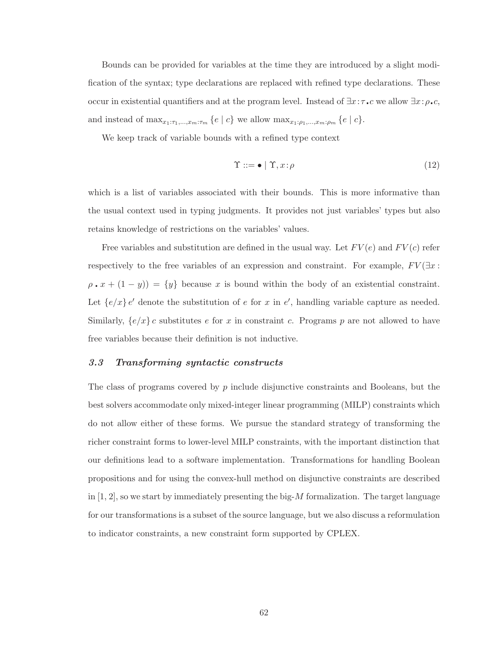Bounds can be provided for variables at the time they are introduced by a slight modification of the syntax; type declarations are replaced with refined type declarations. These occur in existential quantifiers and at the program level. Instead of  $\exists x:\tau$  c we allow  $\exists x:\rho$  c, and instead of  $\max_{x_1:\tau_1,\dots,x_m:\tau_m} \{e \mid c\}$  we allow  $\max_{x_1:\rho_1,\dots,x_m:\rho_m} \{e \mid c\}$ .

We keep track of variable bounds with a refined type context

$$
\Upsilon ::= \bullet \mid \Upsilon, x : \rho \tag{12}
$$

which is a list of variables associated with their bounds. This is more informative than the usual context used in typing judgments. It provides not just variables' types but also retains knowledge of restrictions on the variables' values.

Free variables and substitution are defined in the usual way. Let  $FV(e)$  and  $FV(c)$  refer respectively to the free variables of an expression and constraint. For example,  $FV(\exists x :$  $\rho \cdot x + (1 - y) = \{y\}$  because x is bound within the body of an existential constraint. Let  $\{e/x\}$  *e'* denote the substitution of *e* for *x* in *e'*, handling variable capture as needed. Similarly,  $\{e/x\}$  c substitutes e for x in constraint c. Programs p are not allowed to have free variables because their definition is not inductive.

# *3.3 Transforming syntactic constructs*

The class of programs covered by  $p$  include disjunctive constraints and Booleans, but the best solvers accommodate only mixed-integer linear programming (MILP) constraints which do not allow either of these forms. We pursue the standard strategy of transforming the richer constraint forms to lower-level MILP constraints, with the important distinction that our definitions lead to a software implementation. Transformations for handling Boolean propositions and for using the convex-hull method on disjunctive constraints are described in  $[1, 2]$ , so we start by immediately presenting the big- $M$  formalization. The target language for our transformations is a subset of the source language, but we also discuss a reformulation to indicator constraints, a new constraint form supported by CPLEX.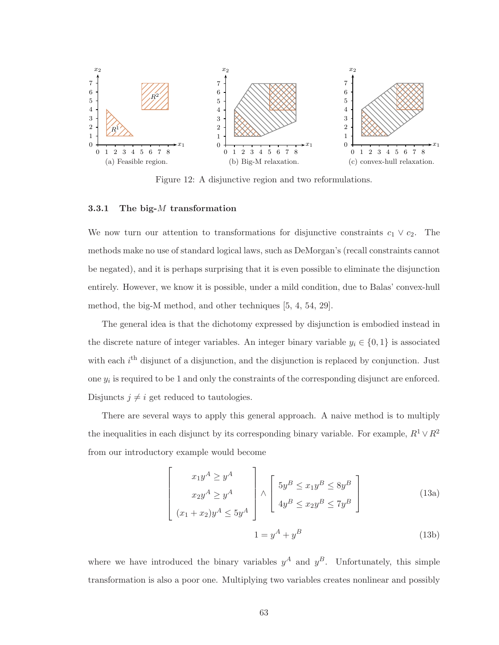

Figure 12: A disjunctive region and two reformulations.

### 3.3.1 The big- $M$  transformation

We now turn our attention to transformations for disjunctive constraints  $c_1 \vee c_2$ . The methods make no use of standard logical laws, such as DeMorgan's (recall constraints cannot be negated), and it is perhaps surprising that it is even possible to eliminate the disjunction entirely. However, we know it is possible, under a mild condition, due to Balas' convex-hull method, the big-M method, and other techniques [5, 4, 54, 29].

The general idea is that the dichotomy expressed by disjunction is embodied instead in the discrete nature of integer variables. An integer binary variable  $y_i \in \{0, 1\}$  is associated with each  $i<sup>th</sup>$  disjunct of a disjunction, and the disjunction is replaced by conjunction. Just one  $y_i$  is required to be 1 and only the constraints of the corresponding disjunct are enforced. Disjuncts  $j \neq i$  get reduced to tautologies.

There are several ways to apply this general approach. A naive method is to multiply the inequalities in each disjunct by its corresponding binary variable. For example,  $R^1\vee R^2$ from our introductory example would become

$$
\begin{bmatrix}\nx_1y^A \ge y^A \\
x_2y^A \ge y^A \\
(x_1 + x_2)y^A \le 5y^A\n\end{bmatrix}\n\wedge\n\begin{bmatrix}\n5y^B \le x_1y^B \le 8y^B \\
4y^B \le x_2y^B \le 7y^B\n\end{bmatrix}
$$
\n(13a)\n
$$
1 = y^A + y^B
$$
\n(13b)

where we have introduced the binary variables  $y^A$  and  $y^B$ . Unfortunately, this simple transformation is also a poor one. Multiplying two variables creates nonlinear and possibly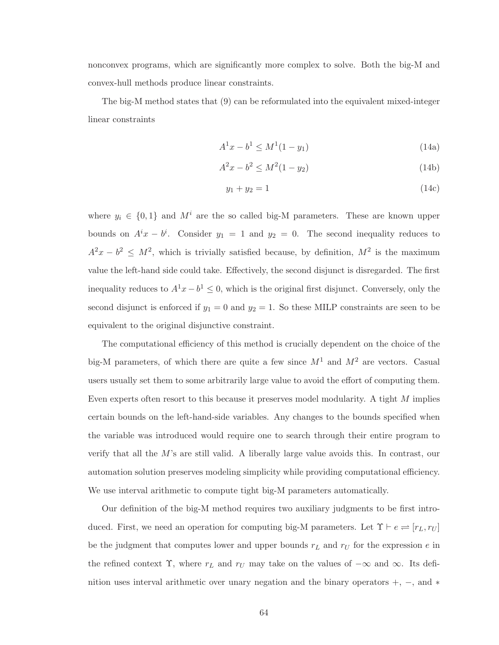nonconvex programs, which are significantly more complex to solve. Both the big-M and convex-hull methods produce linear constraints.

The big-M method states that (9) can be reformulated into the equivalent mixed-integer linear constraints

$$
A^{1}x - b^{1} \le M^{1}(1 - y_{1})
$$
\n(14a)

$$
A^2x - b^2 \le M^2(1 - y_2) \tag{14b}
$$

$$
y_1 + y_2 = 1 \t\t(14c)
$$

where  $y_i \in \{0,1\}$  and  $M^i$  are the so called big-M parameters. These are known upper bounds on  $A^{i}x - b^{i}$ . Consider  $y_1 = 1$  and  $y_2 = 0$ . The second inequality reduces to  $A^2x - b^2 \leq M^2$ , which is trivially satisfied because, by definition,  $M^2$  is the maximum value the left-hand side could take. Effectively, the second disjunct is disregarded. The first inequality reduces to  $A^1x - b^1 \leq 0$ , which is the original first disjunct. Conversely, only the second disjunct is enforced if  $y_1 = 0$  and  $y_2 = 1$ . So these MILP constraints are seen to be equivalent to the original disjunctive constraint.

The computational efficiency of this method is crucially dependent on the choice of the big-M parameters, of which there are quite a few since  $M^1$  and  $M^2$  are vectors. Casual users usually set them to some arbitrarily large value to avoid the effort of computing them. Even experts often resort to this because it preserves model modularity. A tight M implies certain bounds on the left-hand-side variables. Any changes to the bounds specified when the variable was introduced would require one to search through their entire program to verify that all the  $M$ 's are still valid. A liberally large value avoids this. In contrast, our automation solution preserves modeling simplicity while providing computational efficiency. We use interval arithmetic to compute tight big-M parameters automatically.

Our definition of the big-M method requires two auxiliary judgments to be first introduced. First, we need an operation for computing big-M parameters. Let  $\Upsilon \vdash e \rightleftharpoons [r_L, r_U]$ be the judgment that computes lower and upper bounds  $r<sub>L</sub>$  and  $r<sub>U</sub>$  for the expression e in the refined context  $\Upsilon$ , where  $r<sub>L</sub>$  and  $r<sub>U</sub>$  may take on the values of  $-\infty$  and  $\infty$ . Its definition uses interval arithmetic over unary negation and the binary operators +, −, and ∗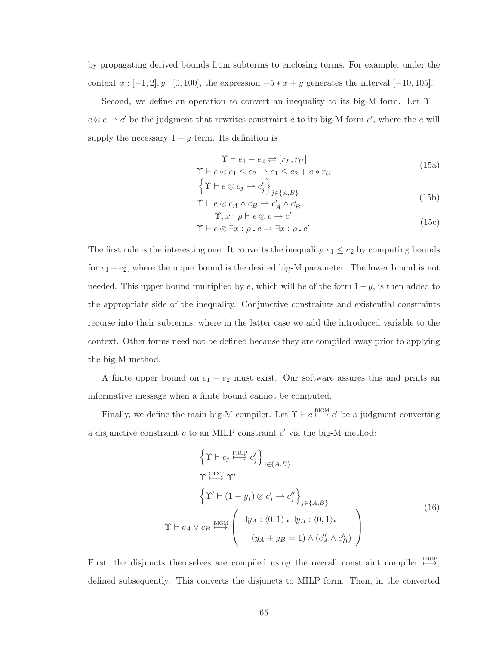by propagating derived bounds from subterms to enclosing terms. For example, under the context  $x : [-1, 2], y : [0, 100],$  the expression  $-5 * x + y$  generates the interval  $[-10, 105].$ 

Second, we define an operation to convert an inequality to its big-M form. Let  $\Upsilon$  ⊢  $e \otimes c \rightarrow c'$  be the judgment that rewrites constraint c to its big-M form  $c'$ , where the e will supply the necessary  $1 - y$  term. Its definition is

$$
\frac{\Upsilon \vdash e_1 - e_2 \rightleftharpoons [r_L, r_U]}{\Upsilon \vdash e \otimes e_1 \leq e_2 \rightharpoonup e_1 \leq e_2 + e * r_U}
$$
\n(15a)

$$
\frac{\left\{\Upsilon \vdash e \otimes c_j \rightharpoonup c'_j\right\}_{j \in \{A,B\}}}{\Upsilon \vdash e \otimes c_A \wedge c_B \rightharpoonup c'_A \wedge c'_B}
$$
\n(15b)

$$
\begin{array}{c}\n\Upsilon, x : \rho \vdash e \otimes c \to c' \\
\Upsilon \vdash e \otimes \exists x : \rho \cdot c \to \exists x : \rho \cdot c'\n\end{array} \n\tag{15c}
$$

The first rule is the interesting one. It converts the inequality  $e_1 \leq e_2$  by computing bounds for  $e_1 - e_2$ , where the upper bound is the desired big-M parameter. The lower bound is not needed. This upper bound multiplied by e, which will be of the form  $1-y$ , is then added to the appropriate side of the inequality. Conjunctive constraints and existential constraints recurse into their subterms, where in the latter case we add the introduced variable to the context. Other forms need not be defined because they are compiled away prior to applying the big-M method.

A finite upper bound on  $e_1 - e_2$  must exist. Our software assures this and prints an informative message when a finite bound cannot be computed.

Finally, we define the main big-M compiler. Let  $\Upsilon \vdash c \stackrel{\text{BIGM}}{\longmapsto} c'$  be a judgment converting a disjunctive constraint c to an MILP constraint  $c'$  via the big-M method:

$$
\left\{\Upsilon \vdash c_j \stackrel{\text{PROP}}{\longmapsto} c'_j\right\}_{j \in \{A,B\}}
$$
\n
$$
\Upsilon \stackrel{\text{CTXT}}{\longmapsto} \Upsilon'
$$
\n
$$
\left\{\Upsilon' \vdash (1 - y_j) \otimes c'_j \to c''_j\right\}_{j \in \{A,B\}}
$$
\n
$$
\Upsilon \vdash c_A \vee c_B \stackrel{\text{BIGM}}{\longmapsto} \left(\begin{array}{c}\exists y_A : \langle 0,1 \rangle \cdot \exists y_B : \langle 0,1 \rangle \cdot \langle 0,1 \rangle \cdot \langle 0,1 \rangle \cdot \langle 0,1 \rangle \cdot \langle 0,1 \rangle \cdot \langle 0,1 \rangle \cdot \langle 0,1 \rangle \cdot \langle 0,1 \rangle \cdot \langle 0,1 \rangle \cdot \langle 0,1 \rangle \cdot \langle 0,1 \rangle \cdot \langle 0,1 \rangle \cdot \langle 0,1 \rangle \cdot \langle 0,1 \rangle \cdot \langle 0,1 \rangle \cdot \langle 0,1 \rangle \cdot \langle 0,1 \rangle \cdot \langle 0,1 \rangle \cdot \langle 0,1 \rangle \cdot \langle 0,1 \rangle \cdot \langle 0,1 \rangle \cdot \langle 0,1 \rangle \cdot \langle 0,1 \rangle \cdot \langle 0,1 \rangle \cdot \langle 0,1 \rangle \cdot \langle 0,1 \rangle \cdot \langle 0,1 \rangle \cdot \langle 0,1 \rangle \cdot \langle 0,1 \rangle \cdot \langle 0,1 \rangle \cdot \langle 0,1 \rangle \cdot \langle 0,1 \rangle \cdot \langle 0,1 \rangle \cdot \langle 0,1 \rangle \cdot \langle 0,1 \rangle \cdot \langle 0,1 \rangle \cdot \langle 0,1 \rangle \cdot \langle 0,1 \rangle \cdot \langle 0,1 \rangle \cdot \langle 0,1 \rangle \cdot \langle 0,1 \rangle \cdot \langle 0,1 \rangle \cdot \langle 0,1 \rangle \cdot \langle 0,1 \rangle \cdot \langle 0,1 \rangle \cdot \langle 0,1 \rangle \cdot \langle 0,1 \rangle \cdot \langle 0,1 \rangle \cdot \langle 0,1 \rangle \cdot \langle 0,1 \rangle \cdot \langle 0,1 \rangle \cdot \langle 0,1 \rangle \cdot \langle 0,1 \rangle \cdot \langle 0,1 \rangle \cdot \langle 0,1 \rangle \cdot \langle 0,1 \rangle \cdot \langle 0,1 \rangle \cdot \langle 0,1 \
$$

First, the disjuncts themselves are compiled using the overall constraint compiler  $\overset{PROP}{\longmapsto}$ , defined subsequently. This converts the disjuncts to MILP form. Then, in the converted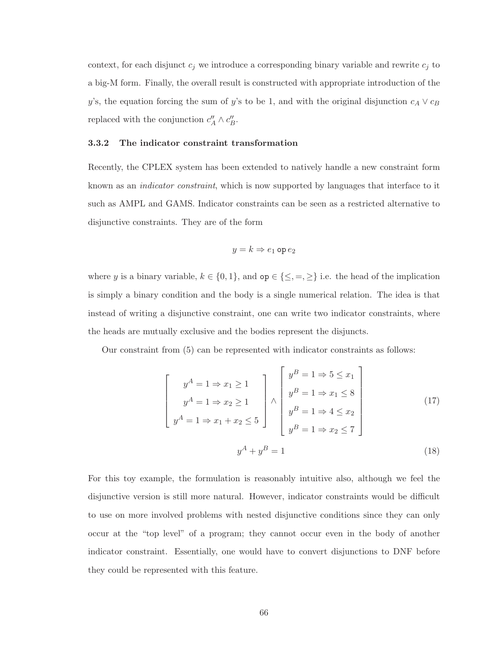context, for each disjunct  $c_j$  we introduce a corresponding binary variable and rewrite  $c_j$  to a big-M form. Finally, the overall result is constructed with appropriate introduction of the y's, the equation forcing the sum of y's to be 1, and with the original disjunction  $c_A \vee c_B$ replaced with the conjunction  $c''_A \wedge c''_B$ .

# 3.3.2 The indicator constraint transformation

Recently, the CPLEX system has been extended to natively handle a new constraint form known as an indicator constraint, which is now supported by languages that interface to it such as AMPL and GAMS. Indicator constraints can be seen as a restricted alternative to disjunctive constraints. They are of the form

$$
y = k \Rightarrow e_1 \text{ op } e_2
$$

where y is a binary variable,  $k \in \{0, 1\}$ , and  $op \in \{\leq, =, \geq\}$  i.e. the head of the implication is simply a binary condition and the body is a single numerical relation. The idea is that instead of writing a disjunctive constraint, one can write two indicator constraints, where the heads are mutually exclusive and the bodies represent the disjuncts.

Our constraint from (5) can be represented with indicator constraints as follows:

$$
\begin{bmatrix}\ny^A = 1 \Rightarrow x_1 \ge 1 \\
y^A = 1 \Rightarrow x_2 \ge 1 \\
y^A = 1 \Rightarrow x_1 + x_2 \le 5\n\end{bmatrix}\n\wedge\n\begin{bmatrix}\ny^B = 1 \Rightarrow 5 \le x_1 \\
y^B = 1 \Rightarrow x_1 \le 8 \\
y^B = 1 \Rightarrow 4 \le x_2 \\
y^B = 1 \Rightarrow x_2 \le 7\n\end{bmatrix}
$$
\n(17)\n(17)

For this toy example, the formulation is reasonably intuitive also, although we feel the disjunctive version is still more natural. However, indicator constraints would be difficult to use on more involved problems with nested disjunctive conditions since they can only occur at the "top level" of a program; they cannot occur even in the body of another indicator constraint. Essentially, one would have to convert disjunctions to DNF before they could be represented with this feature.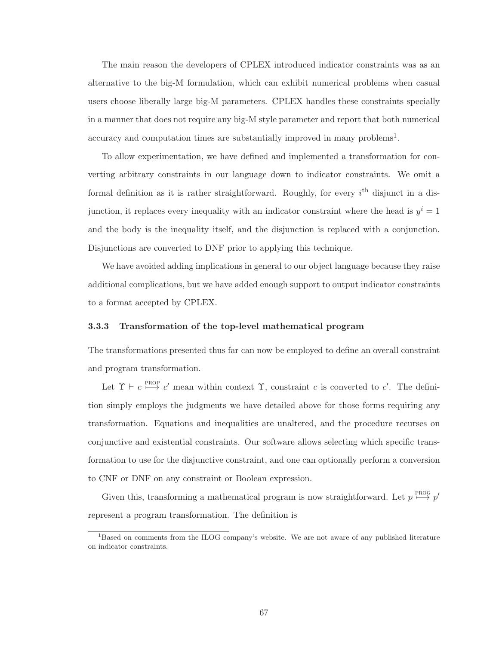The main reason the developers of CPLEX introduced indicator constraints was as an alternative to the big-M formulation, which can exhibit numerical problems when casual users choose liberally large big-M parameters. CPLEX handles these constraints specially in a manner that does not require any big-M style parameter and report that both numerical accuracy and computation times are substantially improved in many problems<sup>1</sup>.

To allow experimentation, we have defined and implemented a transformation for converting arbitrary constraints in our language down to indicator constraints. We omit a formal definition as it is rather straightforward. Roughly, for every  $i<sup>th</sup>$  disjunct in a disjunction, it replaces every inequality with an indicator constraint where the head is  $y^i = 1$ and the body is the inequality itself, and the disjunction is replaced with a conjunction. Disjunctions are converted to DNF prior to applying this technique.

We have avoided adding implications in general to our object language because they raise additional complications, but we have added enough support to output indicator constraints to a format accepted by CPLEX.

### 3.3.3 Transformation of the top-level mathematical program

The transformations presented thus far can now be employed to define an overall constraint and program transformation.

Let  $\Upsilon \vdash c \stackrel{\text{PROP}}{\longmapsto} c'$  mean within context  $\Upsilon$ , constraint c is converted to c'. The definition simply employs the judgments we have detailed above for those forms requiring any transformation. Equations and inequalities are unaltered, and the procedure recurses on conjunctive and existential constraints. Our software allows selecting which specific transformation to use for the disjunctive constraint, and one can optionally perform a conversion to CNF or DNF on any constraint or Boolean expression.

Given this, transforming a mathematical program is now straightforward. Let  $p \stackrel{\text{PROG}}{\longmapsto} p'$ represent a program transformation. The definition is

<sup>&</sup>lt;sup>1</sup>Based on comments from the ILOG company's website. We are not aware of any published literature on indicator constraints.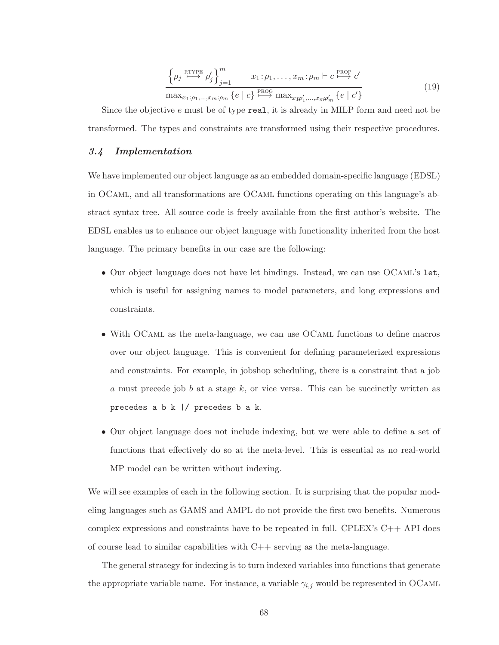$$
\frac{\left\{\rho_j \stackrel{\text{RTYPE}}{\longmapsto} \rho'_j\right\}_{j=1}^m \quad x_1 : \rho_1, \dots, x_m : \rho_m \vdash c \stackrel{\text{PROP}}{\longmapsto} c'}{\max_{x_1 : \rho_1, \dots, x_m : \rho_m} \left\{e \mid c\right\} \stackrel{\text{PROG}}{\longmapsto} \max_{x_1 \rho'_1, \dots, x_m \rho'_m} \left\{e \mid c'\right\}}
$$
\n(19)

Since the objective  $e$  must be of type real, it is already in MILP form and need not be transformed. The types and constraints are transformed using their respective procedures.

# *3.4 Implementation*

We have implemented our object language as an embedded domain-specific language (EDSL) in OCaml, and all transformations are OCaml functions operating on this language's abstract syntax tree. All source code is freely available from the first author's website. The EDSL enables us to enhance our object language with functionality inherited from the host language. The primary benefits in our case are the following:

- Our object language does not have let bindings. Instead, we can use OCAML's let, which is useful for assigning names to model parameters, and long expressions and constraints.
- With OCAML as the meta-language, we can use OCAML functions to define macros over our object language. This is convenient for defining parameterized expressions and constraints. For example, in jobshop scheduling, there is a constraint that a job a must precede job b at a stage k, or vice versa. This can be succinctly written as precedes a b k |/ precedes b a k.
- Our object language does not include indexing, but we were able to define a set of functions that effectively do so at the meta-level. This is essential as no real-world MP model can be written without indexing.

We will see examples of each in the following section. It is surprising that the popular modeling languages such as GAMS and AMPL do not provide the first two benefits. Numerous complex expressions and constraints have to be repeated in full. CPLEX's C++ API does of course lead to similar capabilities with  $C++$  serving as the meta-language.

The general strategy for indexing is to turn indexed variables into functions that generate the appropriate variable name. For instance, a variable  $\gamma_{i,j}$  would be represented in OCAML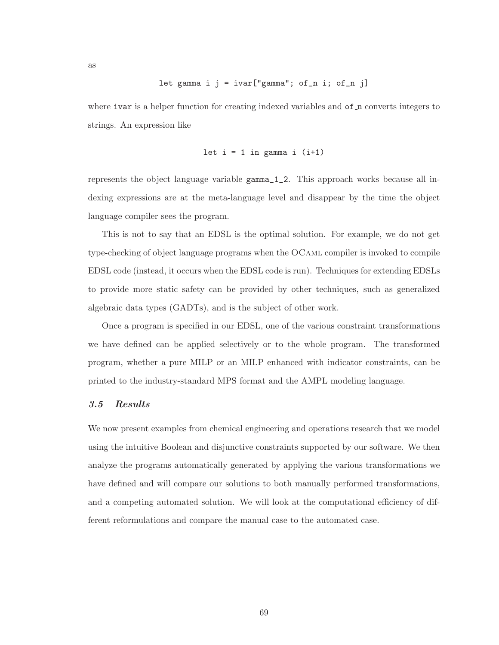let gamma i 
$$
j = ivar["gamma", of_n i; of_n j]
$$

where ivar is a helper function for creating indexed variables and  $of$  n converts integers to strings. An expression like

let 
$$
i = 1
$$
 in gamma  $i(i+1)$ 

represents the object language variable gamma\_1\_2. This approach works because all indexing expressions are at the meta-language level and disappear by the time the object language compiler sees the program.

This is not to say that an EDSL is the optimal solution. For example, we do not get type-checking of object language programs when the OCaml compiler is invoked to compile EDSL code (instead, it occurs when the EDSL code is run). Techniques for extending EDSLs to provide more static safety can be provided by other techniques, such as generalized algebraic data types (GADTs), and is the subject of other work.

Once a program is specified in our EDSL, one of the various constraint transformations we have defined can be applied selectively or to the whole program. The transformed program, whether a pure MILP or an MILP enhanced with indicator constraints, can be printed to the industry-standard MPS format and the AMPL modeling language.

# *3.5 Results*

We now present examples from chemical engineering and operations research that we model using the intuitive Boolean and disjunctive constraints supported by our software. We then analyze the programs automatically generated by applying the various transformations we have defined and will compare our solutions to both manually performed transformations, and a competing automated solution. We will look at the computational efficiency of different reformulations and compare the manual case to the automated case.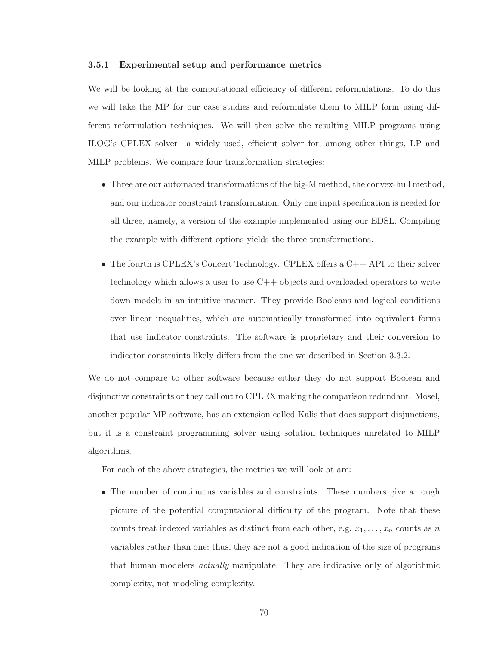### 3.5.1 Experimental setup and performance metrics

We will be looking at the computational efficiency of different reformulations. To do this we will take the MP for our case studies and reformulate them to MILP form using different reformulation techniques. We will then solve the resulting MILP programs using ILOG's CPLEX solver—a widely used, efficient solver for, among other things, LP and MILP problems. We compare four transformation strategies:

- Three are our automated transformations of the big-M method, the convex-hull method, and our indicator constraint transformation. Only one input specification is needed for all three, namely, a version of the example implemented using our EDSL. Compiling the example with different options yields the three transformations.
- The fourth is CPLEX's Concert Technology. CPLEX offers a C++ API to their solver technology which allows a user to use C++ objects and overloaded operators to write down models in an intuitive manner. They provide Booleans and logical conditions over linear inequalities, which are automatically transformed into equivalent forms that use indicator constraints. The software is proprietary and their conversion to indicator constraints likely differs from the one we described in Section 3.3.2.

We do not compare to other software because either they do not support Boolean and disjunctive constraints or they call out to CPLEX making the comparison redundant. Mosel, another popular MP software, has an extension called Kalis that does support disjunctions, but it is a constraint programming solver using solution techniques unrelated to MILP algorithms.

For each of the above strategies, the metrics we will look at are:

• The number of continuous variables and constraints. These numbers give a rough picture of the potential computational difficulty of the program. Note that these counts treat indexed variables as distinct from each other, e.g.  $x_1, \ldots, x_n$  counts as n variables rather than one; thus, they are not a good indication of the size of programs that human modelers actually manipulate. They are indicative only of algorithmic complexity, not modeling complexity.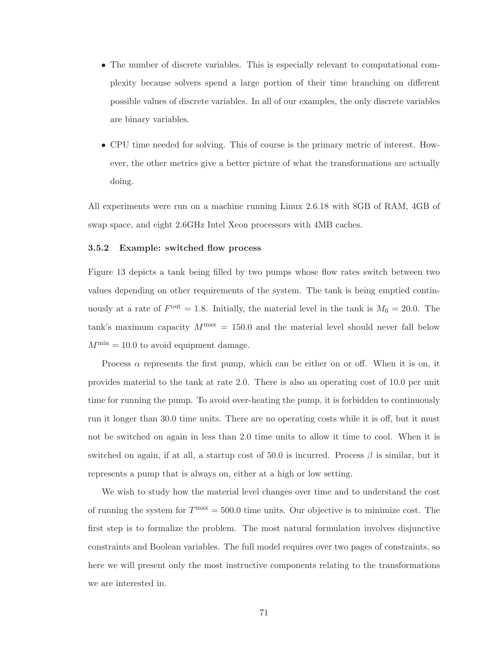- The number of discrete variables. This is especially relevant to computational complexity because solvers spend a large portion of their time branching on different possible values of discrete variables. In all of our examples, the only discrete variables are binary variables.
- CPU time needed for solving. This of course is the primary metric of interest. However, the other metrics give a better picture of what the transformations are actually doing.

All experiments were run on a machine running Linux 2.6.18 with 8GB of RAM, 4GB of swap space, and eight 2.6GHz Intel Xeon processors with 4MB caches.

# 3.5.2 Example: switched flow process

Figure 13 depicts a tank being filled by two pumps whose flow rates switch between two values depending on other requirements of the system. The tank is being emptied continuously at a rate of  $F<sup>out</sup> = 1.8$ . Initially, the material level in the tank is  $M_0 = 20.0$ . The tank's maximum capacity  $M<sup>max</sup> = 150.0$  and the material level should never fall below  $M^{\text{min}} = 10.0$  to avoid equipment damage.

Process  $\alpha$  represents the first pump, which can be either on or off. When it is on, it provides material to the tank at rate 2.0. There is also an operating cost of 10.0 per unit time for running the pump. To avoid over-heating the pump, it is forbidden to continuously run it longer than 30.0 time units. There are no operating costs while it is off, but it must not be switched on again in less than 2.0 time units to allow it time to cool. When it is switched on again, if at all, a startup cost of 50.0 is incurred. Process  $\beta$  is similar, but it represents a pump that is always on, either at a high or low setting.

We wish to study how the material level changes over time and to understand the cost of running the system for  $T<sup>max</sup> = 500.0$  time units. Our objective is to minimize cost. The first step is to formalize the problem. The most natural formulation involves disjunctive constraints and Boolean variables. The full model requires over two pages of constraints, so here we will present only the most instructive components relating to the transformations we are interested in.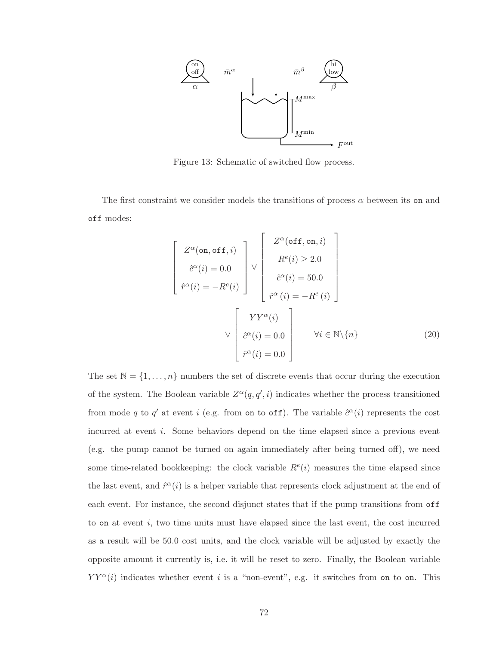

Figure 13: Schematic of switched flow process.

The first constraint we consider models the transitions of process  $\alpha$  between its on and off modes:

$$
\begin{bmatrix}\nZ^{\alpha}(\text{on, off}, i) \\
\hat{c}^{\alpha}(i) = 0.0 \\
\hat{r}^{\alpha}(i) = -R^{e}(i)\n\end{bmatrix}\n\vee\n\begin{bmatrix}\nZ^{\alpha}(\text{off, on}, i) \\
R^{e}(i) \geq 2.0 \\
\hat{c}^{\alpha}(i) = 50.0 \\
\hat{r}^{\alpha}(i) = -R^{e}(i)\n\end{bmatrix}
$$
\n
$$
\vee\n\begin{bmatrix}\nYY^{\alpha}(i) \\
\hat{c}^{\alpha}(i) = 0.0 \\
\hat{r}^{\alpha}(i) = 0.0\n\end{bmatrix}\n\qquad\n\forall i \in \mathbb{N}\setminus\{n\}
$$
\n(20)

The set  $\mathbb{N} = \{1, \ldots, n\}$  numbers the set of discrete events that occur during the execution of the system. The Boolean variable  $Z^{\alpha}(q, q', i)$  indicates whether the process transitioned from mode q to q' at event i (e.g. from on to off). The variable  $\hat{c}^{\alpha}(i)$  represents the cost incurred at event i. Some behaviors depend on the time elapsed since a previous event (e.g. the pump cannot be turned on again immediately after being turned off), we need some time-related bookkeeping: the clock variable  $R^{e}(i)$  measures the time elapsed since the last event, and  $\hat{r}^{\alpha}(i)$  is a helper variable that represents clock adjustment at the end of each event. For instance, the second disjunct states that if the pump transitions from off to on at event  $i$ , two time units must have elapsed since the last event, the cost incurred as a result will be 50.0 cost units, and the clock variable will be adjusted by exactly the opposite amount it currently is, i.e. it will be reset to zero. Finally, the Boolean variable  $YY^{\alpha}(i)$  indicates whether event i is a "non-event", e.g. it switches from on to on. This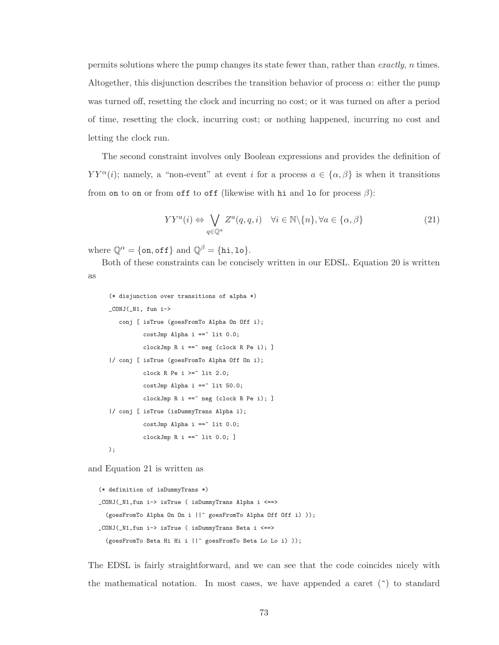permits solutions where the pump changes its state fewer than, rather than exactly, n times. Altogether, this disjunction describes the transition behavior of process  $\alpha$ : either the pump was turned off, resetting the clock and incurring no cost; or it was turned on after a period of time, resetting the clock, incurring cost; or nothing happened, incurring no cost and letting the clock run.

The second constraint involves only Boolean expressions and provides the definition of  $YY^{\alpha}(i)$ ; namely, a "non-event" at event i for a process  $a \in {\alpha, \beta}$  is when it transitions from on to on or from off to off (likewise with hi and lo for process  $\beta$ ):

$$
YY^{a}(i) \Leftrightarrow \bigvee_{q \in \mathbb{Q}^{a}} Z^{a}(q, q, i) \quad \forall i \in \mathbb{N} \setminus \{n\}, \forall a \in \{\alpha, \beta\}
$$
 (21)

where  $\mathbb{Q}^{\alpha} = \{\text{on}, \text{off}\}\$  and  $\mathbb{Q}^{\beta} = \{\text{hi}, \text{lo}\}.$ 

Both of these constraints can be concisely written in our EDSL. Equation 20 is written as

```
(* disjunction over transitions of alpha *)
_CONJ(_N1, fun i->
   conj [ isTrue (goesFromTo Alpha On Off i);
          costJmp Alpha i == lit 0.0;
          clockJmp R i ==^ neg (clock R Pe i); ]
|/ conj [ isTrue (goesFromTo Alpha Off On i);
          clock R Pe i >= 1it 2.0;
          costJmp Alpha i ==\hat{ } lit 50.0;
          clockJmp R i ==^ neg (clock R Pe i); ]
|/ conj [ isTrue (isDummyTrans Alpha i);
          costJmp Alpha i == lit 0.0;
          clockJmp R i ==\hat{ } lit 0.0; ]
```
);

and Equation 21 is written as

```
(* definition of isDummyTrans *)
_CONJ(_N1,fun i-> isTrue ( isDummyTrans Alpha i <==>
  (goesFromTo Alpha On On i ||^ goesFromTo Alpha Off Off i) ));
_CONJ(_N1,fun i-> isTrue ( isDummyTrans Beta i <==>
  (goesFromTo Beta Hi Hi i ||^ goesFromTo Beta Lo Lo i) ));
```
The EDSL is fairly straightforward, and we can see that the code coincides nicely with the mathematical notation. In most cases, we have appended a caret (^) to standard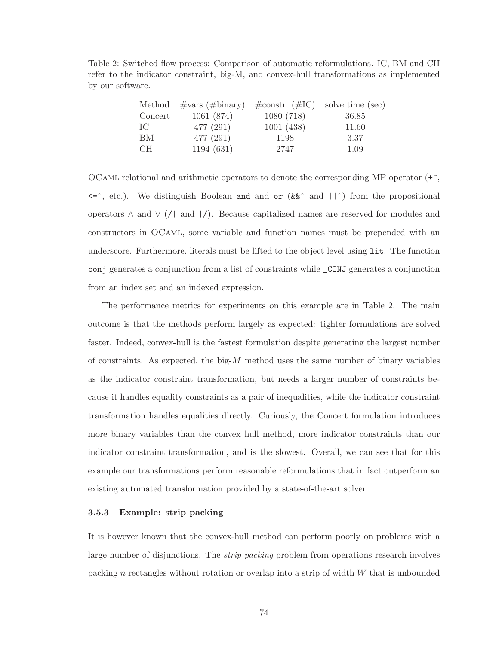Table 2: Switched flow process: Comparison of automatic reformulations. IC, BM and CH refer to the indicator constraint, big-M, and convex-hull transformations as implemented by our software.

|                 | Method $\#vars$ (#binary) | $\#\text{constr.}(\#IC)$ solve time (sec) |       |
|-----------------|---------------------------|-------------------------------------------|-------|
| Concert         | 1061(874)                 | 1080 (718)                                | 36.85 |
| IC.             | 477 (291)                 | 1001(438)                                 | 11.60 |
| <b>BM</b>       | 477 (291)                 | 1198                                      | 3.37  |
| CH <sub>.</sub> | 1194 (631)                | 2747                                      | 1.09  |

OCaml relational and arithmetic operators to denote the corresponding MP operator (+^,  $\leq$   $\sim$ , etc.). We distinguish Boolean and and or ( $\&\&$  and  $||\uparrow\rangle$  from the propositional operators ∧ and ∨ (/| and |/). Because capitalized names are reserved for modules and constructors in OCaml, some variable and function names must be prepended with an underscore. Furthermore, literals must be lifted to the object level using lit. The function conj generates a conjunction from a list of constraints while \_CONJ generates a conjunction from an index set and an indexed expression.

The performance metrics for experiments on this example are in Table 2. The main outcome is that the methods perform largely as expected: tighter formulations are solved faster. Indeed, convex-hull is the fastest formulation despite generating the largest number of constraints. As expected, the big- $M$  method uses the same number of binary variables as the indicator constraint transformation, but needs a larger number of constraints because it handles equality constraints as a pair of inequalities, while the indicator constraint transformation handles equalities directly. Curiously, the Concert formulation introduces more binary variables than the convex hull method, more indicator constraints than our indicator constraint transformation, and is the slowest. Overall, we can see that for this example our transformations perform reasonable reformulations that in fact outperform an existing automated transformation provided by a state-of-the-art solver.

### 3.5.3 Example: strip packing

It is however known that the convex-hull method can perform poorly on problems with a large number of disjunctions. The *strip packing* problem from operations research involves packing n rectangles without rotation or overlap into a strip of width  $W$  that is unbounded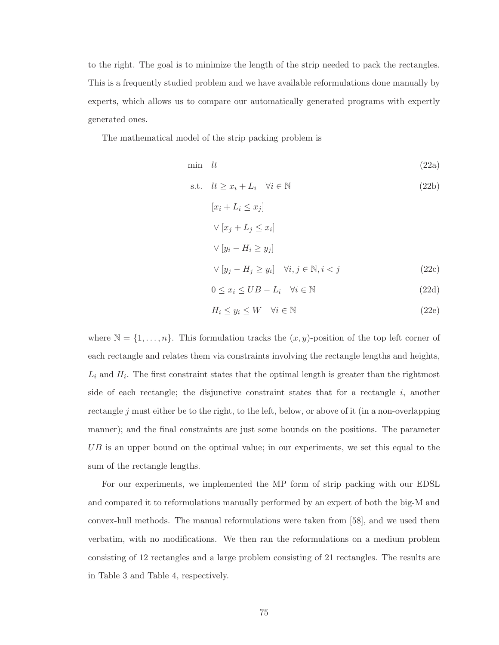to the right. The goal is to minimize the length of the strip needed to pack the rectangles. This is a frequently studied problem and we have available reformulations done manually by experts, which allows us to compare our automatically generated programs with expertly generated ones.

The mathematical model of the strip packing problem is

min 
$$
lt
$$
 (22a)  
\ns.t.  $lt \ge x_i + L_i$   $\forall i \in \mathbb{N}$  (22b)  
\n $[x_i + L_i \le x_j]$   
\n $\vee [x_j + L_j \le x_i]$   
\n $\vee [y_i - H_i \ge y_j]$   
\n $\vee [y_j - H_j \ge y_i]$   $\forall i, j \in \mathbb{N}, i < j$  (22c)  
\n $0 \le x_i \le UB - L_i$   $\forall i \in \mathbb{N}$  (22d)

$$
H_i \le y_i \le W \quad \forall i \in \mathbb{N} \tag{22e}
$$

where  $\mathbb{N} = \{1, \ldots, n\}$ . This formulation tracks the  $(x, y)$ -position of the top left corner of each rectangle and relates them via constraints involving the rectangle lengths and heights,  $L_i$  and  $H_i$ . The first constraint states that the optimal length is greater than the rightmost side of each rectangle; the disjunctive constraint states that for a rectangle  $i$ , another rectangle j must either be to the right, to the left, below, or above of it (in a non-overlapping manner); and the final constraints are just some bounds on the positions. The parameter  $UB$  is an upper bound on the optimal value; in our experiments, we set this equal to the sum of the rectangle lengths.

For our experiments, we implemented the MP form of strip packing with our EDSL and compared it to reformulations manually performed by an expert of both the big-M and convex-hull methods. The manual reformulations were taken from [58], and we used them verbatim, with no modifications. We then ran the reformulations on a medium problem consisting of 12 rectangles and a large problem consisting of 21 rectangles. The results are in Table 3 and Table 4, respectively.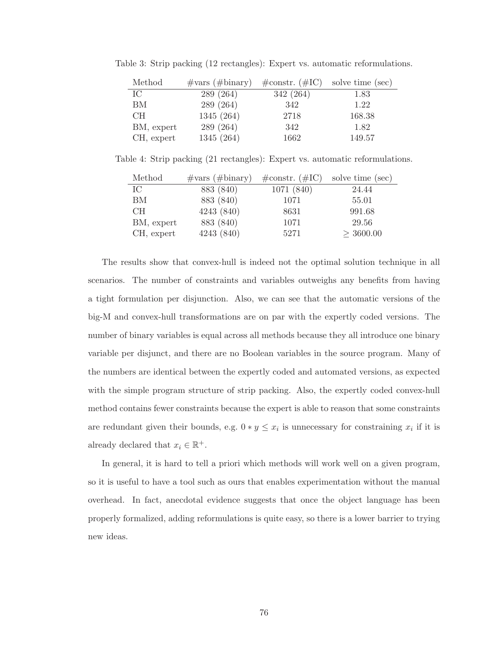| Method     | $\#\text{vars}(\#\text{binary})$ | $\#\text{constr.}(\#\text{IC})$ | solve time (sec) |
|------------|----------------------------------|---------------------------------|------------------|
| IC.        | 289 (264)                        | 342(264)                        | 1.83             |
| BM         | 289 (264)                        | 342                             | 1.22             |
| CH.        | 1345 (264)                       | 2718                            | 168.38           |
| BM, expert | 289 (264)                        | 342                             | 1.82             |
| CH, expert | 1345 (264)                       | 1662                            | 149.57           |

Table 3: Strip packing (12 rectangles): Expert vs. automatic reformulations.

Table 4: Strip packing (21 rectangles): Expert vs. automatic reformulations.

| Method     | $\#vars$ (#binary) | $\#\text{constr.}(\#\text{IC})$ | solve time (sec) |
|------------|--------------------|---------------------------------|------------------|
| IС         | 883 (840)          | 1071(840)                       | 24.44            |
| BM         | 883 (840)          | 1071                            | 55.01            |
| CН         | 4243 (840)         | 8631                            | 991.68           |
| BM, expert | 883 (840)          | 1071                            | 29.56            |
| CH, expert | 4243 (840)         | 5271                            | $\geq 3600.00$   |

The results show that convex-hull is indeed not the optimal solution technique in all scenarios. The number of constraints and variables outweighs any benefits from having a tight formulation per disjunction. Also, we can see that the automatic versions of the big-M and convex-hull transformations are on par with the expertly coded versions. The number of binary variables is equal across all methods because they all introduce one binary variable per disjunct, and there are no Boolean variables in the source program. Many of the numbers are identical between the expertly coded and automated versions, as expected with the simple program structure of strip packing. Also, the expertly coded convex-hull method contains fewer constraints because the expert is able to reason that some constraints are redundant given their bounds, e.g.  $0 * y \leq x_i$  is unnecessary for constraining  $x_i$  if it is already declared that  $x_i \in \mathbb{R}^+$ .

In general, it is hard to tell a priori which methods will work well on a given program, so it is useful to have a tool such as ours that enables experimentation without the manual overhead. In fact, anecdotal evidence suggests that once the object language has been properly formalized, adding reformulations is quite easy, so there is a lower barrier to trying new ideas.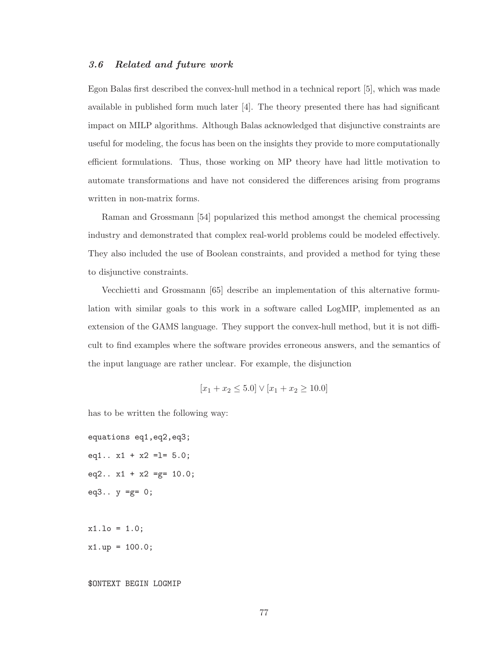# *3.6 Related and future work*

Egon Balas first described the convex-hull method in a technical report [5], which was made available in published form much later [4]. The theory presented there has had significant impact on MILP algorithms. Although Balas acknowledged that disjunctive constraints are useful for modeling, the focus has been on the insights they provide to more computationally efficient formulations. Thus, those working on MP theory have had little motivation to automate transformations and have not considered the differences arising from programs written in non-matrix forms.

Raman and Grossmann [54] popularized this method amongst the chemical processing industry and demonstrated that complex real-world problems could be modeled effectively. They also included the use of Boolean constraints, and provided a method for tying these to disjunctive constraints.

Vecchietti and Grossmann [65] describe an implementation of this alternative formulation with similar goals to this work in a software called LogMIP, implemented as an extension of the GAMS language. They support the convex-hull method, but it is not difficult to find examples where the software provides erroneous answers, and the semantics of the input language are rather unclear. For example, the disjunction

 $[x_1 + x_2 \leq 5.0] \vee [x_1 + x_2 \geq 10.0]$ 

has to be written the following way:

equations eq1,eq2,eq3; eq1.. x1 + x2 =l= 5.0; eq2.. x1 + x2 =g= 10.0; eq3.. y =g= 0;

 $x1.10 = 1.0;$  $x1.up = 100.0;$ 

\$ONTEXT BEGIN LOGMIP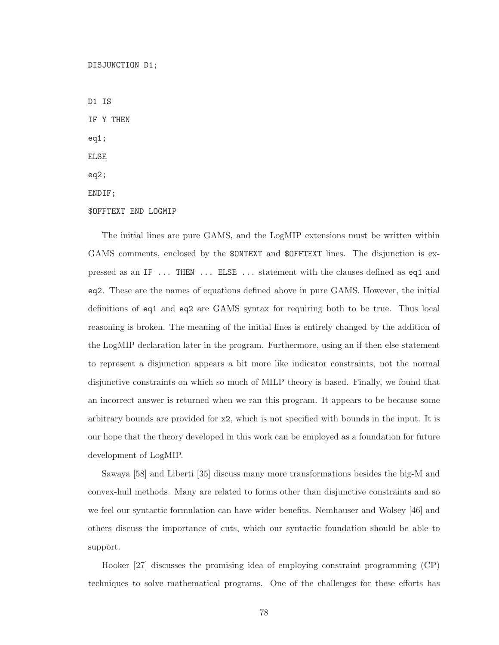D1 IS IF Y THEN eq1; ELSE eq2; ENDIF; \$OFFTEXT END LOGMIP

DISJUNCTION D1;

The initial lines are pure GAMS, and the LogMIP extensions must be written within GAMS comments, enclosed by the \$ONTEXT and \$OFFTEXT lines. The disjunction is expressed as an IF ... THEN ... ELSE ... statement with the clauses defined as eq1 and eq2. These are the names of equations defined above in pure GAMS. However, the initial definitions of eq1 and eq2 are GAMS syntax for requiring both to be true. Thus local reasoning is broken. The meaning of the initial lines is entirely changed by the addition of the LogMIP declaration later in the program. Furthermore, using an if-then-else statement to represent a disjunction appears a bit more like indicator constraints, not the normal disjunctive constraints on which so much of MILP theory is based. Finally, we found that an incorrect answer is returned when we ran this program. It appears to be because some arbitrary bounds are provided for x2, which is not specified with bounds in the input. It is our hope that the theory developed in this work can be employed as a foundation for future development of LogMIP.

Sawaya [58] and Liberti [35] discuss many more transformations besides the big-M and convex-hull methods. Many are related to forms other than disjunctive constraints and so we feel our syntactic formulation can have wider benefits. Nemhauser and Wolsey [46] and others discuss the importance of cuts, which our syntactic foundation should be able to support.

Hooker [27] discusses the promising idea of employing constraint programming (CP) techniques to solve mathematical programs. One of the challenges for these efforts has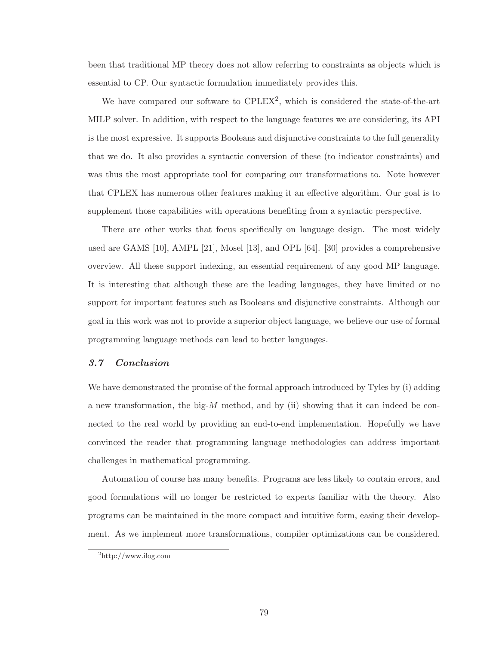been that traditional MP theory does not allow referring to constraints as objects which is essential to CP. Our syntactic formulation immediately provides this.

We have compared our software to CPLEX<sup>2</sup>, which is considered the state-of-the-art MILP solver. In addition, with respect to the language features we are considering, its API is the most expressive. It supports Booleans and disjunctive constraints to the full generality that we do. It also provides a syntactic conversion of these (to indicator constraints) and was thus the most appropriate tool for comparing our transformations to. Note however that CPLEX has numerous other features making it an effective algorithm. Our goal is to supplement those capabilities with operations benefiting from a syntactic perspective.

There are other works that focus specifically on language design. The most widely used are GAMS [10], AMPL [21], Mosel [13], and OPL [64]. [30] provides a comprehensive overview. All these support indexing, an essential requirement of any good MP language. It is interesting that although these are the leading languages, they have limited or no support for important features such as Booleans and disjunctive constraints. Although our goal in this work was not to provide a superior object language, we believe our use of formal programming language methods can lead to better languages.

# *3.7 Conclusion*

We have demonstrated the promise of the formal approach introduced by Tyles by (i) adding a new transformation, the big- $M$  method, and by (ii) showing that it can indeed be connected to the real world by providing an end-to-end implementation. Hopefully we have convinced the reader that programming language methodologies can address important challenges in mathematical programming.

Automation of course has many benefits. Programs are less likely to contain errors, and good formulations will no longer be restricted to experts familiar with the theory. Also programs can be maintained in the more compact and intuitive form, easing their development. As we implement more transformations, compiler optimizations can be considered.

<sup>2</sup>http://www.ilog.com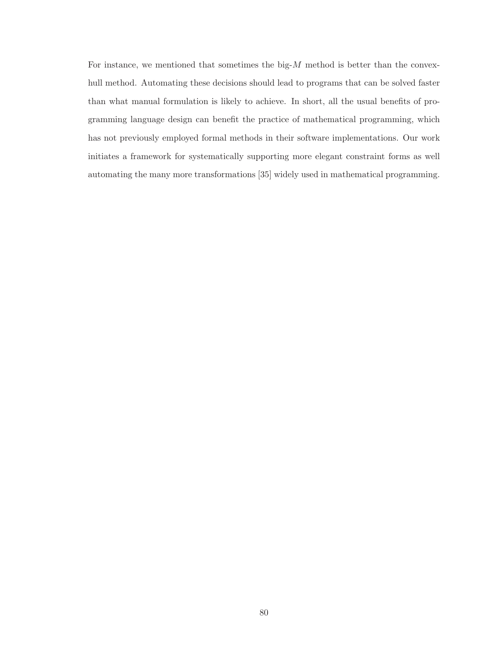For instance, we mentioned that sometimes the big- $M$  method is better than the convexhull method. Automating these decisions should lead to programs that can be solved faster than what manual formulation is likely to achieve. In short, all the usual benefits of programming language design can benefit the practice of mathematical programming, which has not previously employed formal methods in their software implementations. Our work initiates a framework for systematically supporting more elegant constraint forms as well automating the many more transformations [35] widely used in mathematical programming.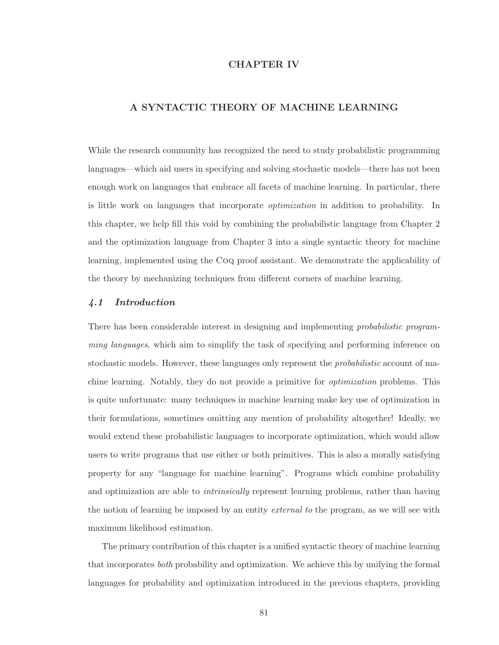# CHAPTER IV

# A SYNTACTIC THEORY OF MACHINE LEARNING

While the research community has recognized the need to study probabilistic programming languages—which aid users in specifying and solving stochastic models—there has not been enough work on languages that embrace all facets of machine learning. In particular, there is little work on languages that incorporate optimization in addition to probability. In this chapter, we help fill this void by combining the probabilistic language from Chapter 2 and the optimization language from Chapter 3 into a single syntactic theory for machine learning, implemented using the Coq proof assistant. We demonstrate the applicability of the theory by mechanizing techniques from different corners of machine learning.

# *4.1 Introduction*

There has been considerable interest in designing and implementing probabilistic programming languages, which aim to simplify the task of specifying and performing inference on stochastic models. However, these languages only represent the *probabilistic* account of machine learning. Notably, they do not provide a primitive for optimization problems. This is quite unfortunate: many techniques in machine learning make key use of optimization in their formulations, sometimes omitting any mention of probability altogether! Ideally, we would extend these probabilistic languages to incorporate optimization, which would allow users to write programs that use either or both primitives. This is also a morally satisfying property for any "language for machine learning". Programs which combine probability and optimization are able to intrinsically represent learning problems, rather than having the notion of learning be imposed by an entity *external to* the program, as we will see with maximum likelihood estimation.

The primary contribution of this chapter is a unified syntactic theory of machine learning that incorporates both probability and optimization. We achieve this by unifying the formal languages for probability and optimization introduced in the previous chapters, providing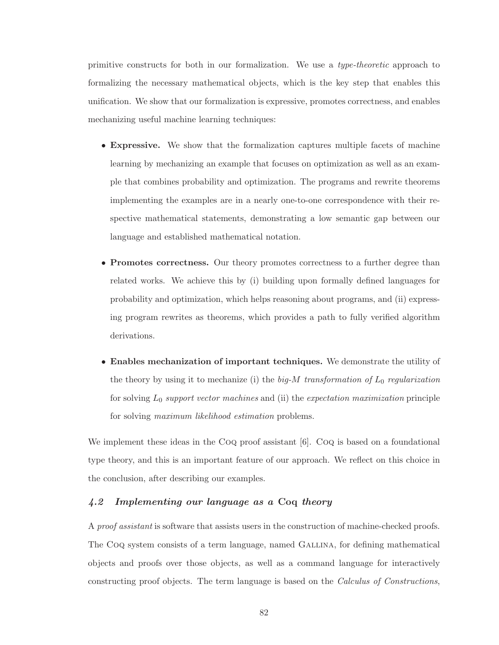primitive constructs for both in our formalization. We use a type-theoretic approach to formalizing the necessary mathematical objects, which is the key step that enables this unification. We show that our formalization is expressive, promotes correctness, and enables mechanizing useful machine learning techniques:

- Expressive. We show that the formalization captures multiple facets of machine learning by mechanizing an example that focuses on optimization as well as an example that combines probability and optimization. The programs and rewrite theorems implementing the examples are in a nearly one-to-one correspondence with their respective mathematical statements, demonstrating a low semantic gap between our language and established mathematical notation.
- Promotes correctness. Our theory promotes correctness to a further degree than related works. We achieve this by (i) building upon formally defined languages for probability and optimization, which helps reasoning about programs, and (ii) expressing program rewrites as theorems, which provides a path to fully verified algorithm derivations.
- Enables mechanization of important techniques. We demonstrate the utility of the theory by using it to mechanize (i) the big-M transformation of  $L_0$  regularization for solving  $L_0$  support vector machines and (ii) the expectation maximization principle for solving maximum likelihood estimation problems.

We implement these ideas in the Coq proof assistant [6]. Coq is based on a foundational type theory, and this is an important feature of our approach. We reflect on this choice in the conclusion, after describing our examples.

# *4.2 Implementing our language as a* Coq *theory*

A proof assistant is software that assists users in the construction of machine-checked proofs. The Coq system consists of a term language, named Gallina, for defining mathematical objects and proofs over those objects, as well as a command language for interactively constructing proof objects. The term language is based on the Calculus of Constructions,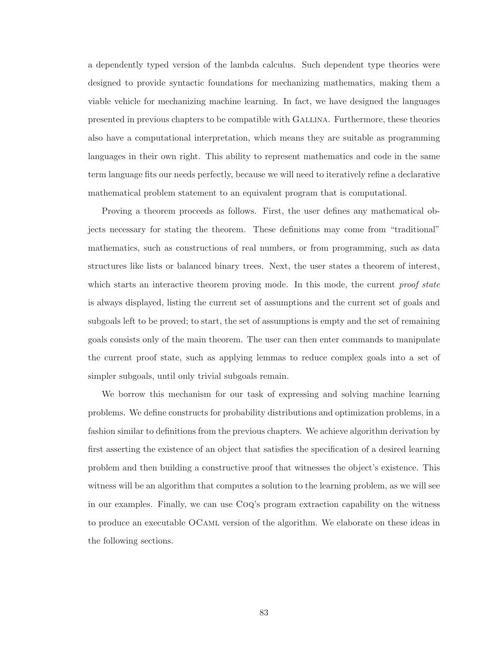a dependently typed version of the lambda calculus. Such dependent type theories were designed to provide syntactic foundations for mechanizing mathematics, making them a viable vehicle for mechanizing machine learning. In fact, we have designed the languages presented in previous chapters to be compatible with Gallina. Furthermore, these theories also have a computational interpretation, which means they are suitable as programming languages in their own right. This ability to represent mathematics and code in the same term language fits our needs perfectly, because we will need to iteratively refine a declarative mathematical problem statement to an equivalent program that is computational.

Proving a theorem proceeds as follows. First, the user defines any mathematical objects necessary for stating the theorem. These definitions may come from "traditional" mathematics, such as constructions of real numbers, or from programming, such as data structures like lists or balanced binary trees. Next, the user states a theorem of interest, which starts an interactive theorem proving mode. In this mode, the current *proof state* is always displayed, listing the current set of assumptions and the current set of goals and subgoals left to be proved; to start, the set of assumptions is empty and the set of remaining goals consists only of the main theorem. The user can then enter commands to manipulate the current proof state, such as applying lemmas to reduce complex goals into a set of simpler subgoals, until only trivial subgoals remain.

We borrow this mechanism for our task of expressing and solving machine learning problems. We define constructs for probability distributions and optimization problems, in a fashion similar to definitions from the previous chapters. We achieve algorithm derivation by first asserting the existence of an object that satisfies the specification of a desired learning problem and then building a constructive proof that witnesses the object's existence. This witness will be an algorithm that computes a solution to the learning problem, as we will see in our examples. Finally, we can use Coq's program extraction capability on the witness to produce an executable OCaml version of the algorithm. We elaborate on these ideas in the following sections.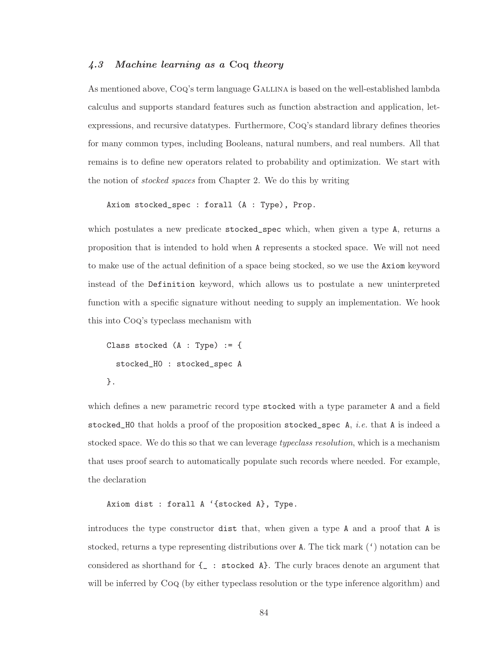# *4.3 Machine learning as a* Coq *theory*

As mentioned above, CoQ's term language GALLINA is based on the well-established lambda calculus and supports standard features such as function abstraction and application, letexpressions, and recursive datatypes. Furthermore, Coq's standard library defines theories for many common types, including Booleans, natural numbers, and real numbers. All that remains is to define new operators related to probability and optimization. We start with the notion of stocked spaces from Chapter 2. We do this by writing

Axiom stocked\_spec : forall (A : Type), Prop.

which postulates a new predicate stocked\_spec which, when given a type A, returns a proposition that is intended to hold when A represents a stocked space. We will not need to make use of the actual definition of a space being stocked, so we use the Axiom keyword instead of the Definition keyword, which allows us to postulate a new uninterpreted function with a specific signature without needing to supply an implementation. We hook this into Coq's typeclass mechanism with

```
Class stocked (A : Type) := \{stocked_H0 : stocked_spec A
}.
```
which defines a new parametric record type stocked with a type parameter A and a field stocked\_H0 that holds a proof of the proposition stocked\_spec A, *i.e.* that A is indeed a stocked space. We do this so that we can leverage typeclass resolution, which is a mechanism that uses proof search to automatically populate such records where needed. For example, the declaration

Axiom dist : forall A '{stocked A}, Type.

introduces the type constructor dist that, when given a type A and a proof that A is stocked, returns a type representing distributions over A. The tick mark (') notation can be considered as shorthand for  $\{\_\: : \text{stocked A}\}.$  The curly braces denote an argument that will be inferred by Coq (by either typeclass resolution or the type inference algorithm) and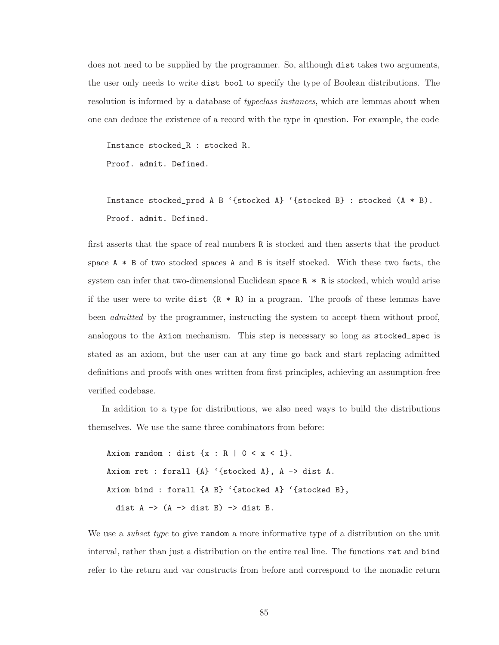does not need to be supplied by the programmer. So, although dist takes two arguments, the user only needs to write dist bool to specify the type of Boolean distributions. The resolution is informed by a database of *typeclass instances*, which are lemmas about when one can deduce the existence of a record with the type in question. For example, the code

Instance stocked\_R : stocked R.

Proof. admit. Defined.

Instance stocked\_prod A B '{stocked A} '{stocked B} : stocked (A \* B). Proof. admit. Defined.

first asserts that the space of real numbers R is stocked and then asserts that the product space  $A * B$  of two stocked spaces A and B is itself stocked. With these two facts, the system can infer that two-dimensional Euclidean space  $R * R$  is stocked, which would arise if the user were to write dist  $(R * R)$  in a program. The proofs of these lemmas have been *admitted* by the programmer, instructing the system to accept them without proof, analogous to the Axiom mechanism. This step is necessary so long as stocked\_spec is stated as an axiom, but the user can at any time go back and start replacing admitted definitions and proofs with ones written from first principles, achieving an assumption-free verified codebase.

In addition to a type for distributions, we also need ways to build the distributions themselves. We use the same three combinators from before:

Axiom random : dist  $\{x : R | 0 < x < 1\}$ . Axiom ret : forall {A} '{stocked A}, A -> dist A. Axiom bind : forall {A B} '{stocked A} '{stocked B}, dist  $A \rightarrow (A \rightarrow dist B) \rightarrow dist B$ .

We use a *subset type* to give random a more informative type of a distribution on the unit interval, rather than just a distribution on the entire real line. The functions ret and bind refer to the return and var constructs from before and correspond to the monadic return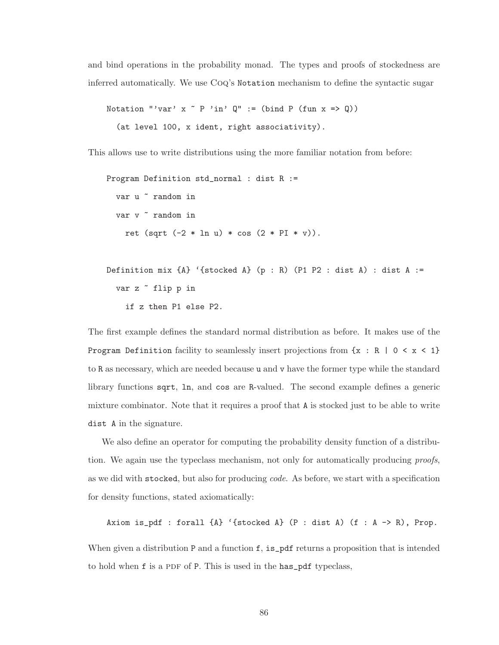and bind operations in the probability monad. The types and proofs of stockedness are inferred automatically. We use Coq's Notation mechanism to define the syntactic sugar

```
Notation "'var' x \tilde{P} 'in' Q" := (bind P (fun x => Q))
  (at level 100, x ident, right associativity).
```
This allows use to write distributions using the more familiar notation from before:

```
Program Definition std_normal : dist R :=
 var u ~ random in
  var v ~ random in
    ret (sqrt (-2 * ln u) * cos (2 * PI * v)).
```

```
Definition mix {A} '{stocked A} (p : R) (P1 P2 : dist A) : dist A :=
  var z ~ flip p in
    if z then P1 else P2.
```
The first example defines the standard normal distribution as before. It makes use of the Program Definition facility to seamlessly insert projections from  $\{x : R | 0 \le x \le 1\}$ to R as necessary, which are needed because u and v have the former type while the standard library functions sqrt, ln, and cos are R-valued. The second example defines a generic mixture combinator. Note that it requires a proof that A is stocked just to be able to write dist A in the signature.

We also define an operator for computing the probability density function of a distribution. We again use the typeclass mechanism, not only for automatically producing *proofs*, as we did with stocked, but also for producing code. As before, we start with a specification for density functions, stated axiomatically:

```
Axiom is_pdf : forall {A} '{stocked A} (P : dist A) (f : A -> R), Prop.
```
When given a distribution P and a function f, is\_pdf returns a proposition that is intended to hold when f is a PDF of P. This is used in the has\_pdf typeclass,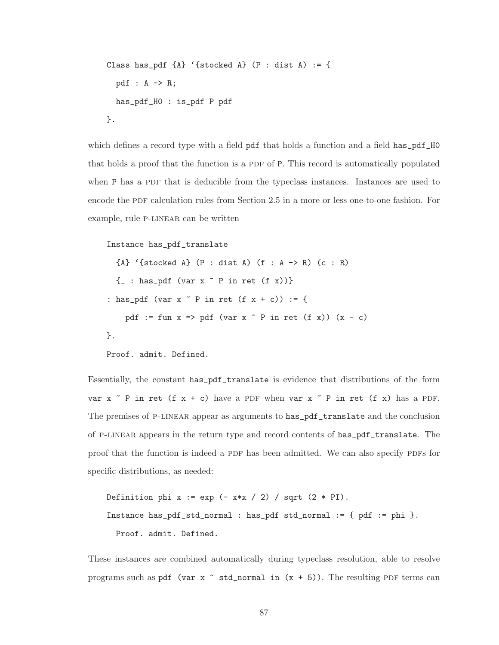```
Class has_pdf {A} '{stocked A} (P : dist A) := {
 pdf : A -> R;
 has_pdf_H0 : is_pdf P pdf
}.
```
which defines a record type with a field pdf that holds a function and a field has\_pdf\_H0 that holds a proof that the function is a PDF of P. This record is automatically populated when P has a PDF that is deducible from the typeclass instances. Instances are used to encode the PDF calculation rules from Section 2.5 in a more or less one-to-one fashion. For example, rule p-linear can be written

```
Instance has_pdf_translate
```

```
{A} '{stocked A} (P : dist A) (f : A -> R) (c : R)
  \{\_ : \text{has\_pdf} \ (var x \text{ }^ \circ \text{ } P \text{ in ret } (f x))\}: has_pdf (var x \tilde{p} in ret (f x + c)) := {
     pdf := fun x \Rightarrow pdf (var x \sim P in ret (f x)) (x - c)
}.
```
Proof. admit. Defined.

Essentially, the constant has\_pdf\_translate is evidence that distributions of the form var  $x$   $\tilde{p}$  in ret (f  $x + c$ ) have a PDF when var  $x$   $\tilde{p}$  in ret (f  $x$ ) has a PDF. The premises of P-LINEAR appear as arguments to has\_pdf\_translate and the conclusion of p-linear appears in the return type and record contents of has\_pdf\_translate. The proof that the function is indeed a PDF has been admitted. We can also specify PDFs for specific distributions, as needed:

```
Definition phi x := exp(-x*x / 2) / sqrt(2 * PI).
Instance has_pdf_std_normal : has_pdf std_normal := { pdf := phi }.
 Proof. admit. Defined.
```
These instances are combined automatically during typeclass resolution, able to resolve programs such as pdf (var  $x \text{ }^{\sim}$  std\_normal in  $(x + 5)$ ). The resulting PDF terms can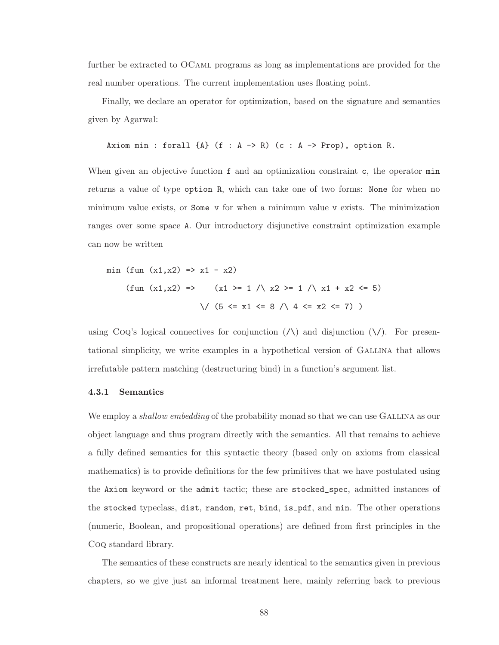further be extracted to OCaml programs as long as implementations are provided for the real number operations. The current implementation uses floating point.

Finally, we declare an operator for optimization, based on the signature and semantics given by Agarwal:

Axiom min : forall 
$$
\{A\}
$$
 (f : A  $\rightarrow$  R) (c : A  $\rightarrow$  Prop), option R.

When given an objective function f and an optimization constraint c, the operator min returns a value of type option R, which can take one of two forms: None for when no minimum value exists, or Some v for when a minimum value v exists. The minimization ranges over some space A. Our introductory disjunctive constraint optimization example can now be written

min (fun (x1,x2) => x1 - x2)  
\n(fun (x1,x2) => (x1 >= 1 / x2 >= 1 / x1 + x2 <= 5)  
\n
$$
\sqrt{(5 \leq x1 \leq 8 / x4 \leq x2 \leq 7)}
$$

using Coq's logical connectives for conjunction  $(\wedge)$  and disjunction  $(\vee)$ . For presentational simplicity, we write examples in a hypothetical version of Gallina that allows irrefutable pattern matching (destructuring bind) in a function's argument list.

#### 4.3.1 Semantics

We employ a *shallow embedding* of the probability monad so that we can use GALLINA as our object language and thus program directly with the semantics. All that remains to achieve a fully defined semantics for this syntactic theory (based only on axioms from classical mathematics) is to provide definitions for the few primitives that we have postulated using the Axiom keyword or the admit tactic; these are stocked\_spec, admitted instances of the stocked typeclass, dist, random, ret, bind, is\_pdf, and min. The other operations (numeric, Boolean, and propositional operations) are defined from first principles in the Coq standard library.

The semantics of these constructs are nearly identical to the semantics given in previous chapters, so we give just an informal treatment here, mainly referring back to previous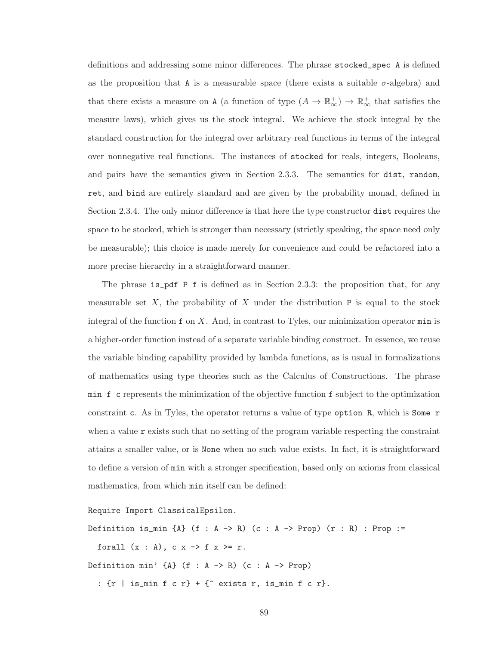definitions and addressing some minor differences. The phrase stocked\_spec A is defined as the proposition that A is a measurable space (there exists a suitable  $\sigma$ -algebra) and that there exists a measure on A (a function of type  $(A \to \mathbb{R}_{\infty}^+) \to \mathbb{R}_{\infty}^+$  that satisfies the measure laws), which gives us the stock integral. We achieve the stock integral by the standard construction for the integral over arbitrary real functions in terms of the integral over nonnegative real functions. The instances of stocked for reals, integers, Booleans, and pairs have the semantics given in Section 2.3.3. The semantics for dist, random, ret, and bind are entirely standard and are given by the probability monad, defined in Section 2.3.4. The only minor difference is that here the type constructor dist requires the space to be stocked, which is stronger than necessary (strictly speaking, the space need only be measurable); this choice is made merely for convenience and could be refactored into a more precise hierarchy in a straightforward manner.

The phrase is pdf P f is defined as in Section 2.3.3: the proposition that, for any measurable set  $X$ , the probability of X under the distribution P is equal to the stock integral of the function  $f$  on X. And, in contrast to Tyles, our minimization operator  $\min$  is a higher-order function instead of a separate variable binding construct. In essence, we reuse the variable binding capability provided by lambda functions, as is usual in formalizations of mathematics using type theories such as the Calculus of Constructions. The phrase min f c represents the minimization of the objective function f subject to the optimization constraint c. As in Tyles, the operator returns a value of type option R, which is Some r when a value  $r$  exists such that no setting of the program variable respecting the constraint attains a smaller value, or is None when no such value exists. In fact, it is straightforward to define a version of min with a stronger specification, based only on axioms from classical mathematics, from which min itself can be defined:

Require Import ClassicalEpsilon.

Definition is\_min {A} (f : A -> R) (c : A -> Prop) (r : R) : Prop := forall  $(x : A)$ ,  $c x \rightarrow f x \rightarrow r$ . Definition min'  ${A}$  (f : A -> R) (c : A -> Prop) :  $\{r \mid is\_min \ f \ c \ r\} + \{^\sim \text{exists } r, \text{ is\_min } f \ c \ r\}.$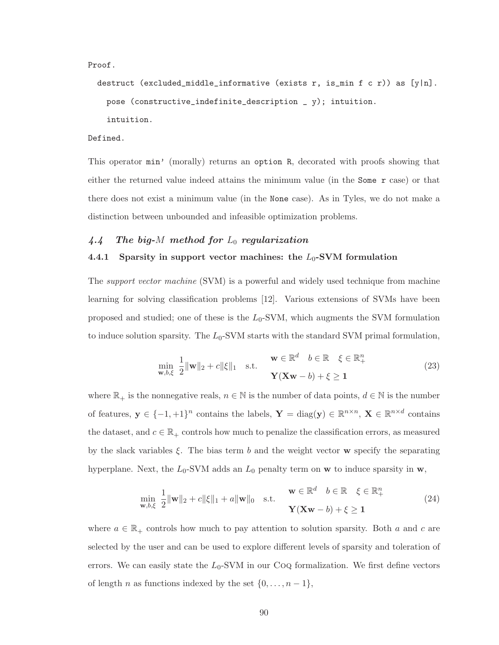Proof.

```
destruct (excluded_middle_informative (exists r, is_min f c r)) as [y|n].
  pose (constructive_indefinite_description _ y); intuition.
  intuition.
```
# Defined.

This operator min' (morally) returns an option R, decorated with proofs showing that either the returned value indeed attains the minimum value (in the Some r case) or that there does not exist a minimum value (in the None case). As in Tyles, we do not make a distinction between unbounded and infeasible optimization problems.

### *4.4 The big-*M *method for* L<sup>0</sup> *regularization*

# 4.4.1 Sparsity in support vector machines: the  $L_0$ -SVM formulation

The *support vector machine* (SVM) is a powerful and widely used technique from machine learning for solving classification problems [12]. Various extensions of SVMs have been proposed and studied; one of these is the  $L_0$ -SVM, which augments the SVM formulation to induce solution sparsity. The  $L_0$ -SVM starts with the standard SVM primal formulation,

$$
\min_{\mathbf{w},b,\xi} \frac{1}{2} \|\mathbf{w}\|_{2} + c\|\xi\|_{1} \quad \text{s.t.} \quad \begin{aligned} \mathbf{w} &\in \mathbb{R}^{d} \quad b \in \mathbb{R} \quad \xi \in \mathbb{R}_{+}^{n} \\ \mathbf{Y}(\mathbf{X}\mathbf{w} - b) + \xi &\geq 1 \end{aligned} \tag{23}
$$

where  $\mathbb{R}_+$  is the nonnegative reals,  $n \in \mathbb{N}$  is the number of data points,  $d \in \mathbb{N}$  is the number of features,  $y \in \{-1, +1\}^n$  contains the labels,  $Y = diag(y) \in \mathbb{R}^{n \times n}$ ,  $X \in \mathbb{R}^{n \times d}$  contains the dataset, and  $c \in \mathbb{R}_+$  controls how much to penalize the classification errors, as measured by the slack variables  $\xi$ . The bias term b and the weight vector w specify the separating hyperplane. Next, the  $L_0$ -SVM adds an  $L_0$  penalty term on w to induce sparsity in w,

$$
\min_{\mathbf{w},b,\xi} \frac{1}{2} \|\mathbf{w}\|_{2} + c\|\xi\|_{1} + a\|\mathbf{w}\|_{0} \quad \text{s.t.} \quad \mathbf{w} \in \mathbb{R}^{d} \quad b \in \mathbb{R} \quad \xi \in \mathbb{R}_{+}^{n}
$$
\n
$$
\mathbf{Y}(\mathbf{X}\mathbf{w} - b) + \xi \ge 1
$$
\n(24)

where  $a \in \mathbb{R}_+$  controls how much to pay attention to solution sparsity. Both a and c are selected by the user and can be used to explore different levels of sparsity and toleration of errors. We can easily state the  $L_0$ -SVM in our CoQ formalization. We first define vectors of length *n* as functions indexed by the set  $\{0, \ldots, n-1\}$ ,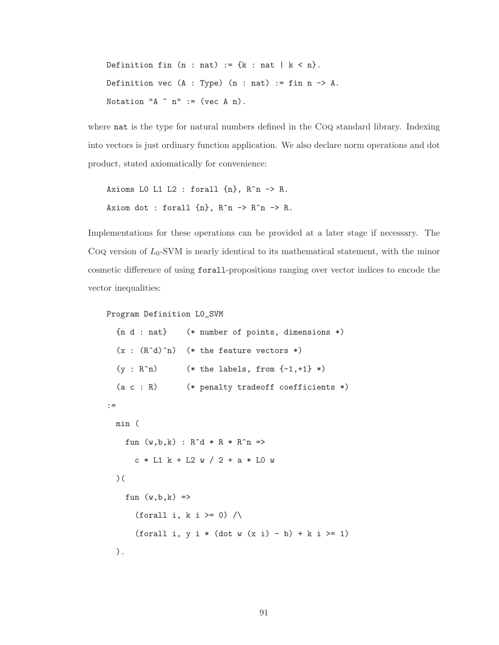Definition fin  $(n : nat) := \{k : nat | k < n\}.$ Definition vec  $(A : Type)$   $(n : nat) := fin n \rightarrow A$ . Notation "A  $\hat{m}$  " := (vec A n).

where **nat** is the type for natural numbers defined in the CoQ standard library. Indexing into vectors is just ordinary function application. We also declare norm operations and dot product, stated axiomatically for convenience:

```
Axioms LO L1 L2 : forall \{n\}, R<sup>^</sup>n -> R.
Axiom dot : forall \{n\}, R^n \rightarrow R^n \rightarrow R.
```
Implementations for these operations can be provided at a later stage if necessary. The Coq version of  $L_0$ -SVM is nearly identical to its mathematical statement, with the minor cosmetic difference of using forall-propositions ranging over vector indices to encode the vector inequalities:

Program Definition L0\_SVM

{n d : nat} (\* number of points, dimensions \*)  $(x : (R<sup>\uparrow</sup>d)<sup>\uparrow</sup>n)$  (\* the feature vectors \*)  $(y : R^n)$  (\* the labels, from  $\{-1, +1\}$  \*) (a c : R) (\* penalty tradeoff coefficients \*) := min ( fun  $(w, b, k)$  :  $R^d * R * R^n$  => c \* L1 k + L2 w / 2 + a \* L0 w )( fun  $(w, b, k)$  => (forall i, k i >= 0)  $\wedge$ (forall i, y i \* (dot w (x i) - b) + k i >= 1) ).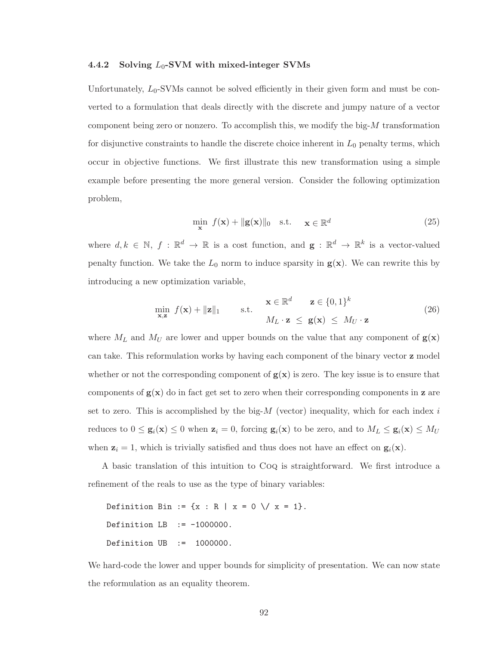### 4.4.2 Solving  $L_0$ -SVM with mixed-integer SVMs

Unfortunately,  $L_0$ -SVMs cannot be solved efficiently in their given form and must be converted to a formulation that deals directly with the discrete and jumpy nature of a vector component being zero or nonzero. To accomplish this, we modify the big- $M$  transformation for disjunctive constraints to handle the discrete choice inherent in  $L_0$  penalty terms, which occur in objective functions. We first illustrate this new transformation using a simple example before presenting the more general version. Consider the following optimization problem,

$$
\min_{\mathbf{x}} f(\mathbf{x}) + \|\mathbf{g}(\mathbf{x})\|_0 \quad \text{s.t.} \quad \mathbf{x} \in \mathbb{R}^d \tag{25}
$$

where  $d, k \in \mathbb{N}, f : \mathbb{R}^d \to \mathbb{R}$  is a cost function, and  $\mathbf{g} : \mathbb{R}^d \to \mathbb{R}^k$  is a vector-valued penalty function. We take the  $L_0$  norm to induce sparsity in  $g(x)$ . We can rewrite this by introducing a new optimization variable,

$$
\min_{\mathbf{x}, \mathbf{z}} f(\mathbf{x}) + \|\mathbf{z}\|_1 \quad \text{s.t.} \quad \mathbf{x} \in \mathbb{R}^d \quad \mathbf{z} \in \{0, 1\}^k
$$
\n
$$
M_L \cdot \mathbf{z} \le \mathbf{g}(\mathbf{x}) \le M_U \cdot \mathbf{z} \tag{26}
$$

where  $M_L$  and  $M_U$  are lower and upper bounds on the value that any component of  $\mathbf{g}(\mathbf{x})$ can take. This reformulation works by having each component of the binary vector z model whether or not the corresponding component of  $g(x)$  is zero. The key issue is to ensure that components of  $g(x)$  do in fact get set to zero when their corresponding components in z are set to zero. This is accomplished by the big- $M$  (vector) inequality, which for each index i reduces to  $0 \leq \mathbf{g}_i(\mathbf{x}) \leq 0$  when  $\mathbf{z}_i = 0$ , forcing  $\mathbf{g}_i(\mathbf{x})$  to be zero, and to  $M_L \leq \mathbf{g}_i(\mathbf{x}) \leq M_U$ when  $z_i = 1$ , which is trivially satisfied and thus does not have an effect on  $g_i(x)$ .

A basic translation of this intuition to Coq is straightforward. We first introduce a refinement of the reals to use as the type of binary variables:

```
Definition Bin := \{x : R | x = 0 \setminus x = 1\}.Definition LB := -1000000.
Definition UB := 1000000.
```
We hard-code the lower and upper bounds for simplicity of presentation. We can now state the reformulation as an equality theorem.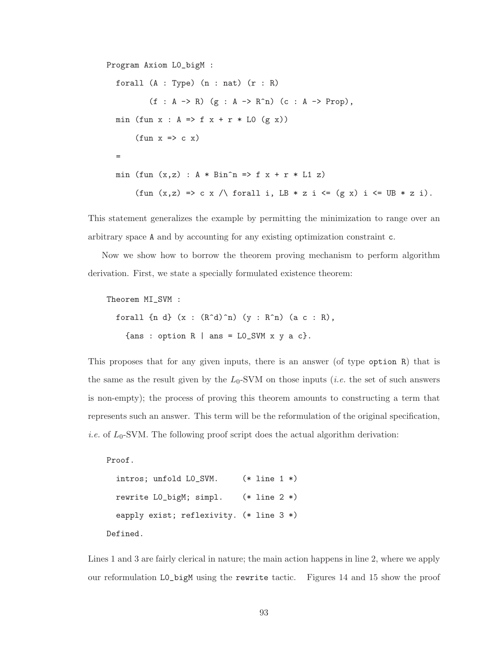```
Program Axiom L0_bigM :
  forall (A : Type) (n : nat) (r : R)(f : A \rightarrow R) (g : A \rightarrow R^n) (c : A \rightarrow Prop),
  min (fun x : A \Rightarrow f x + r * LO (g x))(fun x \Rightarrow c x)=
  min (fun (x, z) : A * Bin^n => f x + r * L1 z)
       (fun (x,z) \Rightarrow c \times / \int forall i, LB * z i <= (g x) i <= UB * z i).
```
This statement generalizes the example by permitting the minimization to range over an arbitrary space A and by accounting for any existing optimization constraint c.

Now we show how to borrow the theorem proving mechanism to perform algorithm derivation. First, we state a specially formulated existence theorem:

```
Theorem MI_SVM :
  forall \{n d\} (x : (R^d)^n) (y : R^n) (a c : R),
    {\{ans : option R | ans = LO_SVM x y a c\}}.
```
This proposes that for any given inputs, there is an answer (of type option R) that is the same as the result given by the  $L_0$ -SVM on those inputs *(i.e.* the set of such answers is non-empty); the process of proving this theorem amounts to constructing a term that represents such an answer. This term will be the reformulation of the original specification, *i.e.* of  $L_0$ -SVM. The following proof script does the actual algorithm derivation:

Proof.

```
intros; unfold L0_SVM. (* line 1 *)
 rewrite L0_bigM; simpl. (* line 2 *)
  eapply exist; reflexivity. (* line 3 *)
Defined.
```
Lines 1 and 3 are fairly clerical in nature; the main action happens in line 2, where we apply our reformulation L0\_bigM using the rewrite tactic. Figures 14 and 15 show the proof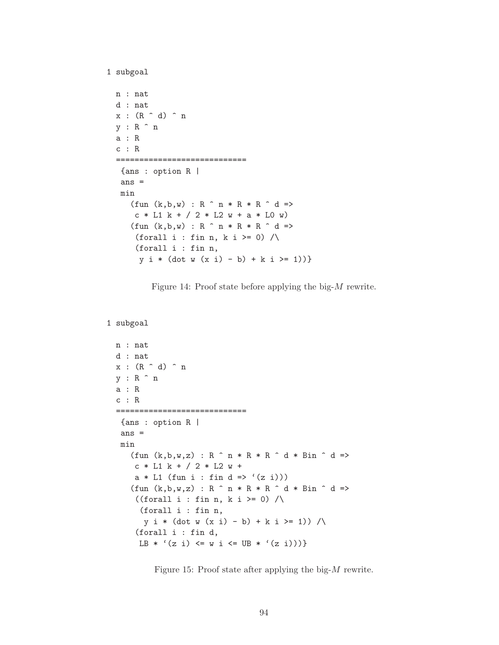```
1 subgoal
  n : nat
  d : nat
  x : (R \hat{\ } \ d) \hat{\ }n
  y : R ^ n
  a : R
  c : R
                    ============================
   {ans : option R |
   ans =
   min
      (fun (k,b,w) : R^n n * R * R^n d \Rightarrowc * L1 k + / 2 * L2 w + a * L0 w)
      (fun (k,b,w) : R \hat{ } n * R * R \hat{ } d \Rightarrow(forall i : fin n, k i >= 0) \wedge(forall i : fin n,
        y i * (dot w (x i) - b) + k i > = 1))
```


### 1 subgoal

```
n : nat
d : nat
x : (R \cap d) \cap ny : R ^ n
a : R
c : R
=============================
 {ans : option R |
 ans =
 min
   (fun (k,b,w,z) : R^n n * R * R^n d * Bin^n d =c * L1 k + / 2 * L2 w +a * L1 (fun i : fin d => '(z i)))
   (fun (k,b,w,z) : R^n n * R * R^n d * Bin^n d =((forall i : fin n, k i >= 0) \wedge(forall i : fin n,
      y i * (dot w (x i) - b) + k i > = 1)) /
    (forall i : fin d,
     LB * '(z i) \leq w i \leq UE * '(z i))}
```
Figure 15: Proof state after applying the big-M rewrite.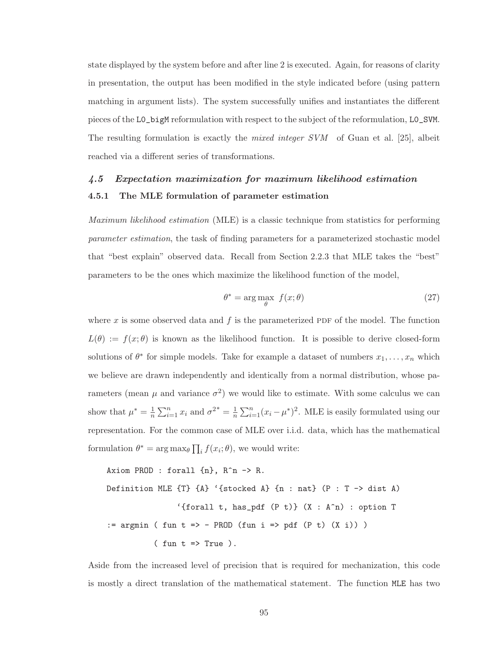state displayed by the system before and after line 2 is executed. Again, for reasons of clarity in presentation, the output has been modified in the style indicated before (using pattern matching in argument lists). The system successfully unifies and instantiates the different pieces of the L0\_bigM reformulation with respect to the subject of the reformulation, L0\_SVM. The resulting formulation is exactly the *mixed integer SVM* of Guan et al. [25], albeit reached via a different series of transformations.

# *4.5 Expectation maximization for maximum likelihood estimation* 4.5.1 The MLE formulation of parameter estimation

Maximum likelihood estimation (MLE) is a classic technique from statistics for performing parameter estimation, the task of finding parameters for a parameterized stochastic model that "best explain" observed data. Recall from Section 2.2.3 that MLE takes the "best" parameters to be the ones which maximize the likelihood function of the model,

$$
\theta^* = \arg\max_{\theta} f(x;\theta) \tag{27}
$$

where x is some observed data and  $f$  is the parameterized PDF of the model. The function  $L(\theta) := f(x; \theta)$  is known as the likelihood function. It is possible to derive closed-form solutions of  $\theta^*$  for simple models. Take for example a dataset of numbers  $x_1, \ldots, x_n$  which we believe are drawn independently and identically from a normal distribution, whose parameters (mean  $\mu$  and variance  $\sigma^2$ ) we would like to estimate. With some calculus we can show that  $\mu^* = \frac{1}{n} \sum_{i=1}^n x_i$  and  $\sigma^{2^*} = \frac{1}{n} \sum_{i=1}^n (x_i - \mu^*)^2$ . MLE is easily formulated using our representation. For the common case of MLE over i.i.d. data, which has the mathematical formulation  $\theta^* = \arg \max_{\theta} \prod_i f(x_i; \theta)$ , we would write:

Axiom PROD : forall {n}, R^n -> R. Definition MLE {T} {A} '{stocked A} {n : nat} (P : T -> dist A) '{forall t, has\_pdf (P t)} (X : A^n) : option T := argmin ( fun t => - PROD (fun i => pdf (P t) (X i)) ) ( fun t => True ).

Aside from the increased level of precision that is required for mechanization, this code is mostly a direct translation of the mathematical statement. The function MLE has two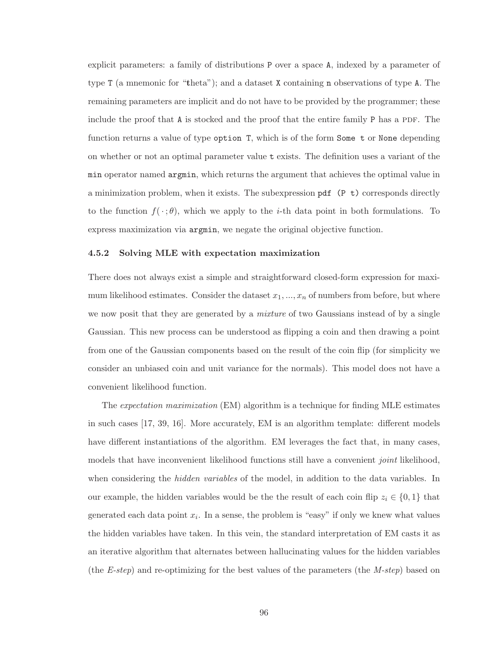explicit parameters: a family of distributions P over a space A, indexed by a parameter of type T (a mnemonic for "theta"); and a dataset X containing n observations of type A. The remaining parameters are implicit and do not have to be provided by the programmer; these include the proof that  $A$  is stocked and the proof that the entire family  $P$  has a PDF. The function returns a value of type option T, which is of the form Some t or None depending on whether or not an optimal parameter value t exists. The definition uses a variant of the min operator named argmin, which returns the argument that achieves the optimal value in a minimization problem, when it exists. The subexpression  $pdf (P t)$  corresponds directly to the function  $f(\cdot; \theta)$ , which we apply to the *i*-th data point in both formulations. To express maximization via argmin, we negate the original objective function.

### 4.5.2 Solving MLE with expectation maximization

There does not always exist a simple and straightforward closed-form expression for maximum likelihood estimates. Consider the dataset  $x_1, ..., x_n$  of numbers from before, but where we now posit that they are generated by a *mixture* of two Gaussians instead of by a single Gaussian. This new process can be understood as flipping a coin and then drawing a point from one of the Gaussian components based on the result of the coin flip (for simplicity we consider an unbiased coin and unit variance for the normals). This model does not have a convenient likelihood function.

The expectation maximization (EM) algorithm is a technique for finding MLE estimates in such cases [17, 39, 16]. More accurately, EM is an algorithm template: different models have different instantiations of the algorithm. EM leverages the fact that, in many cases. models that have inconvenient likelihood functions still have a convenient *joint* likelihood, when considering the *hidden variables* of the model, in addition to the data variables. In our example, the hidden variables would be the the result of each coin flip  $z_i \in \{0,1\}$  that generated each data point  $x_i$ . In a sense, the problem is "easy" if only we knew what values the hidden variables have taken. In this vein, the standard interpretation of EM casts it as an iterative algorithm that alternates between hallucinating values for the hidden variables (the E-step) and re-optimizing for the best values of the parameters (the  $M\text{-}step$ ) based on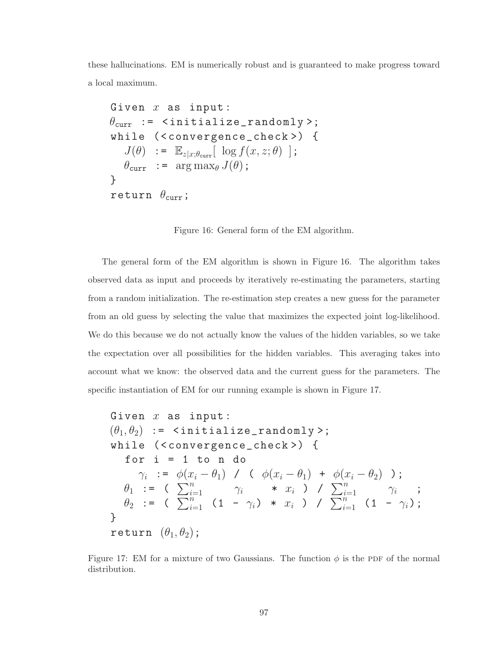these hallucinations. EM is numerically robust and is guaranteed to make progress toward a local maximum.

```
Given x as input:
\theta_{\text{curr}} := \langleinitialize_randomly>;
while ( < convergence_check >) {
    J(\theta) := \mathbb{E}_{z|x; \theta_{\text{curr}}} [\log f(x, z; \theta)];
   \theta_{\text{curr}} := \arg \max_{\theta} J(\theta);
}
return \theta_{\text{curr}};
```
Figure 16: General form of the EM algorithm.

The general form of the EM algorithm is shown in Figure 16. The algorithm takes observed data as input and proceeds by iteratively re-estimating the parameters, starting from a random initialization. The re-estimation step creates a new guess for the parameter from an old guess by selecting the value that maximizes the expected joint log-likelihood. We do this because we do not actually know the values of the hidden variables, so we take the expectation over all possibilities for the hidden variables. This averaging takes into account what we know: the observed data and the current guess for the parameters. The specific instantiation of EM for our running example is shown in Figure 17.

```
Given x as input:
(\theta_1, \theta_2) := \leq initialize_randomly>;
while (<convergence check>) {
   for i = 1 to n do
      \gamma_i := \phi(x_i - \theta_1) / ( \phi(x_i - \theta_1) + \phi(x_i - \theta_2) );
   \theta_1 := ( \sum_{i=1}^n \gamma_i * x_i ) / \sum_{i=1}^n \gamma_i ;
   \theta_2 := ( \sum_{i=1}^{n} (1 - \gamma_i) * x_i ) / \sum_{i=1}^{n} (1 - \gamma_i);
}
return (\theta_1, \theta_2);
```
Figure 17: EM for a mixture of two Gaussians. The function  $\phi$  is the PDF of the normal distribution.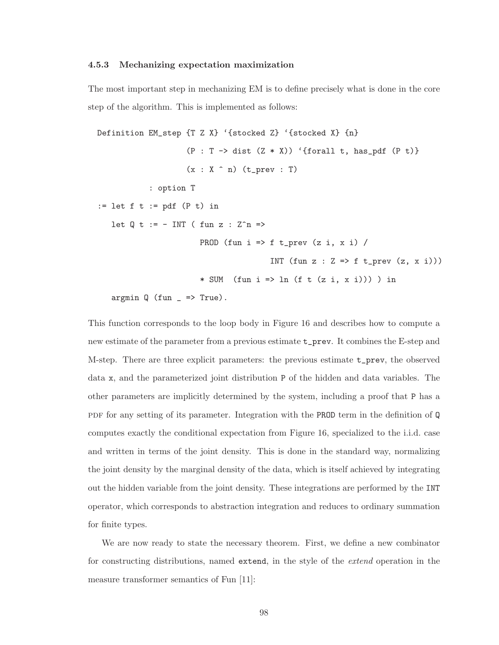#### 4.5.3 Mechanizing expectation maximization

The most important step in mechanizing EM is to define precisely what is done in the core step of the algorithm. This is implemented as follows:

```
Definition EM_step {T Z X} '{stocked Z} '{stocked X} {n}
                    (P : T \rightarrow dist (Z * X)) '{forall t, has_pdf (P t)}
                    (x : X \cap n) (t_prev : T)
            : option T
:= let f t := pdf (P t) in
   let Q t := - INT ( fun z : Z^n =>
                       PROD (fun i => f t_prev (z i, x i) /
                                       INT (fun z : Z \Rightarrow f t_prev (z, x i)))
                       * SUM (fun i => ln (f t (z i, x i))) ) in
   argmin Q (fun = > True).
```
This function corresponds to the loop body in Figure 16 and describes how to compute a new estimate of the parameter from a previous estimate t\_prev. It combines the E-step and M-step. There are three explicit parameters: the previous estimate t\_prev, the observed data x, and the parameterized joint distribution P of the hidden and data variables. The other parameters are implicitly determined by the system, including a proof that P has a PDF for any setting of its parameter. Integration with the PROD term in the definition of Q computes exactly the conditional expectation from Figure 16, specialized to the i.i.d. case and written in terms of the joint density. This is done in the standard way, normalizing the joint density by the marginal density of the data, which is itself achieved by integrating out the hidden variable from the joint density. These integrations are performed by the INT operator, which corresponds to abstraction integration and reduces to ordinary summation for finite types.

We are now ready to state the necessary theorem. First, we define a new combinator for constructing distributions, named extend, in the style of the *extend* operation in the measure transformer semantics of Fun [11]: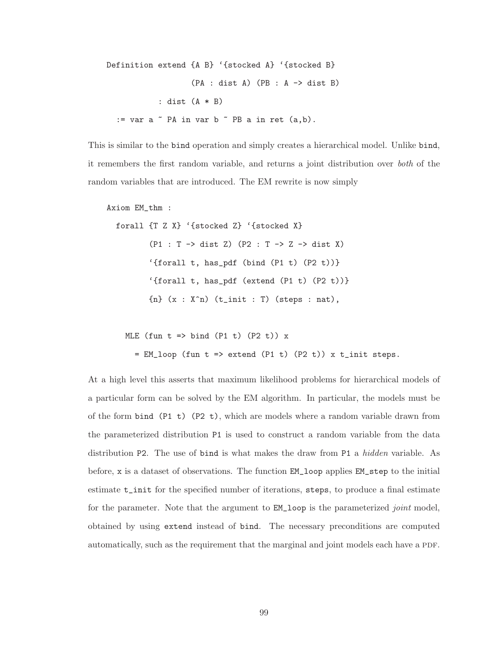Definition extend {A B} '{stocked A} '{stocked B} (PA : dist A) (PB : A -> dist B) : dist (A \* B)  $:=$  var a  $\tilde{ }$  PA in var b  $\tilde{ }$  PB a in ret  $(a,b)$ .

This is similar to the bind operation and simply creates a hierarchical model. Unlike bind, it remembers the first random variable, and returns a joint distribution over both of the random variables that are introduced. The EM rewrite is now simply

Axiom EM\_thm : forall {T Z X} '{stocked Z} '{stocked X} (P1 : T -> dist Z) (P2 : T -> Z -> dist X) '{forall t, has\_pdf (bind (P1 t) (P2 t))} '{forall t, has\_pdf (extend (P1 t) (P2 t))}  ${n} (x : X^n)$  (t\_init : T) (steps : nat),

MLE (fun  $t \Rightarrow$  bind (P1  $t$ ) (P2  $t$ )) x

 $=$  EM\_loop (fun t => extend (P1 t) (P2 t)) x t\_init steps.

At a high level this asserts that maximum likelihood problems for hierarchical models of a particular form can be solved by the EM algorithm. In particular, the models must be of the form bind (P1 t) (P2 t), which are models where a random variable drawn from the parameterized distribution P1 is used to construct a random variable from the data distribution P2. The use of bind is what makes the draw from P1 a hidden variable. As before, x is a dataset of observations. The function EM\_loop applies EM\_step to the initial estimate t\_init for the specified number of iterations, steps, to produce a final estimate for the parameter. Note that the argument to **EM\_loop** is the parameterized *joint* model, obtained by using extend instead of bind. The necessary preconditions are computed automatically, such as the requirement that the marginal and joint models each have a PDF.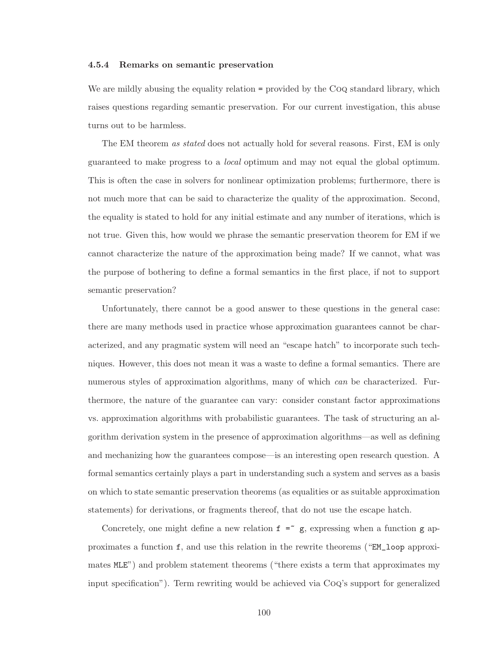#### 4.5.4 Remarks on semantic preservation

We are mildly abusing the equality relation = provided by the CoQ standard library, which raises questions regarding semantic preservation. For our current investigation, this abuse turns out to be harmless.

The EM theorem as stated does not actually hold for several reasons. First, EM is only guaranteed to make progress to a local optimum and may not equal the global optimum. This is often the case in solvers for nonlinear optimization problems; furthermore, there is not much more that can be said to characterize the quality of the approximation. Second, the equality is stated to hold for any initial estimate and any number of iterations, which is not true. Given this, how would we phrase the semantic preservation theorem for EM if we cannot characterize the nature of the approximation being made? If we cannot, what was the purpose of bothering to define a formal semantics in the first place, if not to support semantic preservation?

Unfortunately, there cannot be a good answer to these questions in the general case: there are many methods used in practice whose approximation guarantees cannot be characterized, and any pragmatic system will need an "escape hatch" to incorporate such techniques. However, this does not mean it was a waste to define a formal semantics. There are numerous styles of approximation algorithms, many of which *can* be characterized. Furthermore, the nature of the guarantee can vary: consider constant factor approximations vs. approximation algorithms with probabilistic guarantees. The task of structuring an algorithm derivation system in the presence of approximation algorithms—as well as defining and mechanizing how the guarantees compose—is an interesting open research question. A formal semantics certainly plays a part in understanding such a system and serves as a basis on which to state semantic preservation theorems (as equalities or as suitable approximation statements) for derivations, or fragments thereof, that do not use the escape hatch.

Concretely, one might define a new relation  $f = \gamma$  g, expressing when a function g approximates a function f, and use this relation in the rewrite theorems ("EM\_loop approximates MLE") and problem statement theorems ("there exists a term that approximates my input specification"). Term rewriting would be achieved via Coq's support for generalized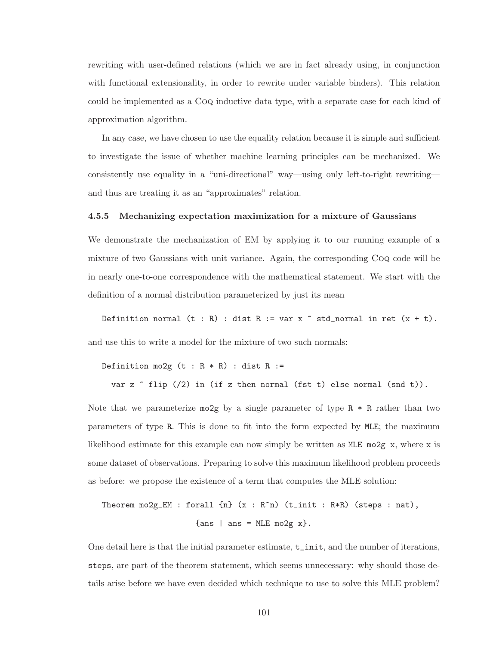rewriting with user-defined relations (which we are in fact already using, in conjunction with functional extensionality, in order to rewrite under variable binders). This relation could be implemented as a Coq inductive data type, with a separate case for each kind of approximation algorithm.

In any case, we have chosen to use the equality relation because it is simple and sufficient to investigate the issue of whether machine learning principles can be mechanized. We consistently use equality in a "uni-directional" way—using only left-to-right rewriting and thus are treating it as an "approximates" relation.

#### 4.5.5 Mechanizing expectation maximization for a mixture of Gaussians

We demonstrate the mechanization of EM by applying it to our running example of a mixture of two Gaussians with unit variance. Again, the corresponding Coq code will be in nearly one-to-one correspondence with the mathematical statement. We start with the definition of a normal distribution parameterized by just its mean

Definition normal  $(t : R)$ : dist  $R := var x$   $\tilde{r}$  std\_normal in ret  $(x + t)$ .

and use this to write a model for the mixture of two such normals:

Definition mo2g  $(t : R * R)$  : dist R :=

var  $z$   $\tilde{f}$  flip (/2) in (if  $z$  then normal (fst t) else normal (snd t)).

Note that we parameterize  $modg$  by a single parameter of type  $R * R$  rather than two parameters of type R. This is done to fit into the form expected by MLE; the maximum likelihood estimate for this example can now simply be written as MLE mo2g x, where x is some dataset of observations. Preparing to solve this maximum likelihood problem proceeds as before: we propose the existence of a term that computes the MLE solution:

Theorem mo2g\_EM : forall  $\{n\}$   $(x : R^n)$   $(t_$ init : R\*R) (steps : nat),  ${\{ans \mid ans = MLE mo2g x\}}$ .

One detail here is that the initial parameter estimate,  $t$ \_init, and the number of iterations, steps, are part of the theorem statement, which seems unnecessary: why should those details arise before we have even decided which technique to use to solve this MLE problem?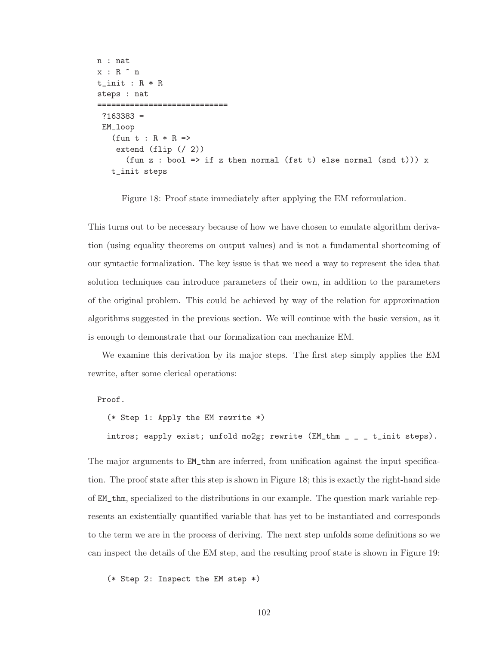```
n : nat
x : R \hat{ } nt_init : R * R
steps : nat
===========================
 ?163383 =
 EM_loop
   {\rm (fun t : R * R =>}extend (flip (/ 2))
      (fun z : bool => if z then normal (fst t) else normal (snd t))) x
   t_init steps
```
Figure 18: Proof state immediately after applying the EM reformulation.

This turns out to be necessary because of how we have chosen to emulate algorithm derivation (using equality theorems on output values) and is not a fundamental shortcoming of our syntactic formalization. The key issue is that we need a way to represent the idea that solution techniques can introduce parameters of their own, in addition to the parameters of the original problem. This could be achieved by way of the relation for approximation algorithms suggested in the previous section. We will continue with the basic version, as it is enough to demonstrate that our formalization can mechanize EM.

We examine this derivation by its major steps. The first step simply applies the EM rewrite, after some clerical operations:

Proof.

(\* Step 1: Apply the EM rewrite \*)

intros; eapply exist; unfold mo2g; rewrite (EM\_thm \_ \_ \_ t\_init steps).

The major arguments to  $EM$ <sub>thm</sub> are inferred, from unification against the input specification. The proof state after this step is shown in Figure 18; this is exactly the right-hand side of EM\_thm, specialized to the distributions in our example. The question mark variable represents an existentially quantified variable that has yet to be instantiated and corresponds to the term we are in the process of deriving. The next step unfolds some definitions so we can inspect the details of the EM step, and the resulting proof state is shown in Figure 19:

(\* Step 2: Inspect the EM step \*)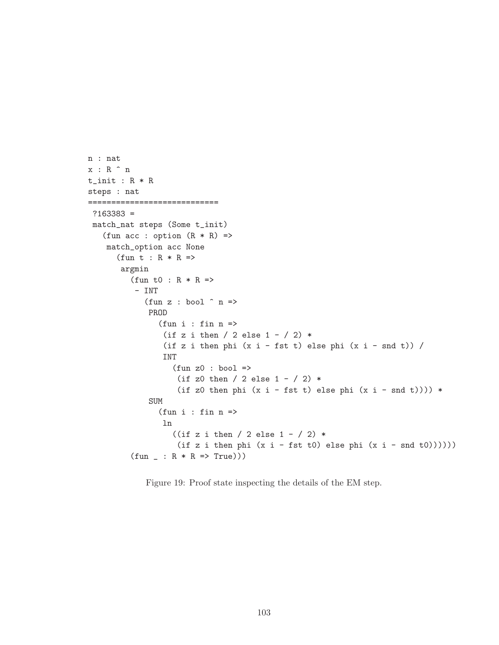```
n : nat
x : R \hat{m}t_init : R * R
steps : nat
           ============================
 ?163383 =
 match_nat steps (Some t_init)
   (fun acc : option (R * R) =>
    match_option acc None
      (fun t : R * R =>
       argmin
          (fun t0 : R * R =- INT
             (fun z : bool \hat{ } n =>
              PROD
                (fun i : fin n \Rightarrow(if z i then / 2 else 1 - / 2) *
                 (if z i then phi (x i - fst t) else phi (x i - snd t)) /
                 INT
                   (fun z0 : bool =(if z0 then / 2 else 1 - / 2) *
                    (if z0 then phi (x i - fst t) else phi (x i - snd t)))) *
              SUM
                (fun i : fin n \Rightarrowln
                   ((if z i then / 2 else 1 - / 2) *
                    (if z i then phi (x i - fst t0) else phi (x i - snd t0))))))
          (fun _ = : R * R => True)))
```
Figure 19: Proof state inspecting the details of the EM step.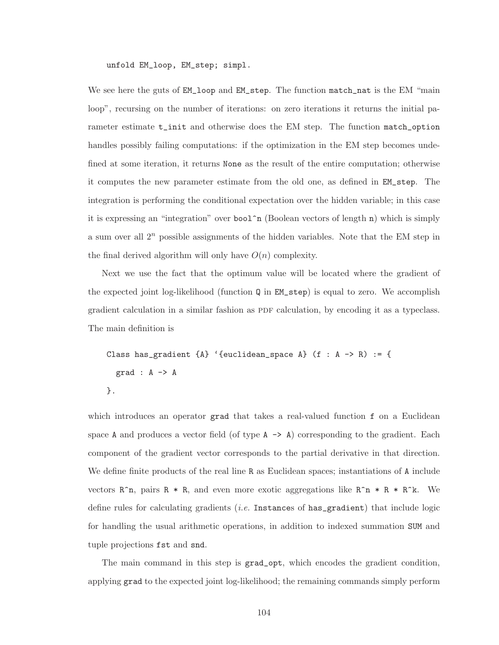unfold EM\_loop, EM\_step; simpl.

We see here the guts of EM\_loop and EM\_step. The function match\_nat is the EM "main" loop", recursing on the number of iterations: on zero iterations it returns the initial parameter estimate  $t$ <sub>-</sub>init and otherwise does the EM step. The function match<sub>option</sub> handles possibly failing computations: if the optimization in the EM step becomes undefined at some iteration, it returns None as the result of the entire computation; otherwise it computes the new parameter estimate from the old one, as defined in EM\_step. The integration is performing the conditional expectation over the hidden variable; in this case it is expressing an "integration" over bool<sup>n</sup> (Boolean vectors of length n) which is simply a sum over all  $2<sup>n</sup>$  possible assignments of the hidden variables. Note that the EM step in the final derived algorithm will only have  $O(n)$  complexity.

Next we use the fact that the optimum value will be located where the gradient of the expected joint log-likelihood (function Q in EM\_step) is equal to zero. We accomplish gradient calculation in a similar fashion as PDF calculation, by encoding it as a typeclass. The main definition is

Class has\_gradient {A} '{euclidean\_space A} (f : A -> R) := { grad : A -> A }.

which introduces an operator grad that takes a real-valued function f on a Euclidean space A and produces a vector field (of type  $A \rightarrow A$ ) corresponding to the gradient. Each component of the gradient vector corresponds to the partial derivative in that direction. We define finite products of the real line R as Euclidean spaces; instantiations of A include vectors  $\mathbb{R}^n$ , pairs  $\mathbb{R}$  \* R, and even more exotic aggregations like  $\mathbb{R}^n$  \* R \* R<sup>o</sup>k. We define rules for calculating gradients (*i.e.* Instances of has gradient) that include logic for handling the usual arithmetic operations, in addition to indexed summation SUM and tuple projections fst and snd.

The main command in this step is grad\_opt, which encodes the gradient condition, applying grad to the expected joint log-likelihood; the remaining commands simply perform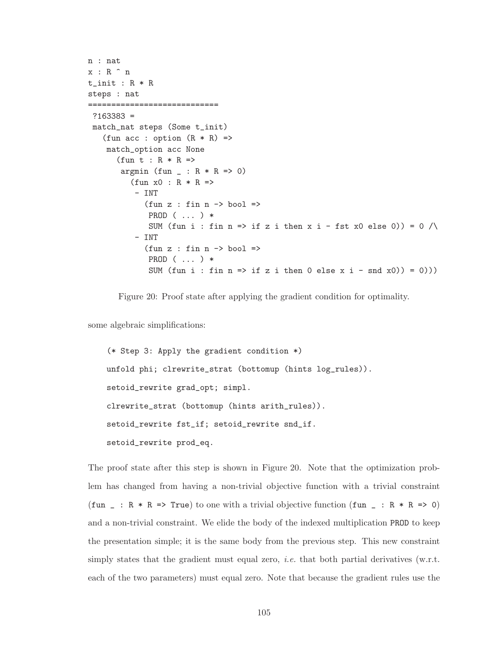```
n : nat
\mathtt{x} : R ^ n
t_init : R * R
steps : nat
===========================
 ?163383 =
 match_nat steps (Some t_init)
   (fun acc : option (R * R) =>
    match_option acc None
       (fun t : R * R =>
        argmin (fun _ : R * R => 0)
           (fun x0 : R * R = >- INT
              {\rm (fun z : fin n \rightarrow bool \Rightarrow}PROD ( ... ) *
               SUM (fun i : fin n => if z i then x i - fst x0 else 0)) = 0 \land- INT
              {\rm (fun z : fin n \rightarrow bool \Rightarrow}PROD ( ... ) *
               SUM (fun i : fin n \implies if z i then 0 else x i - snd x0)) = 0)))
```
Figure 20: Proof state after applying the gradient condition for optimality.

some algebraic simplifications:

(\* Step 3: Apply the gradient condition \*) unfold phi; clrewrite\_strat (bottomup (hints log\_rules)). setoid\_rewrite grad\_opt; simpl. clrewrite\_strat (bottomup (hints arith\_rules)). setoid\_rewrite fst\_if; setoid\_rewrite snd\_if. setoid\_rewrite prod\_eq.

The proof state after this step is shown in Figure 20. Note that the optimization problem has changed from having a non-trivial objective function with a trivial constraint (fun  $\mu$  : R  $*$  R => True) to one with a trivial objective function (fun  $\mu$  : R  $*$  R => 0) and a non-trivial constraint. We elide the body of the indexed multiplication PROD to keep the presentation simple; it is the same body from the previous step. This new constraint simply states that the gradient must equal zero, *i.e.* that both partial derivatives (w.r.t. each of the two parameters) must equal zero. Note that because the gradient rules use the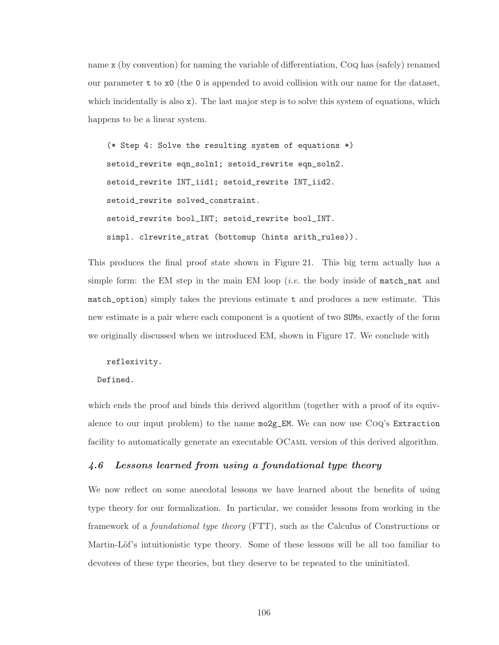name x (by convention) for naming the variable of differentiation, CoQ has (safely) renamed our parameter  $t \text{ to } x0$  (the 0 is appended to avoid collision with our name for the dataset, which incidentally is also x). The last major step is to solve this system of equations, which happens to be a linear system.

(\* Step 4: Solve the resulting system of equations \*) setoid\_rewrite eqn\_soln1; setoid\_rewrite eqn\_soln2. setoid\_rewrite INT\_iid1; setoid\_rewrite INT\_iid2. setoid\_rewrite solved\_constraint. setoid\_rewrite bool\_INT; setoid\_rewrite bool\_INT. simpl. clrewrite\_strat (bottomup (hints arith\_rules)).

This produces the final proof state shown in Figure 21. This big term actually has a simple form: the EM step in the main EM loop *(i.e.* the body inside of  $match\_nat$  and match\_option) simply takes the previous estimate t and produces a new estimate. This new estimate is a pair where each component is a quotient of two SUMs, exactly of the form we originally discussed when we introduced EM, shown in Figure 17. We conclude with

#### reflexivity.

#### Defined.

which ends the proof and binds this derived algorithm (together with a proof of its equivalence to our input problem) to the name mo2g\_EM. We can now use Coq's Extraction facility to automatically generate an executable OCAML version of this derived algorithm.

## *4.6 Lessons learned from using a foundational type theory*

We now reflect on some anecdotal lessons we have learned about the benefits of using type theory for our formalization. In particular, we consider lessons from working in the framework of a foundational type theory (FTT), such as the Calculus of Constructions or Martin-Löf's intuitionistic type theory. Some of these lessons will be all too familiar to devotees of these type theories, but they deserve to be repeated to the uninitiated.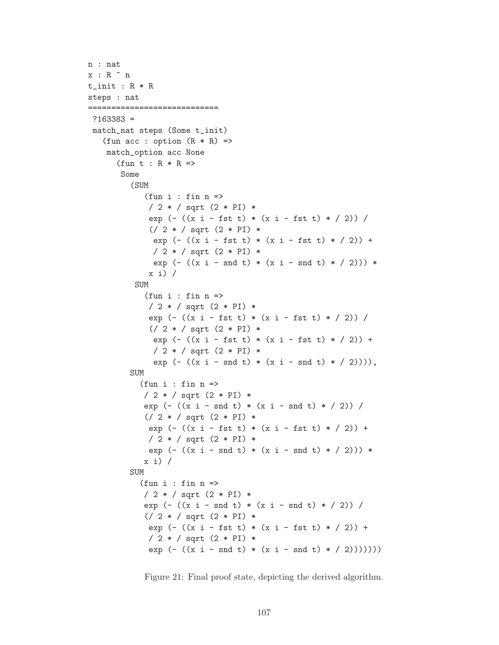```
n : nat
x : R \hat{m}t_init : R * R
steps : nat
            ============================
?163383 =
match_nat steps (Some t_init)
   (fun acc : option (R * R) =>
    match_option acc None
      (fun t : R * R =)Some
          (SUM
             (fun i : fin n \Rightarrow/ 2 * / sqrt (2 * PI) *
              exp (- ((x i - fst t) * (x i - fst t) * / 2)) /
              ( / 2 * / sqrt (2 * PI) *exp (- ((x i - fst t) * (x i - fst t) * / 2)) +/ 2 * / sqrt (2 * PI) *
              exp (- ((x i - \text{snd } t) * (x i - \text{snd } t) * / 2))) *x i) /
          SUM
             (fun i : fin n =/ 2 * / sqrt (2 * PI) *
              exp (- ((x i - fst t) * (x i - fst t) * / 2)) /
              ( / 2 * / sqrt (2 * PI) *exp (- ((x i - fst t) * (x i - fst t) * / 2)) +/ 2 * / sqrt (2 * PI) *exp (- ((x i - snd t) * (x i - snd t) * / 2)))),
         SUM
            (fun i : fin n =/ 2 * / sqrt (2 * PI) *exp (- ((x i - \text{snd } t) * (x i - \text{snd } t) * / 2)) /( / 2 * / sqrt (2 * PI) *exp (- ((x i - fst t) * (x i - fst t) * / 2)) +/ 2 * / sqrt (2 * PI) *
              exp (- ((x i - snd t) * (x i - snd t) * / 2))) *x i) /
         SUM
            (fun i : fin n =/ 2 * / sqrt (2 * PI) *
            exp (- ((x i - snd t) * (x i - snd t) * / 2)) /( / 2 * / sqrt (2 * PI) *exp (- ((x i - fst t) * (x i - fst t) * / 2)) +/ 2 * / sqrt (2 * PI) *
              exp (- ((x i - \text{snd } t) * (x i - \text{snd } t) * / 2)))))))
```
Figure 21: Final proof state, depicting the derived algorithm.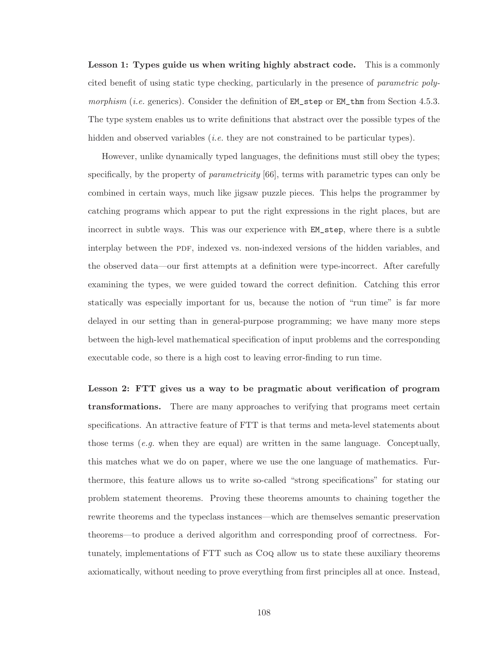Lesson 1: Types guide us when writing highly abstract code. This is a commonly cited benefit of using static type checking, particularly in the presence of parametric polymorphism (i.e. generics). Consider the definition of  $EM\_step$  or  $EM\_thm$  from Section 4.5.3. The type system enables us to write definitions that abstract over the possible types of the hidden and observed variables *(i.e.* they are not constrained to be particular types).

However, unlike dynamically typed languages, the definitions must still obey the types; specifically, by the property of *parametricity* [66], terms with parametric types can only be combined in certain ways, much like jigsaw puzzle pieces. This helps the programmer by catching programs which appear to put the right expressions in the right places, but are incorrect in subtle ways. This was our experience with EM\_step, where there is a subtle interplay between the PDF, indexed vs. non-indexed versions of the hidden variables, and the observed data—our first attempts at a definition were type-incorrect. After carefully examining the types, we were guided toward the correct definition. Catching this error statically was especially important for us, because the notion of "run time" is far more delayed in our setting than in general-purpose programming; we have many more steps between the high-level mathematical specification of input problems and the corresponding executable code, so there is a high cost to leaving error-finding to run time.

Lesson 2: FTT gives us a way to be pragmatic about verification of program transformations. There are many approaches to verifying that programs meet certain specifications. An attractive feature of FTT is that terms and meta-level statements about those terms  $(e.g.$  when they are equal) are written in the same language. Conceptually, this matches what we do on paper, where we use the one language of mathematics. Furthermore, this feature allows us to write so-called "strong specifications" for stating our problem statement theorems. Proving these theorems amounts to chaining together the rewrite theorems and the typeclass instances—which are themselves semantic preservation theorems—to produce a derived algorithm and corresponding proof of correctness. Fortunately, implementations of FTT such as Coq allow us to state these auxiliary theorems axiomatically, without needing to prove everything from first principles all at once. Instead,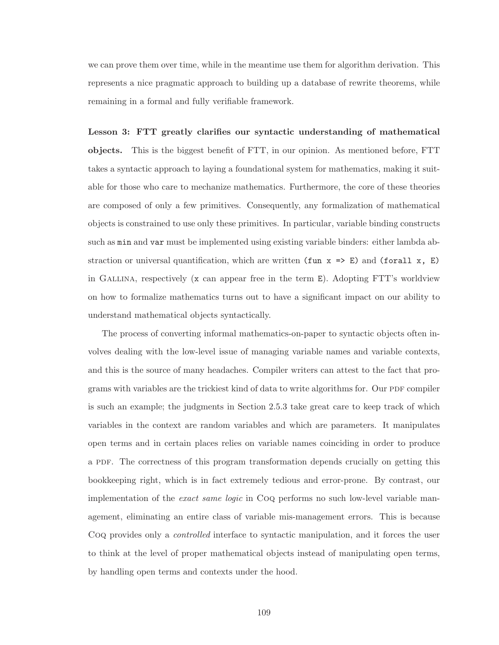we can prove them over time, while in the meantime use them for algorithm derivation. This represents a nice pragmatic approach to building up a database of rewrite theorems, while remaining in a formal and fully verifiable framework.

Lesson 3: FTT greatly clarifies our syntactic understanding of mathematical objects. This is the biggest benefit of FTT, in our opinion. As mentioned before, FTT takes a syntactic approach to laying a foundational system for mathematics, making it suitable for those who care to mechanize mathematics. Furthermore, the core of these theories are composed of only a few primitives. Consequently, any formalization of mathematical objects is constrained to use only these primitives. In particular, variable binding constructs such as min and var must be implemented using existing variable binders: either lambda abstraction or universal quantification, which are written (fun  $x \Rightarrow E$ ) and (forall  $x$ , E) in Gallina, respectively (x can appear free in the term E). Adopting FTT's worldview on how to formalize mathematics turns out to have a significant impact on our ability to understand mathematical objects syntactically.

The process of converting informal mathematics-on-paper to syntactic objects often involves dealing with the low-level issue of managing variable names and variable contexts, and this is the source of many headaches. Compiler writers can attest to the fact that programs with variables are the trickiest kind of data to write algorithms for. Our PDF compiler is such an example; the judgments in Section 2.5.3 take great care to keep track of which variables in the context are random variables and which are parameters. It manipulates open terms and in certain places relies on variable names coinciding in order to produce a PDF. The correctness of this program transformation depends crucially on getting this bookkeeping right, which is in fact extremely tedious and error-prone. By contrast, our implementation of the exact same logic in Coq performs no such low-level variable management, eliminating an entire class of variable mis-management errors. This is because Coq provides only a controlled interface to syntactic manipulation, and it forces the user to think at the level of proper mathematical objects instead of manipulating open terms, by handling open terms and contexts under the hood.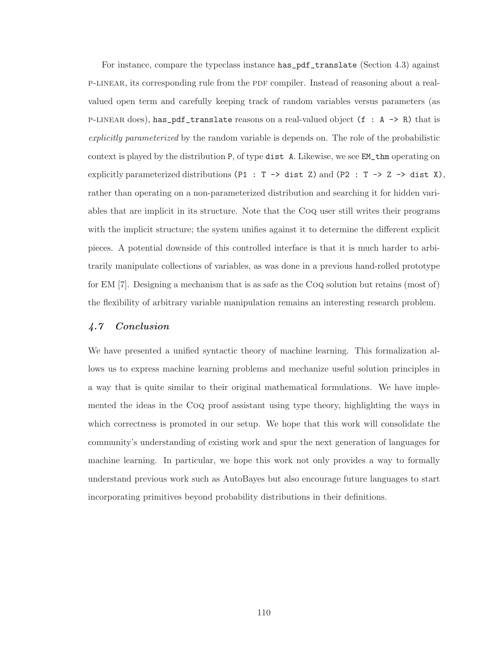For instance, compare the typeclass instance has\_pdf\_translate (Section 4.3) against p-linear, its corresponding rule from the pdf compiler. Instead of reasoning about a realvalued open term and carefully keeping track of random variables versus parameters (as P-LINEAR does), has\_pdf\_translate reasons on a real-valued object  $(f : A \rightarrow R)$  that is explicitly parameterized by the random variable is depends on. The role of the probabilistic context is played by the distribution P, of type dist A. Likewise, we see EM\_thm operating on explicitly parameterized distributions (P1 : T -> dist Z) and (P2 : T -> Z -> dist X), rather than operating on a non-parameterized distribution and searching it for hidden variables that are implicit in its structure. Note that the Coq user still writes their programs with the implicit structure; the system unifies against it to determine the different explicit pieces. A potential downside of this controlled interface is that it is much harder to arbitrarily manipulate collections of variables, as was done in a previous hand-rolled prototype for EM [7]. Designing a mechanism that is as safe as the Coq solution but retains (most of) the flexibility of arbitrary variable manipulation remains an interesting research problem.

### *4.7 Conclusion*

We have presented a unified syntactic theory of machine learning. This formalization allows us to express machine learning problems and mechanize useful solution principles in a way that is quite similar to their original mathematical formulations. We have implemented the ideas in the Coq proof assistant using type theory, highlighting the ways in which correctness is promoted in our setup. We hope that this work will consolidate the community's understanding of existing work and spur the next generation of languages for machine learning. In particular, we hope this work not only provides a way to formally understand previous work such as AutoBayes but also encourage future languages to start incorporating primitives beyond probability distributions in their definitions.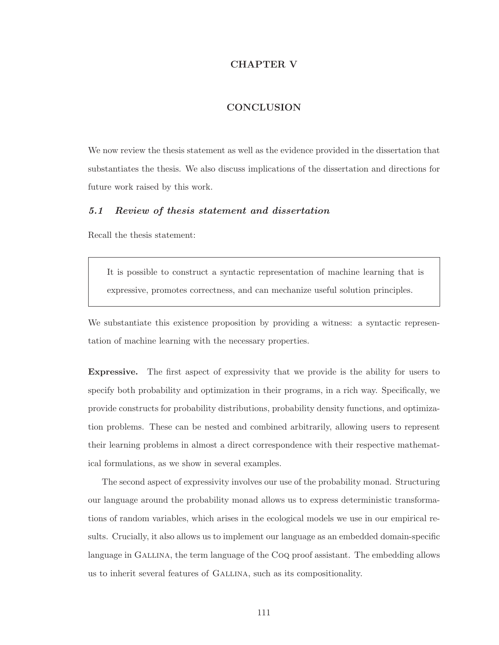## CHAPTER V

## **CONCLUSION**

We now review the thesis statement as well as the evidence provided in the dissertation that substantiates the thesis. We also discuss implications of the dissertation and directions for future work raised by this work.

## *5.1 Review of thesis statement and dissertation*

Recall the thesis statement:

It is possible to construct a syntactic representation of machine learning that is expressive, promotes correctness, and can mechanize useful solution principles.

We substantiate this existence proposition by providing a witness: a syntactic representation of machine learning with the necessary properties.

Expressive. The first aspect of expressivity that we provide is the ability for users to specify both probability and optimization in their programs, in a rich way. Specifically, we provide constructs for probability distributions, probability density functions, and optimization problems. These can be nested and combined arbitrarily, allowing users to represent their learning problems in almost a direct correspondence with their respective mathematical formulations, as we show in several examples.

The second aspect of expressivity involves our use of the probability monad. Structuring our language around the probability monad allows us to express deterministic transformations of random variables, which arises in the ecological models we use in our empirical results. Crucially, it also allows us to implement our language as an embedded domain-specific language in GALLINA, the term language of the CoQ proof assistant. The embedding allows us to inherit several features of Gallina, such as its compositionality.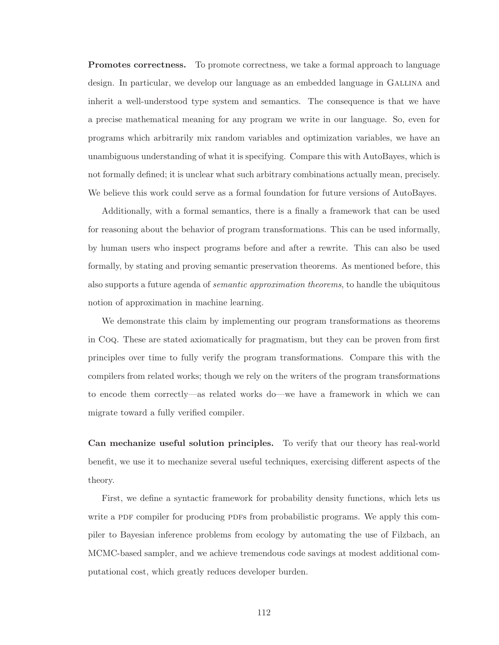Promotes correctness. To promote correctness, we take a formal approach to language design. In particular, we develop our language as an embedded language in GALLINA and inherit a well-understood type system and semantics. The consequence is that we have a precise mathematical meaning for any program we write in our language. So, even for programs which arbitrarily mix random variables and optimization variables, we have an unambiguous understanding of what it is specifying. Compare this with AutoBayes, which is not formally defined; it is unclear what such arbitrary combinations actually mean, precisely. We believe this work could serve as a formal foundation for future versions of AutoBayes.

Additionally, with a formal semantics, there is a finally a framework that can be used for reasoning about the behavior of program transformations. This can be used informally, by human users who inspect programs before and after a rewrite. This can also be used formally, by stating and proving semantic preservation theorems. As mentioned before, this also supports a future agenda of semantic approximation theorems, to handle the ubiquitous notion of approximation in machine learning.

We demonstrate this claim by implementing our program transformations as theorems in Coq. These are stated axiomatically for pragmatism, but they can be proven from first principles over time to fully verify the program transformations. Compare this with the compilers from related works; though we rely on the writers of the program transformations to encode them correctly—as related works do—we have a framework in which we can migrate toward a fully verified compiler.

Can mechanize useful solution principles. To verify that our theory has real-world benefit, we use it to mechanize several useful techniques, exercising different aspects of the theory.

First, we define a syntactic framework for probability density functions, which lets us write a PDF compiler for producing PDFs from probabilistic programs. We apply this compiler to Bayesian inference problems from ecology by automating the use of Filzbach, an MCMC-based sampler, and we achieve tremendous code savings at modest additional computational cost, which greatly reduces developer burden.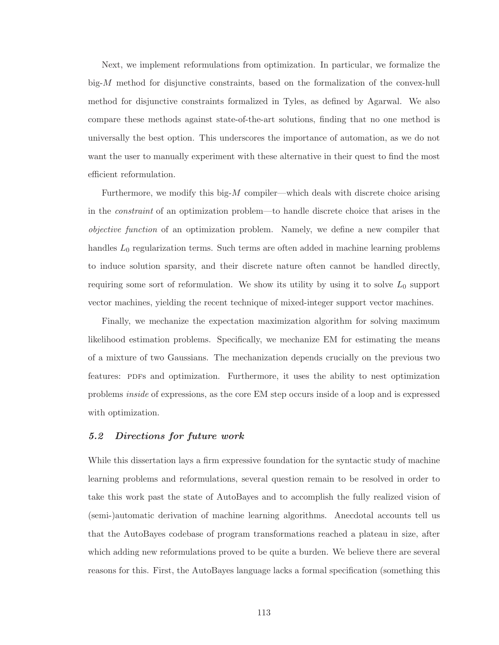Next, we implement reformulations from optimization. In particular, we formalize the big-M method for disjunctive constraints, based on the formalization of the convex-hull method for disjunctive constraints formalized in Tyles, as defined by Agarwal. We also compare these methods against state-of-the-art solutions, finding that no one method is universally the best option. This underscores the importance of automation, as we do not want the user to manually experiment with these alternative in their quest to find the most efficient reformulation.

Furthermore, we modify this big- $M$  compiler—which deals with discrete choice arising in the constraint of an optimization problem—to handle discrete choice that arises in the objective function of an optimization problem. Namely, we define a new compiler that handles  $L_0$  regularization terms. Such terms are often added in machine learning problems to induce solution sparsity, and their discrete nature often cannot be handled directly, requiring some sort of reformulation. We show its utility by using it to solve  $L_0$  support vector machines, yielding the recent technique of mixed-integer support vector machines.

Finally, we mechanize the expectation maximization algorithm for solving maximum likelihood estimation problems. Specifically, we mechanize EM for estimating the means of a mixture of two Gaussians. The mechanization depends crucially on the previous two features: PDFs and optimization. Furthermore, it uses the ability to nest optimization problems inside of expressions, as the core EM step occurs inside of a loop and is expressed with optimization.

# *5.2 Directions for future work*

While this dissertation lays a firm expressive foundation for the syntactic study of machine learning problems and reformulations, several question remain to be resolved in order to take this work past the state of AutoBayes and to accomplish the fully realized vision of (semi-)automatic derivation of machine learning algorithms. Anecdotal accounts tell us that the AutoBayes codebase of program transformations reached a plateau in size, after which adding new reformulations proved to be quite a burden. We believe there are several reasons for this. First, the AutoBayes language lacks a formal specification (something this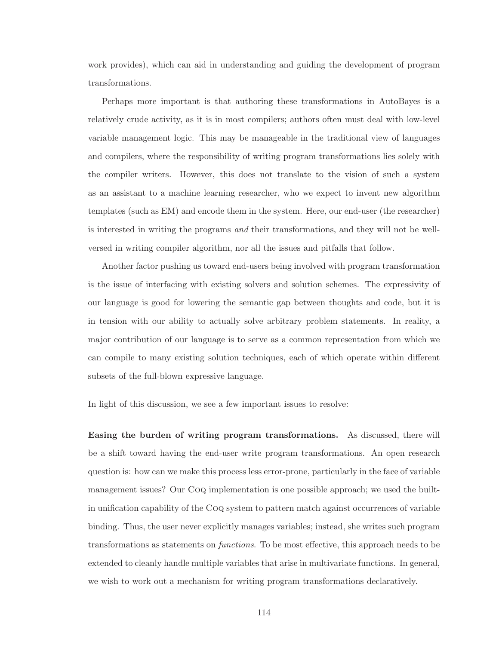work provides), which can aid in understanding and guiding the development of program transformations.

Perhaps more important is that authoring these transformations in AutoBayes is a relatively crude activity, as it is in most compilers; authors often must deal with low-level variable management logic. This may be manageable in the traditional view of languages and compilers, where the responsibility of writing program transformations lies solely with the compiler writers. However, this does not translate to the vision of such a system as an assistant to a machine learning researcher, who we expect to invent new algorithm templates (such as EM) and encode them in the system. Here, our end-user (the researcher) is interested in writing the programs and their transformations, and they will not be wellversed in writing compiler algorithm, nor all the issues and pitfalls that follow.

Another factor pushing us toward end-users being involved with program transformation is the issue of interfacing with existing solvers and solution schemes. The expressivity of our language is good for lowering the semantic gap between thoughts and code, but it is in tension with our ability to actually solve arbitrary problem statements. In reality, a major contribution of our language is to serve as a common representation from which we can compile to many existing solution techniques, each of which operate within different subsets of the full-blown expressive language.

In light of this discussion, we see a few important issues to resolve:

Easing the burden of writing program transformations. As discussed, there will be a shift toward having the end-user write program transformations. An open research question is: how can we make this process less error-prone, particularly in the face of variable management issues? Our Coq implementation is one possible approach; we used the builtin unification capability of the Coq system to pattern match against occurrences of variable binding. Thus, the user never explicitly manages variables; instead, she writes such program transformations as statements on functions. To be most effective, this approach needs to be extended to cleanly handle multiple variables that arise in multivariate functions. In general, we wish to work out a mechanism for writing program transformations declaratively.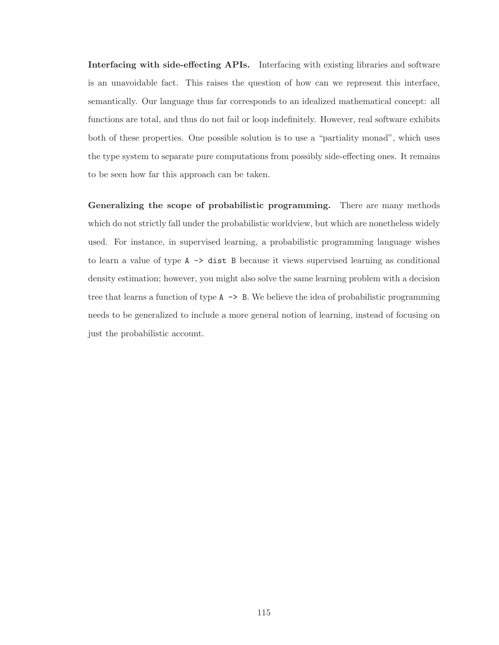Interfacing with side-effecting APIs. Interfacing with existing libraries and software is an unavoidable fact. This raises the question of how can we represent this interface, semantically. Our language thus far corresponds to an idealized mathematical concept: all functions are total, and thus do not fail or loop indefinitely. However, real software exhibits both of these properties. One possible solution is to use a "partiality monad", which uses the type system to separate pure computations from possibly side-effecting ones. It remains to be seen how far this approach can be taken.

Generalizing the scope of probabilistic programming. There are many methods which do not strictly fall under the probabilistic worldview, but which are nonetheless widely used. For instance, in supervised learning, a probabilistic programming language wishes to learn a value of type A -> dist B because it views supervised learning as conditional density estimation; however, you might also solve the same learning problem with a decision tree that learns a function of type  $A \rightarrow B$ . We believe the idea of probabilistic programming needs to be generalized to include a more general notion of learning, instead of focusing on just the probabilistic account.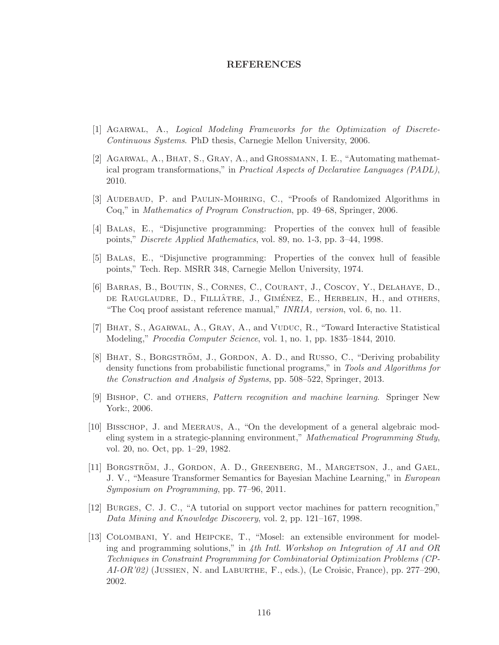#### REFERENCES

- [1] Agarwal, A., Logical Modeling Frameworks for the Optimization of Discrete-Continuous Systems. PhD thesis, Carnegie Mellon University, 2006.
- [2] Agarwal, A., Bhat, S., Gray, A., and Grossmann, I. E., "Automating mathematical program transformations," in Practical Aspects of Declarative Languages (PADL), 2010.
- [3] Audebaud, P. and Paulin-Mohring, C., "Proofs of Randomized Algorithms in Coq," in Mathematics of Program Construction, pp. 49–68, Springer, 2006.
- [4] Balas, E., "Disjunctive programming: Properties of the convex hull of feasible points," Discrete Applied Mathematics, vol. 89, no. 1-3, pp. 3–44, 1998.
- [5] Balas, E., "Disjunctive programming: Properties of the convex hull of feasible points," Tech. Rep. MSRR 348, Carnegie Mellon University, 1974.
- [6] Barras, B., Boutin, S., Cornes, C., Courant, J., Coscoy, Y., Delahaye, D., DE RAUGLAUDRE, D., FILLIÂTRE, J., GIMÉNEZ, E., HERBELIN, H., and OTHERS, "The Coq proof assistant reference manual," INRIA, version, vol. 6, no. 11.
- [7] Bhat, S., Agarwal, A., Gray, A., and Vuduc, R., "Toward Interactive Statistical Modeling," Procedia Computer Science, vol. 1, no. 1, pp. 1835–1844, 2010.
- [8] BHAT, S., BORGSTRÖM, J., GORDON, A. D., and RUSSO, C., "Deriving probability density functions from probabilistic functional programs," in Tools and Algorithms for the Construction and Analysis of Systems, pp. 508–522, Springer, 2013.
- [9] Bishop, C. and others, Pattern recognition and machine learning. Springer New York:, 2006.
- [10] Bisschop, J. and Meeraus, A., "On the development of a general algebraic modeling system in a strategic-planning environment," Mathematical Programming Study, vol. 20, no. Oct, pp. 1–29, 1982.
- [11] BORGSTRÖM, J., GORDON, A. D., GREENBERG, M., MARGETSON, J., and GAEL, J. V., "Measure Transformer Semantics for Bayesian Machine Learning," in European Symposium on Programming, pp. 77–96, 2011.
- [12] Burges, C. J. C., "A tutorial on support vector machines for pattern recognition," Data Mining and Knowledge Discovery, vol. 2, pp. 121–167, 1998.
- [13] COLOMBANI, Y. and HEIPCKE, T., "Mosel: an extensible environment for modeling and programming solutions," in 4th Intl. Workshop on Integration of  $\overline{AI}$  and  $\overline{OR}$ Techniques in Constraint Programming for Combinatorial Optimization Problems (CP- $A I$ - $OR'02$ ) (JUSSIEN, N. and LABURTHE, F., eds.), (Le Croisic, France), pp. 277–290, 2002.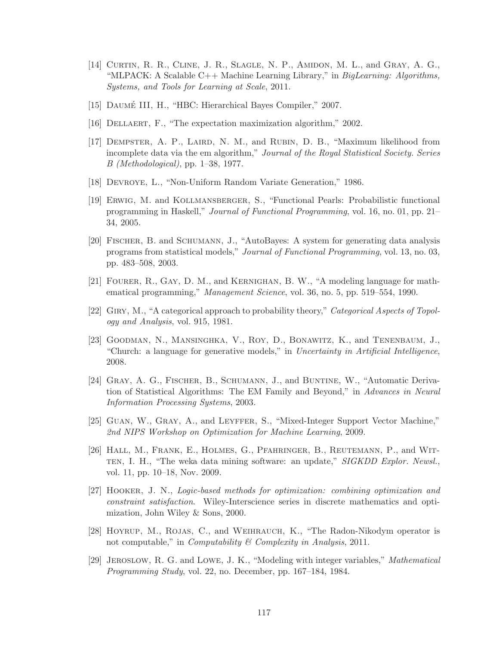- [14] Curtin, R. R., Cline, J. R., Slagle, N. P., Amidon, M. L., and Gray, A. G., "MLPACK: A Scalable  $C++$  Machine Learning Library," in BigLearning: Algorithms, Systems, and Tools for Learning at Scale, 2011.
- [15] DAUMÉ III, H., "HBC: Hierarchical Bayes Compiler," 2007.
- [16] DELLAERT, F., "The expectation maximization algorithm," 2002.
- [17] Dempster, A. P., Laird, N. M., and Rubin, D. B., "Maximum likelihood from incomplete data via the em algorithm," Journal of the Royal Statistical Society. Series B (Methodological), pp. 1–38, 1977.
- [18] Devroye, L., "Non-Uniform Random Variate Generation," 1986.
- [19] Erwig, M. and Kollmansberger, S., "Functional Pearls: Probabilistic functional programming in Haskell," Journal of Functional Programming, vol. 16, no. 01, pp. 21– 34, 2005.
- [20] Fischer, B. and Schumann, J., "AutoBayes: A system for generating data analysis programs from statistical models," Journal of Functional Programming, vol. 13, no. 03, pp. 483–508, 2003.
- [21] Fourer, R., Gay, D. M., and Kernighan, B. W., "A modeling language for mathematical programming," Management Science, vol. 36, no. 5, pp. 519–554, 1990.
- [22] GIRY, M., "A categorical approach to probability theory," Categorical Aspects of Topology and Analysis, vol. 915, 1981.
- [23] GOODMAN, N., MANSINGHKA, V., ROY, D., BONAWITZ, K., and TENENBAUM, J., "Church: a language for generative models," in Uncertainty in Artificial Intelligence, 2008.
- [24] Gray, A. G., Fischer, B., Schumann, J., and Buntine, W., "Automatic Derivation of Statistical Algorithms: The EM Family and Beyond," in Advances in Neural Information Processing Systems, 2003.
- [25] Guan, W., Gray, A., and Leyffer, S., "Mixed-Integer Support Vector Machine," 2nd NIPS Workshop on Optimization for Machine Learning, 2009.
- [26] Hall, M., Frank, E., Holmes, G., Pfahringer, B., Reutemann, P., and Witten, I. H., "The weka data mining software: an update," SIGKDD Explor. Newsl., vol. 11, pp. 10–18, Nov. 2009.
- [27] Hooker, J. N., Logic-based methods for optimization: combining optimization and constraint satisfaction. Wiley-Interscience series in discrete mathematics and optimization, John Wiley & Sons, 2000.
- [28] Hoyrup, M., Rojas, C., and Weihrauch, K., "The Radon-Nikodym operator is not computable," in Computability & Complexity in Analysis, 2011.
- [29] Jeroslow, R. G. and Lowe, J. K., "Modeling with integer variables," Mathematical Programming Study, vol. 22, no. December, pp. 167–184, 1984.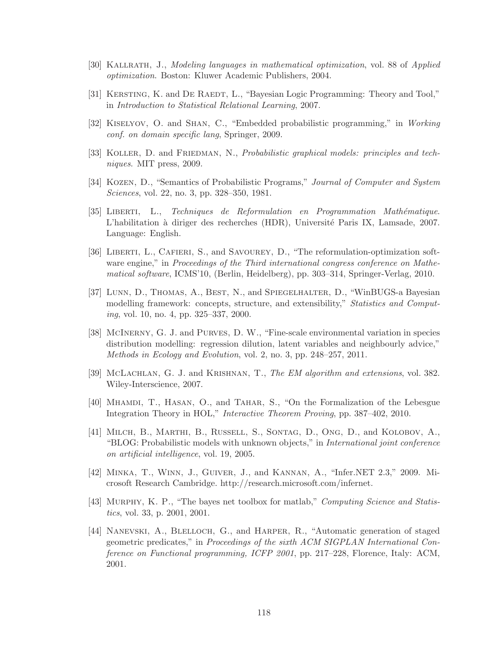- [30] Kallrath, J., Modeling languages in mathematical optimization, vol. 88 of Applied optimization. Boston: Kluwer Academic Publishers, 2004.
- [31] KERSTING, K. and DE RAEDT, L., "Bayesian Logic Programming: Theory and Tool," in Introduction to Statistical Relational Learning, 2007.
- [32] Kiselyov, O. and Shan, C., "Embedded probabilistic programming," in Working conf. on domain specific lang, Springer, 2009.
- [33] KOLLER, D. and FRIEDMAN, N., Probabilistic graphical models: principles and techniques. MIT press, 2009.
- [34] Kozen, D., "Semantics of Probabilistic Programs," Journal of Computer and System Sciences, vol. 22, no. 3, pp. 328–350, 1981.
- [35] Liberti, L., Techniques de Reformulation en Programmation Math´ematique. L'habilitation à diriger des recherches (HDR), Université Paris IX, Lamsade, 2007. Language: English.
- [36] Liberti, L., Cafieri, S., and Savourey, D., "The reformulation-optimization software engine," in Proceedings of the Third international congress conference on Mathematical software, ICMS'10, (Berlin, Heidelberg), pp. 303–314, Springer-Verlag, 2010.
- [37] LUNN, D., THOMAS, A., BEST, N., and SPIEGELHALTER, D., "WinBUGS-a Bayesian modelling framework: concepts, structure, and extensibility," Statistics and Computing, vol. 10, no. 4, pp. 325–337, 2000.
- [38] McInerny, G. J. and Purves, D. W., "Fine-scale environmental variation in species distribution modelling: regression dilution, latent variables and neighbourly advice," Methods in Ecology and Evolution, vol. 2, no. 3, pp. 248–257, 2011.
- [39] McLachlan, G. J. and Krishnan, T., The EM algorithm and extensions, vol. 382. Wiley-Interscience, 2007.
- [40] Mhamdi, T., Hasan, O., and Tahar, S., "On the Formalization of the Lebesgue Integration Theory in HOL," Interactive Theorem Proving, pp. 387–402, 2010.
- [41] Milch, B., Marthi, B., Russell, S., Sontag, D., Ong, D., and Kolobov, A., "BLOG: Probabilistic models with unknown objects," in International joint conference on artificial intelligence, vol. 19, 2005.
- [42] Minka, T., Winn, J., Guiver, J., and Kannan, A., "Infer.NET 2.3," 2009. Microsoft Research Cambridge. http://research.microsoft.com/infernet.
- [43] Murphy, K. P., "The bayes net toolbox for matlab," Computing Science and Statistics, vol. 33, p. 2001, 2001.
- [44] Nanevski, A., Blelloch, G., and Harper, R., "Automatic generation of staged geometric predicates," in Proceedings of the sixth ACM SIGPLAN International Conference on Functional programming, ICFP 2001, pp. 217–228, Florence, Italy: ACM, 2001.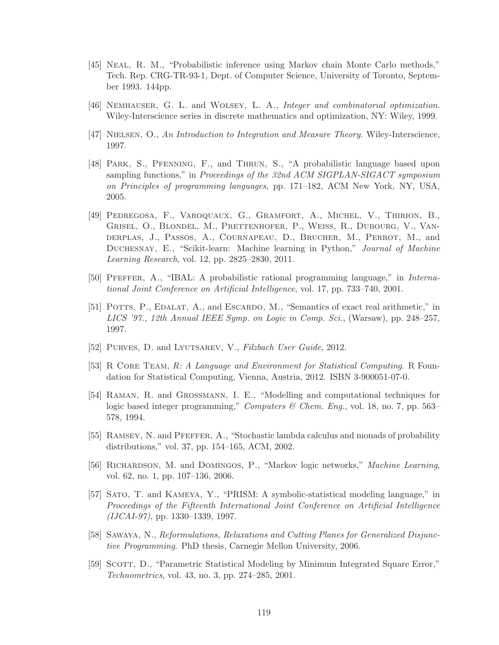- [45] Neal, R. M., "Probabilistic inference using Markov chain Monte Carlo methods," Tech. Rep. CRG-TR-93-1, Dept. of Computer Science, University of Toronto, September 1993. 144pp.
- [46] Nemhauser, G. L. and Wolsey, L. A., Integer and combinatorial optimization. Wiley-Interscience series in discrete mathematics and optimization, NY: Wiley, 1999.
- [47] NIELSEN, O., An Introduction to Integration and Measure Theory. Wiley-Interscience, 1997.
- [48] Park, S., Pfenning, F., and Thrun, S., "A probabilistic language based upon sampling functions," in Proceedings of the 32nd ACM SIGPLAN-SIGACT symposium on Principles of programming languages, pp. 171–182, ACM New York, NY, USA, 2005.
- [49] Pedregosa, F., Varoquaux, G., Gramfort, A., Michel, V., Thirion, B., Grisel, O., Blondel, M., Prettenhofer, P., Weiss, R., Dubourg, V., Vanderplas, J., Passos, A., Cournapeau, D., Brucher, M., Perrot, M., and Duchesnay, E., "Scikit-learn: Machine learning in Python," Journal of Machine Learning Research, vol. 12, pp. 2825–2830, 2011.
- [50] Pfeffer, A., "IBAL: A probabilistic rational programming language," in International Joint Conference on Artificial Intelligence, vol. 17, pp. 733–740, 2001.
- [51] POTTS, P., EDALAT, A., and ESCARDO, M., "Semantics of exact real arithmetic," in LICS '97., 12th Annual IEEE Symp. on Logic in Comp. Sci., (Warsaw), pp. 248–257, 1997.
- [52] PURVES, D. and LYUTSAREV, V., Filzbach User Guide, 2012.
- [53] R CORE TEAM, R: A Language and Environment for Statistical Computing. R Foundation for Statistical Computing, Vienna, Austria, 2012. ISBN 3-900051-07-0.
- [54] Raman, R. and Grossmann, I. E., "Modelling and computational techniques for logic based integer programming," Computers & Chem. Eng., vol. 18, no. 7, pp. 563– 578, 1994.
- [55] Ramsey, N. and Pfeffer, A., "Stochastic lambda calculus and monads of probability distributions," vol. 37, pp. 154–165, ACM, 2002.
- [56] RICHARDSON, M. and DOMINGOS, P., "Markov logic networks," Machine Learning, vol. 62, no. 1, pp. 107–136, 2006.
- [57] Sato, T. and Kameya, Y., "PRISM: A symbolic-statistical modeling language," in Proceedings of the Fifteenth International Joint Conference on Artificial Intelligence  $(IJCAI-97),$  pp. 1330–1339, 1997.
- [58] Sawaya, N., Reformulations, Relaxations and Cutting Planes for Generalized Disjunctive Programming. PhD thesis, Carnegie Mellon University, 2006.
- [59] SCOTT, D., "Parametric Statistical Modeling by Minimum Integrated Square Error," Technometrics, vol. 43, no. 3, pp. 274–285, 2001.